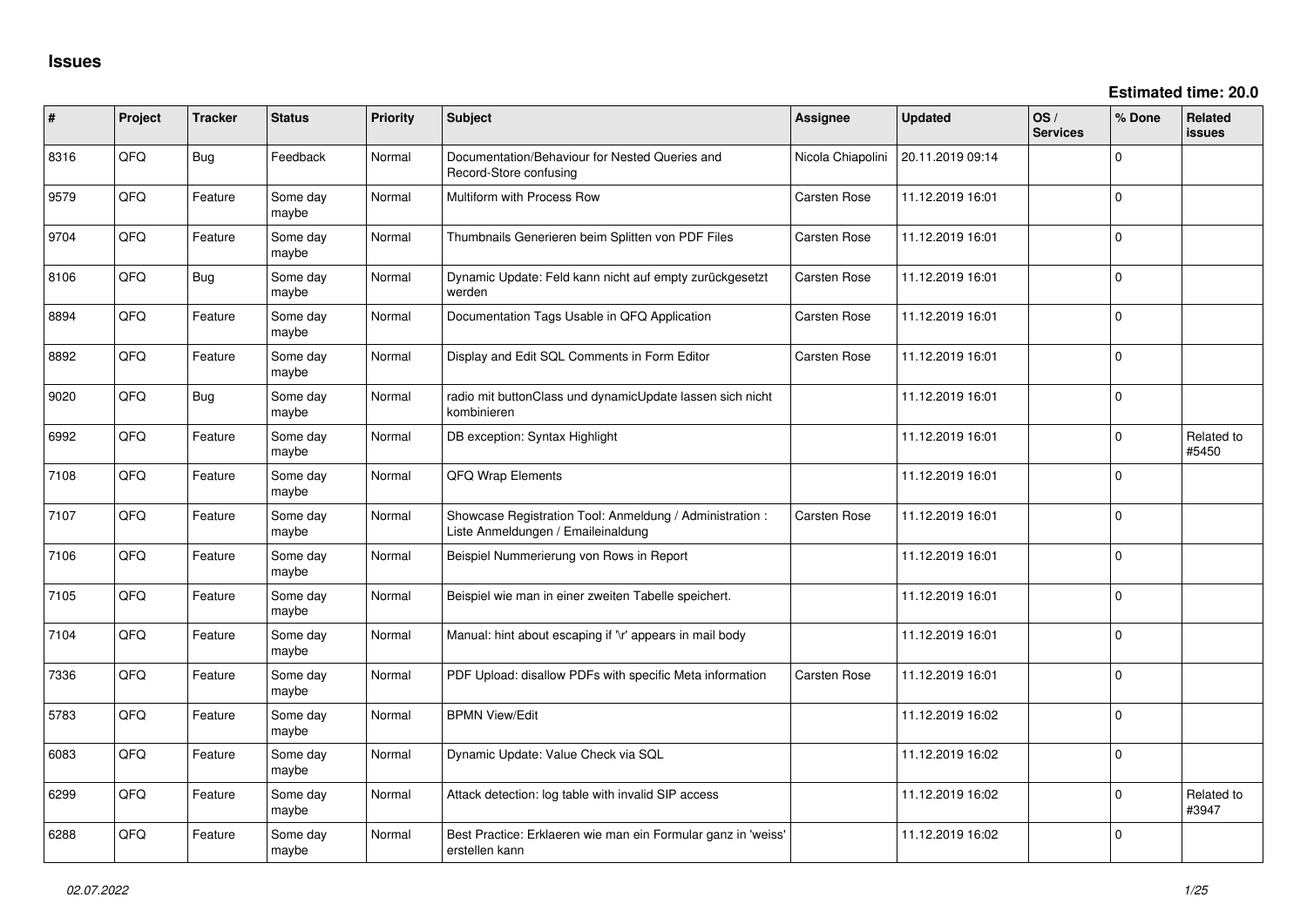| #    | Project | <b>Tracker</b> | <b>Status</b>     | <b>Priority</b> | <b>Subject</b>                                                                                 | <b>Assignee</b>     | <b>Updated</b>   | OS/<br><b>Services</b> | % Done         | <b>Related</b><br><b>issues</b> |
|------|---------|----------------|-------------------|-----------------|------------------------------------------------------------------------------------------------|---------------------|------------------|------------------------|----------------|---------------------------------|
| 8316 | QFQ     | <b>Bug</b>     | Feedback          | Normal          | Documentation/Behaviour for Nested Queries and<br>Record-Store confusing                       | Nicola Chiapolini   | 20.11.2019 09:14 |                        | 0              |                                 |
| 9579 | QFQ     | Feature        | Some day<br>maybe | Normal          | Multiform with Process Row                                                                     | Carsten Rose        | 11.12.2019 16:01 |                        | 0              |                                 |
| 9704 | QFQ     | Feature        | Some day<br>maybe | Normal          | Thumbnails Generieren beim Splitten von PDF Files                                              | <b>Carsten Rose</b> | 11.12.2019 16:01 |                        | $\overline{0}$ |                                 |
| 8106 | QFQ     | Bug            | Some day<br>maybe | Normal          | Dynamic Update: Feld kann nicht auf empty zurückgesetzt<br>werden                              | Carsten Rose        | 11.12.2019 16:01 |                        | 0              |                                 |
| 8894 | QFQ     | Feature        | Some day<br>maybe | Normal          | Documentation Tags Usable in QFQ Application                                                   | Carsten Rose        | 11.12.2019 16:01 |                        | 0              |                                 |
| 8892 | QFQ     | Feature        | Some day<br>maybe | Normal          | Display and Edit SQL Comments in Form Editor                                                   | <b>Carsten Rose</b> | 11.12.2019 16:01 |                        | 0              |                                 |
| 9020 | QFQ     | Bug            | Some day<br>maybe | Normal          | radio mit buttonClass und dynamicUpdate lassen sich nicht<br>kombinieren                       |                     | 11.12.2019 16:01 |                        | $\mathbf 0$    |                                 |
| 6992 | QFQ     | Feature        | Some day<br>maybe | Normal          | DB exception: Syntax Highlight                                                                 |                     | 11.12.2019 16:01 |                        | 0              | Related to<br>#5450             |
| 7108 | QFQ     | Feature        | Some day<br>maybe | Normal          | QFQ Wrap Elements                                                                              |                     | 11.12.2019 16:01 |                        | $\mathbf 0$    |                                 |
| 7107 | QFQ     | Feature        | Some day<br>maybe | Normal          | Showcase Registration Tool: Anmeldung / Administration :<br>Liste Anmeldungen / Emaileinaldung | <b>Carsten Rose</b> | 11.12.2019 16:01 |                        | $\mathbf 0$    |                                 |
| 7106 | QFQ     | Feature        | Some day<br>maybe | Normal          | Beispiel Nummerierung von Rows in Report                                                       |                     | 11.12.2019 16:01 |                        | 0              |                                 |
| 7105 | QFQ     | Feature        | Some day<br>maybe | Normal          | Beispiel wie man in einer zweiten Tabelle speichert.                                           |                     | 11.12.2019 16:01 |                        | 0              |                                 |
| 7104 | QFQ     | Feature        | Some day<br>maybe | Normal          | Manual: hint about escaping if '\r' appears in mail body                                       |                     | 11.12.2019 16:01 |                        | 0              |                                 |
| 7336 | QFQ     | Feature        | Some day<br>maybe | Normal          | PDF Upload: disallow PDFs with specific Meta information                                       | <b>Carsten Rose</b> | 11.12.2019 16:01 |                        | 0              |                                 |
| 5783 | QFQ     | Feature        | Some day<br>maybe | Normal          | <b>BPMN View/Edit</b>                                                                          |                     | 11.12.2019 16:02 |                        | 0              |                                 |
| 6083 | QFQ     | Feature        | Some day<br>maybe | Normal          | Dynamic Update: Value Check via SQL                                                            |                     | 11.12.2019 16:02 |                        | 0              |                                 |
| 6299 | QFQ     | Feature        | Some day<br>maybe | Normal          | Attack detection: log table with invalid SIP access                                            |                     | 11.12.2019 16:02 |                        | 0              | Related to<br>#3947             |
| 6288 | QFQ     | Feature        | Some day<br>maybe | Normal          | Best Practice: Erklaeren wie man ein Formular ganz in 'weiss'<br>erstellen kann                |                     | 11.12.2019 16:02 |                        | $\mathbf 0$    |                                 |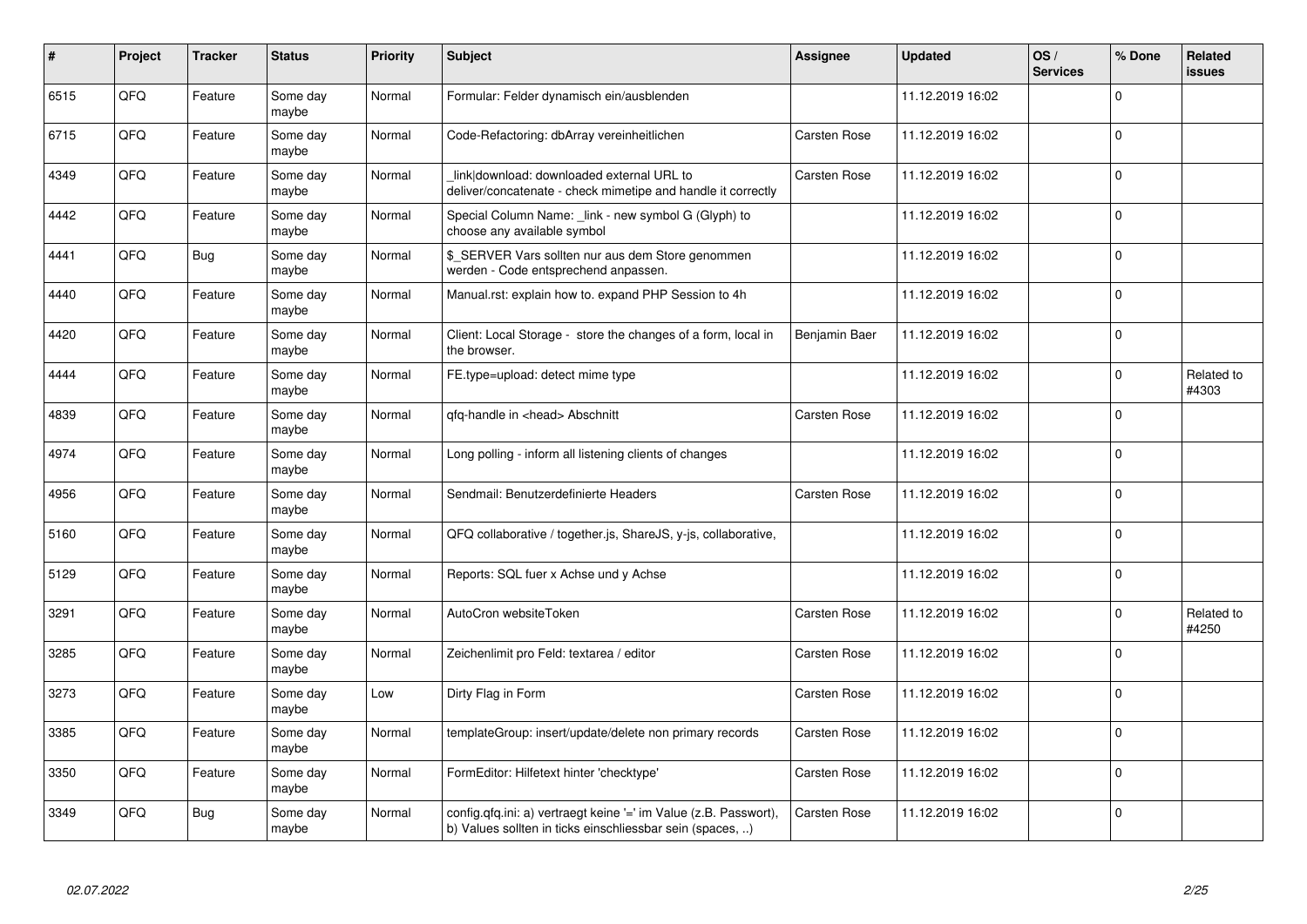| #    | Project | <b>Tracker</b> | <b>Status</b>     | <b>Priority</b> | <b>Subject</b>                                                                                                                | <b>Assignee</b> | <b>Updated</b>   | OS/<br><b>Services</b> | % Done      | Related<br>issues   |
|------|---------|----------------|-------------------|-----------------|-------------------------------------------------------------------------------------------------------------------------------|-----------------|------------------|------------------------|-------------|---------------------|
| 6515 | QFQ     | Feature        | Some day<br>maybe | Normal          | Formular: Felder dynamisch ein/ausblenden                                                                                     |                 | 11.12.2019 16:02 |                        | $\Omega$    |                     |
| 6715 | QFQ     | Feature        | Some day<br>maybe | Normal          | Code-Refactoring: dbArray vereinheitlichen                                                                                    | Carsten Rose    | 11.12.2019 16:02 |                        | $\mathbf 0$ |                     |
| 4349 | QFQ     | Feature        | Some day<br>maybe | Normal          | link download: downloaded external URL to<br>deliver/concatenate - check mimetipe and handle it correctly                     | Carsten Rose    | 11.12.2019 16:02 |                        | $\mathbf 0$ |                     |
| 4442 | QFQ     | Feature        | Some day<br>maybe | Normal          | Special Column Name: _link - new symbol G (Glyph) to<br>choose any available symbol                                           |                 | 11.12.2019 16:02 |                        | $\Omega$    |                     |
| 4441 | QFQ     | Bug            | Some day<br>maybe | Normal          | \$_SERVER Vars sollten nur aus dem Store genommen<br>werden - Code entsprechend anpassen.                                     |                 | 11.12.2019 16:02 |                        | $\Omega$    |                     |
| 4440 | QFQ     | Feature        | Some day<br>maybe | Normal          | Manual.rst: explain how to. expand PHP Session to 4h                                                                          |                 | 11.12.2019 16:02 |                        | $\mathbf 0$ |                     |
| 4420 | QFQ     | Feature        | Some day<br>maybe | Normal          | Client: Local Storage - store the changes of a form, local in<br>the browser.                                                 | Benjamin Baer   | 11.12.2019 16:02 |                        | $\Omega$    |                     |
| 4444 | QFQ     | Feature        | Some day<br>maybe | Normal          | FE.type=upload: detect mime type                                                                                              |                 | 11.12.2019 16:02 |                        | $\Omega$    | Related to<br>#4303 |
| 4839 | QFQ     | Feature        | Some day<br>maybe | Normal          | qfq-handle in <head> Abschnitt</head>                                                                                         | Carsten Rose    | 11.12.2019 16:02 |                        | $\mathbf 0$ |                     |
| 4974 | QFQ     | Feature        | Some day<br>maybe | Normal          | Long polling - inform all listening clients of changes                                                                        |                 | 11.12.2019 16:02 |                        | $\mathbf 0$ |                     |
| 4956 | QFQ     | Feature        | Some day<br>maybe | Normal          | Sendmail: Benutzerdefinierte Headers                                                                                          | Carsten Rose    | 11.12.2019 16:02 |                        | $\Omega$    |                     |
| 5160 | QFQ     | Feature        | Some day<br>maybe | Normal          | QFQ collaborative / together.js, ShareJS, y-js, collaborative,                                                                |                 | 11.12.2019 16:02 |                        | $\mathbf 0$ |                     |
| 5129 | QFQ     | Feature        | Some day<br>maybe | Normal          | Reports: SQL fuer x Achse und y Achse                                                                                         |                 | 11.12.2019 16:02 |                        | $\mathbf 0$ |                     |
| 3291 | QFQ     | Feature        | Some day<br>maybe | Normal          | AutoCron websiteToken                                                                                                         | Carsten Rose    | 11.12.2019 16:02 |                        | $\Omega$    | Related to<br>#4250 |
| 3285 | QFQ     | Feature        | Some day<br>maybe | Normal          | Zeichenlimit pro Feld: textarea / editor                                                                                      | Carsten Rose    | 11.12.2019 16:02 |                        | $\Omega$    |                     |
| 3273 | QFQ     | Feature        | Some day<br>maybe | Low             | Dirty Flag in Form                                                                                                            | Carsten Rose    | 11.12.2019 16:02 |                        | $\Omega$    |                     |
| 3385 | QFQ     | Feature        | Some day<br>maybe | Normal          | templateGroup: insert/update/delete non primary records                                                                       | Carsten Rose    | 11.12.2019 16:02 |                        | $\mathbf 0$ |                     |
| 3350 | QFQ     | Feature        | Some day<br>maybe | Normal          | FormEditor: Hilfetext hinter 'checktype'                                                                                      | Carsten Rose    | 11.12.2019 16:02 |                        | $\Omega$    |                     |
| 3349 | QFQ     | Bug            | Some day<br>maybe | Normal          | config.qfq.ini: a) vertraegt keine '=' im Value (z.B. Passwort),<br>b) Values sollten in ticks einschliessbar sein (spaces, ) | Carsten Rose    | 11.12.2019 16:02 |                        | $\Omega$    |                     |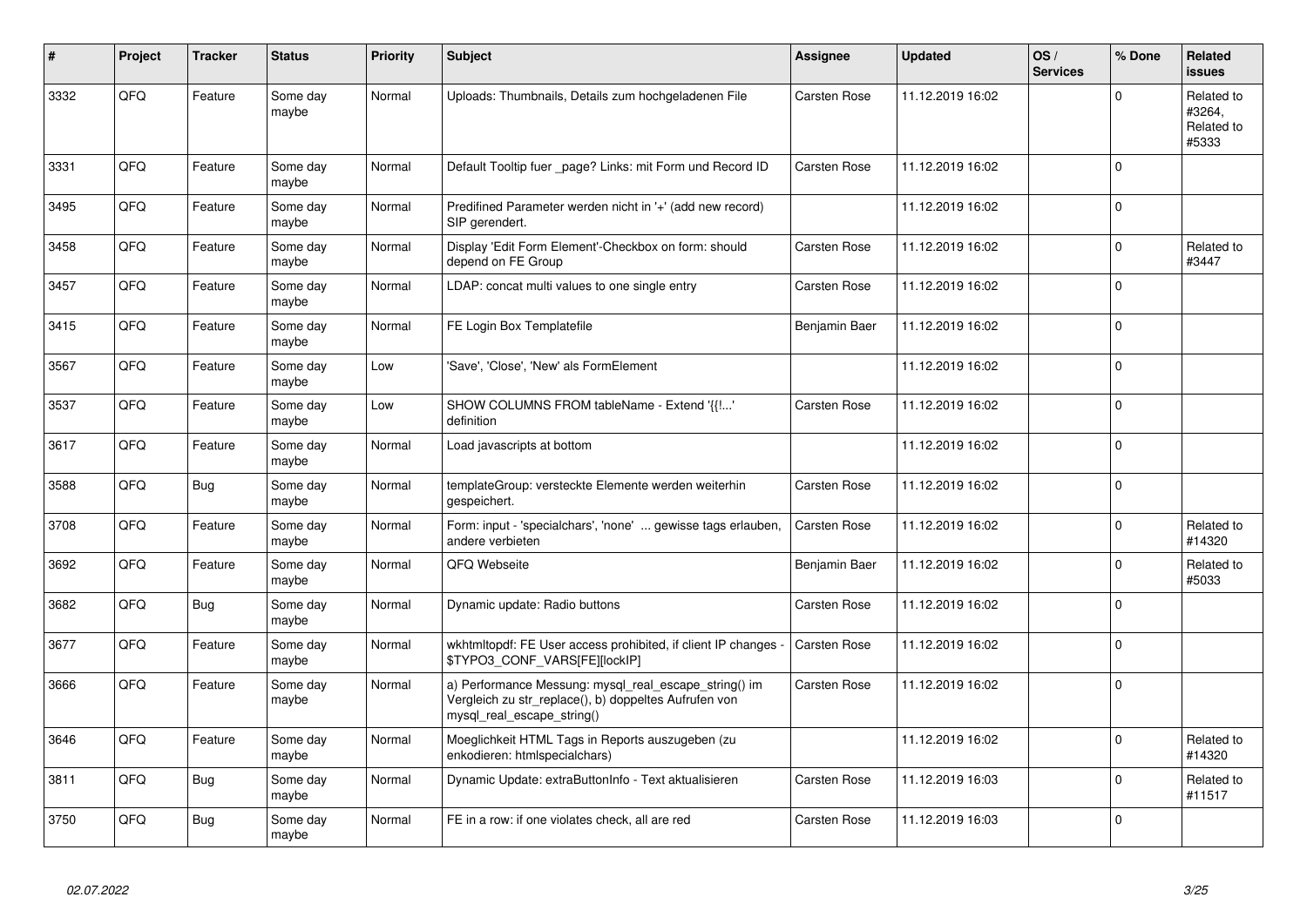| $\pmb{\#}$ | Project | <b>Tracker</b> | <b>Status</b>     | <b>Priority</b> | <b>Subject</b>                                                                                                                               | Assignee            | <b>Updated</b>   | OS/<br><b>Services</b> | % Done      | Related<br><b>issues</b>                    |
|------------|---------|----------------|-------------------|-----------------|----------------------------------------------------------------------------------------------------------------------------------------------|---------------------|------------------|------------------------|-------------|---------------------------------------------|
| 3332       | QFQ     | Feature        | Some day<br>maybe | Normal          | Uploads: Thumbnails, Details zum hochgeladenen File                                                                                          | <b>Carsten Rose</b> | 11.12.2019 16:02 |                        | $\Omega$    | Related to<br>#3264,<br>Related to<br>#5333 |
| 3331       | QFQ     | Feature        | Some day<br>maybe | Normal          | Default Tooltip fuer _page? Links: mit Form und Record ID                                                                                    | Carsten Rose        | 11.12.2019 16:02 |                        | $\Omega$    |                                             |
| 3495       | QFQ     | Feature        | Some day<br>maybe | Normal          | Predifined Parameter werden nicht in '+' (add new record)<br>SIP gerendert.                                                                  |                     | 11.12.2019 16:02 |                        | $\Omega$    |                                             |
| 3458       | QFQ     | Feature        | Some day<br>maybe | Normal          | Display 'Edit Form Element'-Checkbox on form: should<br>depend on FE Group                                                                   | <b>Carsten Rose</b> | 11.12.2019 16:02 |                        | $\Omega$    | Related to<br>#3447                         |
| 3457       | QFQ     | Feature        | Some day<br>maybe | Normal          | LDAP: concat multi values to one single entry                                                                                                | Carsten Rose        | 11.12.2019 16:02 |                        | $\Omega$    |                                             |
| 3415       | QFQ     | Feature        | Some day<br>maybe | Normal          | FE Login Box Templatefile                                                                                                                    | Benjamin Baer       | 11.12.2019 16:02 |                        | $\Omega$    |                                             |
| 3567       | QFQ     | Feature        | Some day<br>maybe | Low             | 'Save', 'Close', 'New' als FormElement                                                                                                       |                     | 11.12.2019 16:02 |                        | $\Omega$    |                                             |
| 3537       | QFQ     | Feature        | Some day<br>maybe | Low             | SHOW COLUMNS FROM tableName - Extend '{{!'<br>definition                                                                                     | Carsten Rose        | 11.12.2019 16:02 |                        | $\Omega$    |                                             |
| 3617       | QFQ     | Feature        | Some day<br>maybe | Normal          | Load javascripts at bottom                                                                                                                   |                     | 11.12.2019 16:02 |                        | $\Omega$    |                                             |
| 3588       | QFQ     | Bug            | Some day<br>maybe | Normal          | templateGroup: versteckte Elemente werden weiterhin<br>gespeichert.                                                                          | Carsten Rose        | 11.12.2019 16:02 |                        | $\Omega$    |                                             |
| 3708       | QFQ     | Feature        | Some day<br>maybe | Normal          | Form: input - 'specialchars', 'none'  gewisse tags erlauben,<br>andere verbieten                                                             | <b>Carsten Rose</b> | 11.12.2019 16:02 |                        | $\Omega$    | Related to<br>#14320                        |
| 3692       | QFQ     | Feature        | Some day<br>maybe | Normal          | QFQ Webseite                                                                                                                                 | Benjamin Baer       | 11.12.2019 16:02 |                        | $\Omega$    | Related to<br>#5033                         |
| 3682       | QFQ     | <b>Bug</b>     | Some day<br>maybe | Normal          | Dynamic update: Radio buttons                                                                                                                | Carsten Rose        | 11.12.2019 16:02 |                        | $\Omega$    |                                             |
| 3677       | QFQ     | Feature        | Some day<br>maybe | Normal          | wkhtmltopdf: FE User access prohibited, if client IP changes<br>\$TYPO3_CONF_VARS[FE][lockIP]                                                | <b>Carsten Rose</b> | 11.12.2019 16:02 |                        | $\Omega$    |                                             |
| 3666       | QFQ     | Feature        | Some day<br>maybe | Normal          | a) Performance Messung: mysql_real_escape_string() im<br>Vergleich zu str_replace(), b) doppeltes Aufrufen von<br>mysql real escape string() | Carsten Rose        | 11.12.2019 16:02 |                        | $\Omega$    |                                             |
| 3646       | QFQ     | Feature        | Some day<br>maybe | Normal          | Moeglichkeit HTML Tags in Reports auszugeben (zu<br>enkodieren: htmlspecialchars)                                                            |                     | 11.12.2019 16:02 |                        | $\Omega$    | Related to<br>#14320                        |
| 3811       | QFQ     | <b>Bug</b>     | Some day<br>maybe | Normal          | Dynamic Update: extraButtonInfo - Text aktualisieren                                                                                         | Carsten Rose        | 11.12.2019 16:03 |                        | $\mathbf 0$ | Related to<br>#11517                        |
| 3750       | QFQ     | Bug            | Some day<br>maybe | Normal          | FE in a row: if one violates check, all are red                                                                                              | Carsten Rose        | 11.12.2019 16:03 |                        | $\Omega$    |                                             |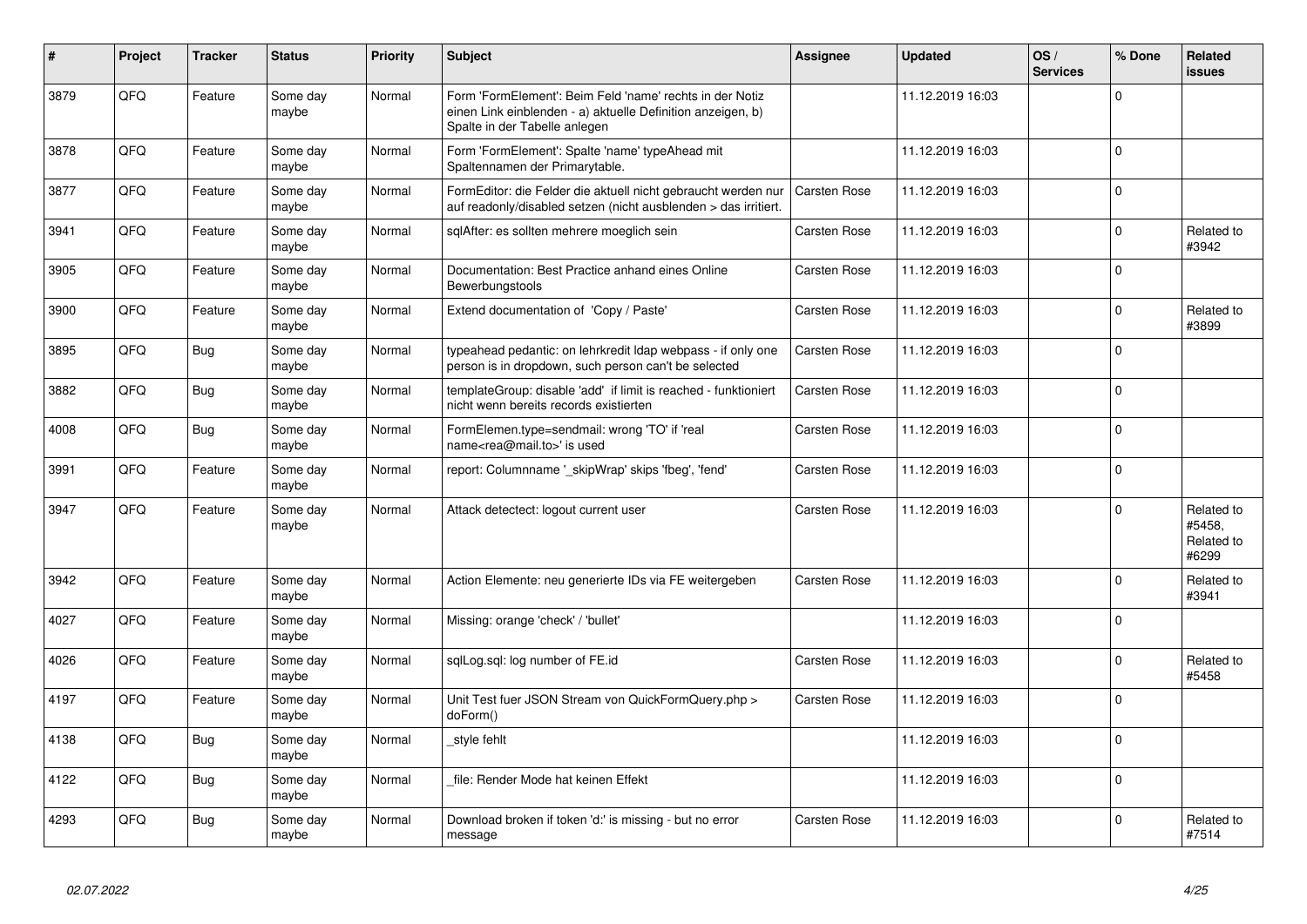| #    | <b>Project</b> | <b>Tracker</b> | <b>Status</b>     | <b>Priority</b> | <b>Subject</b>                                                                                                                                           | Assignee            | <b>Updated</b>   | OS/<br><b>Services</b> | % Done      | Related<br>issues                           |
|------|----------------|----------------|-------------------|-----------------|----------------------------------------------------------------------------------------------------------------------------------------------------------|---------------------|------------------|------------------------|-------------|---------------------------------------------|
| 3879 | QFQ            | Feature        | Some day<br>maybe | Normal          | Form 'FormElement': Beim Feld 'name' rechts in der Notiz<br>einen Link einblenden - a) aktuelle Definition anzeigen, b)<br>Spalte in der Tabelle anlegen |                     | 11.12.2019 16:03 |                        | $\Omega$    |                                             |
| 3878 | QFQ            | Feature        | Some day<br>maybe | Normal          | Form 'FormElement': Spalte 'name' typeAhead mit<br>Spaltennamen der Primarytable.                                                                        |                     | 11.12.2019 16:03 |                        | $\Omega$    |                                             |
| 3877 | QFQ            | Feature        | Some day<br>maybe | Normal          | FormEditor: die Felder die aktuell nicht gebraucht werden nur<br>auf readonly/disabled setzen (nicht ausblenden > das irritiert.                         | <b>Carsten Rose</b> | 11.12.2019 16:03 |                        | $\Omega$    |                                             |
| 3941 | QFQ            | Feature        | Some day<br>maybe | Normal          | sqlAfter: es sollten mehrere moeglich sein                                                                                                               | <b>Carsten Rose</b> | 11.12.2019 16:03 |                        | $\Omega$    | Related to<br>#3942                         |
| 3905 | QFQ            | Feature        | Some day<br>maybe | Normal          | Documentation: Best Practice anhand eines Online<br>Bewerbungstools                                                                                      | Carsten Rose        | 11.12.2019 16:03 |                        | $\Omega$    |                                             |
| 3900 | QFQ            | Feature        | Some day<br>maybe | Normal          | Extend documentation of 'Copy / Paste'                                                                                                                   | Carsten Rose        | 11.12.2019 16:03 |                        | $\Omega$    | Related to<br>#3899                         |
| 3895 | QFQ            | <b>Bug</b>     | Some day<br>maybe | Normal          | typeahead pedantic: on lehrkredit Idap webpass - if only one<br>person is in dropdown, such person can't be selected                                     | <b>Carsten Rose</b> | 11.12.2019 16:03 |                        | $\Omega$    |                                             |
| 3882 | QFQ            | <b>Bug</b>     | Some day<br>maybe | Normal          | templateGroup: disable 'add' if limit is reached - funktioniert<br>nicht wenn bereits records existierten                                                | Carsten Rose        | 11.12.2019 16:03 |                        | $\Omega$    |                                             |
| 4008 | QFQ            | <b>Bug</b>     | Some day<br>maybe | Normal          | FormElemen.type=sendmail: wrong 'TO' if 'real<br>name <rea@mail.to>' is used</rea@mail.to>                                                               | Carsten Rose        | 11.12.2019 16:03 |                        | $\Omega$    |                                             |
| 3991 | QFQ            | Feature        | Some day<br>maybe | Normal          | report: Columnname '_skipWrap' skips 'fbeg', 'fend'                                                                                                      | <b>Carsten Rose</b> | 11.12.2019 16:03 |                        | $\mathbf 0$ |                                             |
| 3947 | QFQ            | Feature        | Some day<br>maybe | Normal          | Attack detectect: logout current user                                                                                                                    | <b>Carsten Rose</b> | 11.12.2019 16:03 |                        | $\Omega$    | Related to<br>#5458.<br>Related to<br>#6299 |
| 3942 | QFQ            | Feature        | Some day<br>maybe | Normal          | Action Elemente: neu generierte IDs via FE weitergeben                                                                                                   | <b>Carsten Rose</b> | 11.12.2019 16:03 |                        | $\Omega$    | Related to<br>#3941                         |
| 4027 | QFQ            | Feature        | Some day<br>maybe | Normal          | Missing: orange 'check' / 'bullet'                                                                                                                       |                     | 11.12.2019 16:03 |                        | $\mathbf 0$ |                                             |
| 4026 | QFQ            | Feature        | Some day<br>maybe | Normal          | sqlLog.sql: log number of FE.id                                                                                                                          | Carsten Rose        | 11.12.2019 16:03 |                        | $\Omega$    | Related to<br>#5458                         |
| 4197 | QFQ            | Feature        | Some day<br>maybe | Normal          | Unit Test fuer JSON Stream von QuickFormQuery.php ><br>doForm()                                                                                          | Carsten Rose        | 11.12.2019 16:03 |                        | $\Omega$    |                                             |
| 4138 | QFQ            | Bug            | Some day<br>maybe | Normal          | style fehlt                                                                                                                                              |                     | 11.12.2019 16:03 |                        | $\Omega$    |                                             |
| 4122 | QFQ            | <b>Bug</b>     | Some day<br>maybe | Normal          | file: Render Mode hat keinen Effekt                                                                                                                      |                     | 11.12.2019 16:03 |                        | $\Omega$    |                                             |
| 4293 | QFQ            | <b>Bug</b>     | Some day<br>maybe | Normal          | Download broken if token 'd:' is missing - but no error<br>message                                                                                       | <b>Carsten Rose</b> | 11.12.2019 16:03 |                        | $\Omega$    | Related to<br>#7514                         |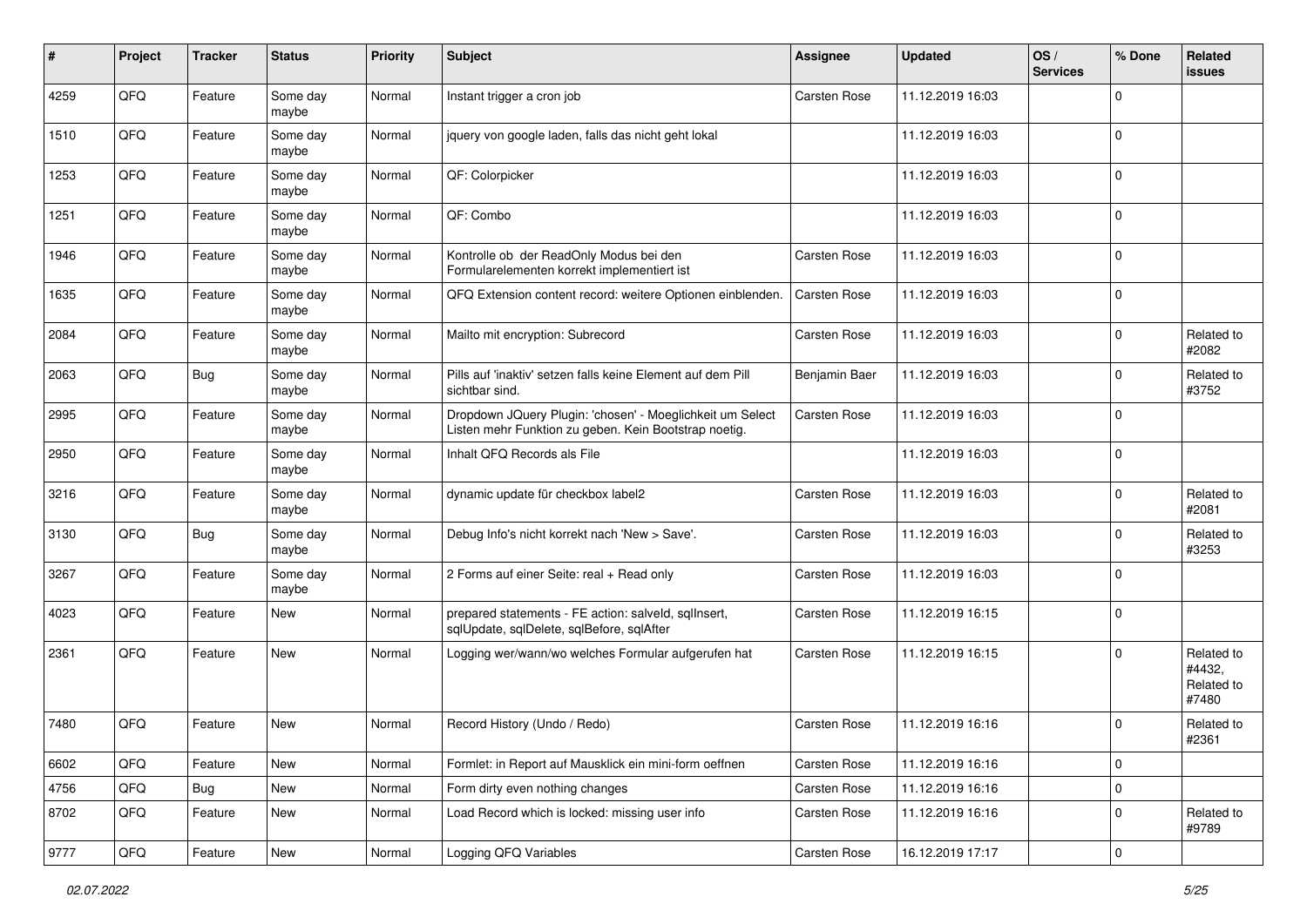| #    | Project | <b>Tracker</b> | <b>Status</b>     | <b>Priority</b> | Subject                                                                                                            | <b>Assignee</b>     | <b>Updated</b>   | OS/<br><b>Services</b> | % Done      | Related<br>issues                           |
|------|---------|----------------|-------------------|-----------------|--------------------------------------------------------------------------------------------------------------------|---------------------|------------------|------------------------|-------------|---------------------------------------------|
| 4259 | QFQ     | Feature        | Some day<br>maybe | Normal          | Instant trigger a cron job                                                                                         | <b>Carsten Rose</b> | 11.12.2019 16:03 |                        | $\Omega$    |                                             |
| 1510 | QFQ     | Feature        | Some day<br>maybe | Normal          | jquery von google laden, falls das nicht geht lokal                                                                |                     | 11.12.2019 16:03 |                        | $\Omega$    |                                             |
| 1253 | QFQ     | Feature        | Some day<br>maybe | Normal          | QF: Colorpicker                                                                                                    |                     | 11.12.2019 16:03 |                        | $\Omega$    |                                             |
| 1251 | QFQ     | Feature        | Some day<br>maybe | Normal          | QF: Combo                                                                                                          |                     | 11.12.2019 16:03 |                        | $\Omega$    |                                             |
| 1946 | QFQ     | Feature        | Some day<br>maybe | Normal          | Kontrolle ob der ReadOnly Modus bei den<br>Formularelementen korrekt implementiert ist                             | <b>Carsten Rose</b> | 11.12.2019 16:03 |                        | $\Omega$    |                                             |
| 1635 | QFQ     | Feature        | Some day<br>maybe | Normal          | QFQ Extension content record: weitere Optionen einblenden.                                                         | <b>Carsten Rose</b> | 11.12.2019 16:03 |                        | $\Omega$    |                                             |
| 2084 | QFQ     | Feature        | Some day<br>maybe | Normal          | Mailto mit encryption: Subrecord                                                                                   | <b>Carsten Rose</b> | 11.12.2019 16:03 |                        | $\Omega$    | Related to<br>#2082                         |
| 2063 | QFQ     | <b>Bug</b>     | Some day<br>maybe | Normal          | Pills auf 'inaktiv' setzen falls keine Element auf dem Pill<br>sichtbar sind.                                      | Benjamin Baer       | 11.12.2019 16:03 |                        | $\Omega$    | Related to<br>#3752                         |
| 2995 | QFQ     | Feature        | Some day<br>maybe | Normal          | Dropdown JQuery Plugin: 'chosen' - Moeglichkeit um Select<br>Listen mehr Funktion zu geben. Kein Bootstrap noetig. | <b>Carsten Rose</b> | 11.12.2019 16:03 |                        | $\mathbf 0$ |                                             |
| 2950 | QFQ     | Feature        | Some day<br>maybe | Normal          | Inhalt QFQ Records als File                                                                                        |                     | 11.12.2019 16:03 |                        | 0           |                                             |
| 3216 | QFQ     | Feature        | Some day<br>maybe | Normal          | dynamic update für checkbox label2                                                                                 | Carsten Rose        | 11.12.2019 16:03 |                        | $\Omega$    | Related to<br>#2081                         |
| 3130 | QFQ     | <b>Bug</b>     | Some day<br>maybe | Normal          | Debug Info's nicht korrekt nach 'New > Save'.                                                                      | <b>Carsten Rose</b> | 11.12.2019 16:03 |                        | $\Omega$    | Related to<br>#3253                         |
| 3267 | QFQ     | Feature        | Some day<br>maybe | Normal          | 2 Forms auf einer Seite: real + Read only                                                                          | <b>Carsten Rose</b> | 11.12.2019 16:03 |                        | $\Omega$    |                                             |
| 4023 | QFQ     | Feature        | New               | Normal          | prepared statements - FE action: salveld, sqllnsert,<br>sqlUpdate, sqlDelete, sqlBefore, sqlAfter                  | <b>Carsten Rose</b> | 11.12.2019 16:15 |                        | $\Omega$    |                                             |
| 2361 | QFQ     | Feature        | New               | Normal          | Logging wer/wann/wo welches Formular aufgerufen hat                                                                | <b>Carsten Rose</b> | 11.12.2019 16:15 |                        | $\Omega$    | Related to<br>#4432.<br>Related to<br>#7480 |
| 7480 | QFQ     | Feature        | New               | Normal          | Record History (Undo / Redo)                                                                                       | <b>Carsten Rose</b> | 11.12.2019 16:16 |                        | $\Omega$    | Related to<br>#2361                         |
| 6602 | QFQ     | Feature        | New               | Normal          | Formlet: in Report auf Mausklick ein mini-form oeffnen                                                             | Carsten Rose        | 11.12.2019 16:16 |                        | $\mathbf 0$ |                                             |
| 4756 | QFQ     | <b>Bug</b>     | New               | Normal          | Form dirty even nothing changes                                                                                    | Carsten Rose        | 11.12.2019 16:16 |                        | $\mathbf 0$ |                                             |
| 8702 | QFQ     | Feature        | New               | Normal          | Load Record which is locked: missing user info                                                                     | Carsten Rose        | 11.12.2019 16:16 |                        | $\mathbf 0$ | Related to<br>#9789                         |
| 9777 | QFG     | Feature        | New               | Normal          | Logging QFQ Variables                                                                                              | Carsten Rose        | 16.12.2019 17:17 |                        | 0           |                                             |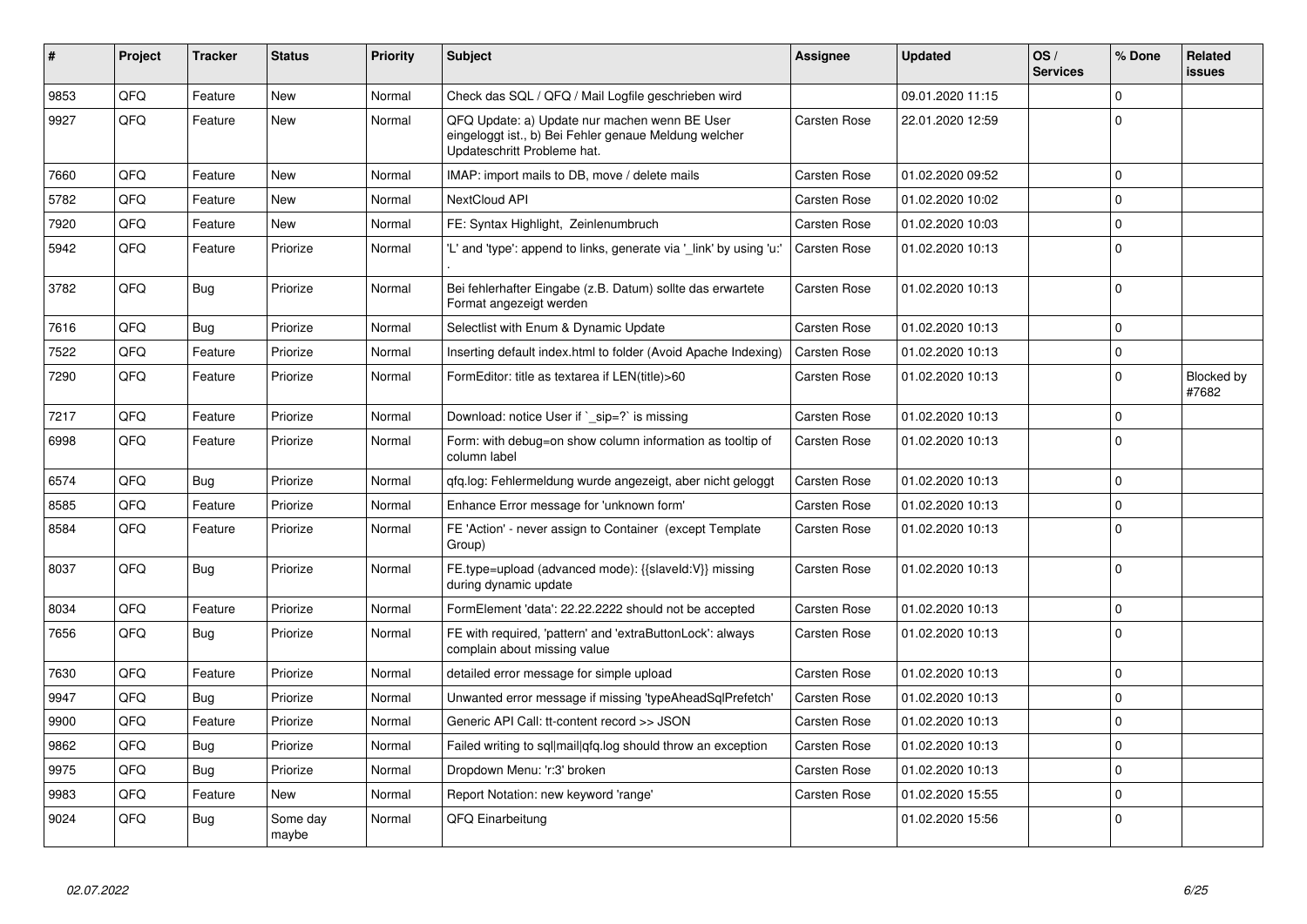| #    | <b>Project</b> | <b>Tracker</b> | <b>Status</b>     | <b>Priority</b> | <b>Subject</b>                                                                                                                        | <b>Assignee</b>     | <b>Updated</b>   | OS/<br><b>Services</b> | % Done      | Related<br><b>issues</b> |
|------|----------------|----------------|-------------------|-----------------|---------------------------------------------------------------------------------------------------------------------------------------|---------------------|------------------|------------------------|-------------|--------------------------|
| 9853 | QFQ            | Feature        | <b>New</b>        | Normal          | Check das SQL / QFQ / Mail Logfile geschrieben wird                                                                                   |                     | 09.01.2020 11:15 |                        | $\Omega$    |                          |
| 9927 | QFQ            | Feature        | New               | Normal          | QFQ Update: a) Update nur machen wenn BE User<br>eingeloggt ist., b) Bei Fehler genaue Meldung welcher<br>Updateschritt Probleme hat. | Carsten Rose        | 22.01.2020 12:59 |                        | $\Omega$    |                          |
| 7660 | QFQ            | Feature        | <b>New</b>        | Normal          | IMAP: import mails to DB, move / delete mails                                                                                         | <b>Carsten Rose</b> | 01.02.2020 09:52 |                        | $\Omega$    |                          |
| 5782 | QFQ            | Feature        | <b>New</b>        | Normal          | NextCloud API                                                                                                                         | Carsten Rose        | 01.02.2020 10:02 |                        | $\mathbf 0$ |                          |
| 7920 | QFQ            | Feature        | <b>New</b>        | Normal          | FE: Syntax Highlight, Zeinlenumbruch                                                                                                  | <b>Carsten Rose</b> | 01.02.2020 10:03 |                        | $\Omega$    |                          |
| 5942 | QFQ            | Feature        | Priorize          | Normal          | 'L' and 'type': append to links, generate via 'link' by using 'u:'                                                                    | Carsten Rose        | 01.02.2020 10:13 |                        | $\Omega$    |                          |
| 3782 | QFQ            | <b>Bug</b>     | Priorize          | Normal          | Bei fehlerhafter Eingabe (z.B. Datum) sollte das erwartete<br>Format angezeigt werden                                                 | Carsten Rose        | 01.02.2020 10:13 |                        | $\Omega$    |                          |
| 7616 | QFQ            | <b>Bug</b>     | Priorize          | Normal          | Selectlist with Enum & Dynamic Update                                                                                                 | <b>Carsten Rose</b> | 01.02.2020 10:13 |                        | $\Omega$    |                          |
| 7522 | QFQ            | Feature        | Priorize          | Normal          | Inserting default index.html to folder (Avoid Apache Indexing)                                                                        | Carsten Rose        | 01.02.2020 10:13 |                        | $\mathbf 0$ |                          |
| 7290 | QFQ            | Feature        | Priorize          | Normal          | FormEditor: title as textarea if LEN(title)>60                                                                                        | Carsten Rose        | 01.02.2020 10:13 |                        | $\Omega$    | Blocked by<br>#7682      |
| 7217 | QFQ            | Feature        | Priorize          | Normal          | Download: notice User if `_sip=?` is missing                                                                                          | <b>Carsten Rose</b> | 01.02.2020 10:13 |                        | $\Omega$    |                          |
| 6998 | QFQ            | Feature        | Priorize          | Normal          | Form: with debug=on show column information as tooltip of<br>column label                                                             | Carsten Rose        | 01.02.2020 10:13 |                        | $\Omega$    |                          |
| 6574 | QFQ            | <b>Bug</b>     | Priorize          | Normal          | gfg.log: Fehlermeldung wurde angezeigt, aber nicht geloggt                                                                            | Carsten Rose        | 01.02.2020 10:13 |                        | $\mathbf 0$ |                          |
| 8585 | QFQ            | Feature        | Priorize          | Normal          | Enhance Error message for 'unknown form'                                                                                              | Carsten Rose        | 01.02.2020 10:13 |                        | $\Omega$    |                          |
| 8584 | QFQ            | Feature        | Priorize          | Normal          | FE 'Action' - never assign to Container (except Template<br>Group)                                                                    | Carsten Rose        | 01.02.2020 10:13 |                        | $\Omega$    |                          |
| 8037 | QFQ            | Bug            | Priorize          | Normal          | FE.type=upload (advanced mode): {{slaveld:V}} missing<br>during dynamic update                                                        | Carsten Rose        | 01.02.2020 10:13 |                        | $\Omega$    |                          |
| 8034 | QFQ            | Feature        | Priorize          | Normal          | FormElement 'data': 22.22.2222 should not be accepted                                                                                 | Carsten Rose        | 01.02.2020 10:13 |                        | $\mathbf 0$ |                          |
| 7656 | QFQ            | Bug            | Priorize          | Normal          | FE with required, 'pattern' and 'extraButtonLock': always<br>complain about missing value                                             | Carsten Rose        | 01.02.2020 10:13 |                        | $\Omega$    |                          |
| 7630 | QFQ            | Feature        | Priorize          | Normal          | detailed error message for simple upload                                                                                              | Carsten Rose        | 01.02.2020 10:13 |                        | $\mathbf 0$ |                          |
| 9947 | QFQ            | <b>Bug</b>     | Priorize          | Normal          | Unwanted error message if missing 'typeAheadSqlPrefetch'                                                                              | Carsten Rose        | 01.02.2020 10:13 |                        | $\Omega$    |                          |
| 9900 | QFQ            | Feature        | Priorize          | Normal          | Generic API Call: tt-content record >> JSON                                                                                           | Carsten Rose        | 01.02.2020 10:13 |                        | $\mathbf 0$ |                          |
| 9862 | QFQ            | <b>Bug</b>     | Priorize          | Normal          | Failed writing to sql mail qfq.log should throw an exception                                                                          | Carsten Rose        | 01.02.2020 10:13 |                        | $\Omega$    |                          |
| 9975 | QFQ            | Bug            | Priorize          | Normal          | Dropdown Menu: 'r:3' broken                                                                                                           | Carsten Rose        | 01.02.2020 10:13 |                        | $\Omega$    |                          |
| 9983 | QFQ            | Feature        | New               | Normal          | Report Notation: new keyword 'range'                                                                                                  | <b>Carsten Rose</b> | 01.02.2020 15:55 |                        | $\mathbf 0$ |                          |
| 9024 | QFQ            | <b>Bug</b>     | Some dav<br>maybe | Normal          | QFQ Einarbeitung                                                                                                                      |                     | 01.02.2020 15:56 |                        | $\Omega$    |                          |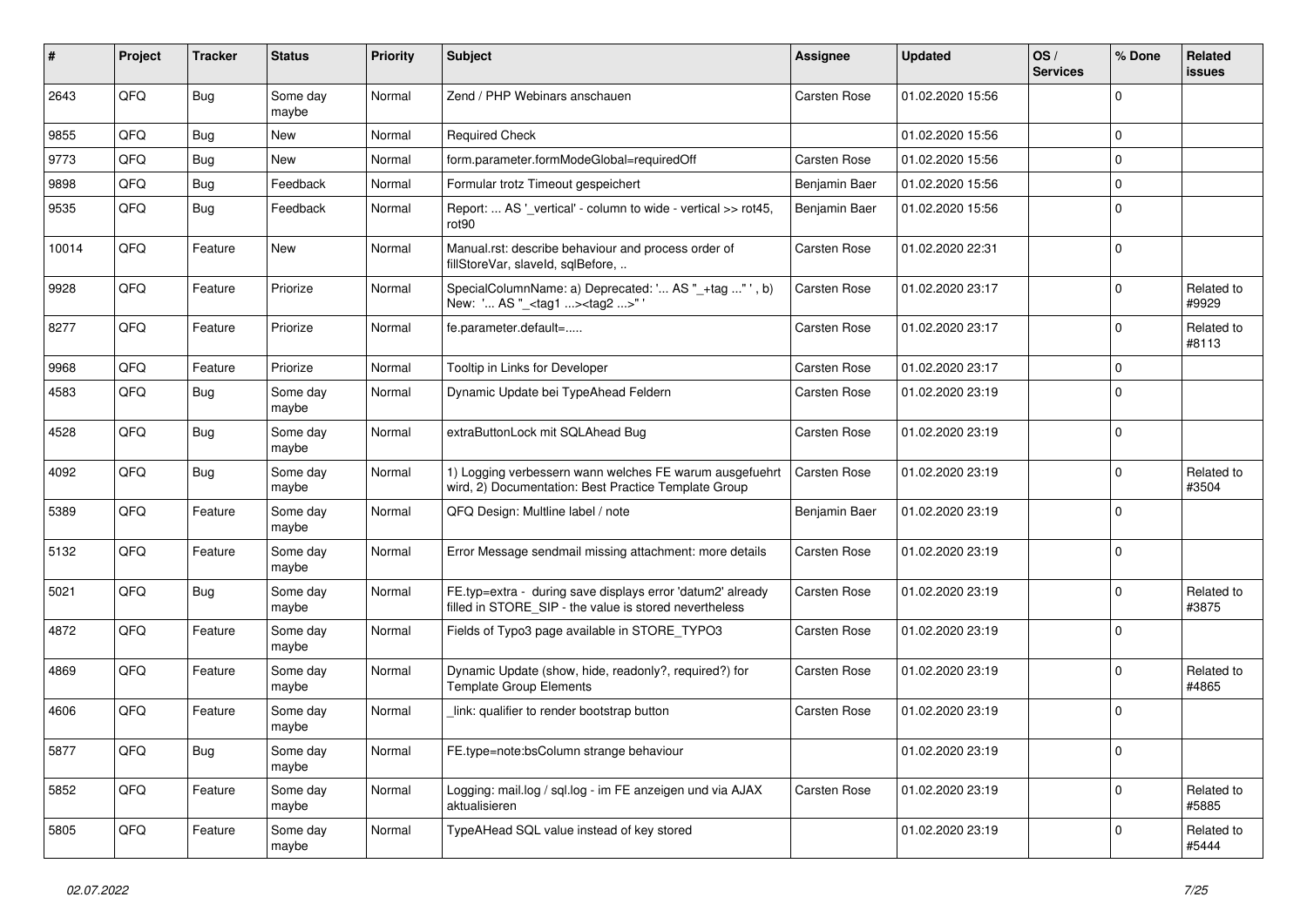| #     | Project | <b>Tracker</b> | <b>Status</b>     | <b>Priority</b> | <b>Subject</b>                                                                                                       | Assignee            | <b>Updated</b>   | OS/<br><b>Services</b> | % Done      | Related<br>issues   |
|-------|---------|----------------|-------------------|-----------------|----------------------------------------------------------------------------------------------------------------------|---------------------|------------------|------------------------|-------------|---------------------|
| 2643  | QFQ     | <b>Bug</b>     | Some day<br>maybe | Normal          | Zend / PHP Webinars anschauen                                                                                        | <b>Carsten Rose</b> | 01.02.2020 15:56 |                        | $\Omega$    |                     |
| 9855  | QFQ     | Bug            | New               | Normal          | <b>Required Check</b>                                                                                                |                     | 01.02.2020 15:56 |                        | 0           |                     |
| 9773  | QFQ     | <b>Bug</b>     | New               | Normal          | form.parameter.formModeGlobal=requiredOff                                                                            | <b>Carsten Rose</b> | 01.02.2020 15:56 |                        | $\Omega$    |                     |
| 9898  | QFQ     | <b>Bug</b>     | Feedback          | Normal          | Formular trotz Timeout gespeichert                                                                                   | Benjamin Baer       | 01.02.2020 15:56 |                        | $\mathbf 0$ |                     |
| 9535  | QFQ     | Bug            | Feedback          | Normal          | Report:  AS '_vertical' - column to wide - vertical >> rot45,<br>rot90                                               | Benjamin Baer       | 01.02.2020 15:56 |                        | $\mathbf 0$ |                     |
| 10014 | QFQ     | Feature        | New               | Normal          | Manual.rst: describe behaviour and process order of<br>fillStoreVar, slaveId, sqlBefore,                             | <b>Carsten Rose</b> | 01.02.2020 22:31 |                        | $\Omega$    |                     |
| 9928  | QFQ     | Feature        | Priorize          | Normal          | SpecialColumnName: a) Deprecated: ' AS "_+tag " ', b)<br>New: ' AS "_ <tag1><tag2>"</tag2></tag1>                    | <b>Carsten Rose</b> | 01.02.2020 23:17 |                        | $\Omega$    | Related to<br>#9929 |
| 8277  | QFQ     | Feature        | Priorize          | Normal          | fe.parameter.default=                                                                                                | Carsten Rose        | 01.02.2020 23:17 |                        | $\Omega$    | Related to<br>#8113 |
| 9968  | QFQ     | Feature        | Priorize          | Normal          | Tooltip in Links for Developer                                                                                       | <b>Carsten Rose</b> | 01.02.2020 23:17 |                        | 0           |                     |
| 4583  | QFQ     | Bug            | Some day<br>maybe | Normal          | Dynamic Update bei TypeAhead Feldern                                                                                 | Carsten Rose        | 01.02.2020 23:19 |                        | $\mathbf 0$ |                     |
| 4528  | QFQ     | Bug            | Some day<br>maybe | Normal          | extraButtonLock mit SQLAhead Bug                                                                                     | <b>Carsten Rose</b> | 01.02.2020 23:19 |                        | 0           |                     |
| 4092  | QFQ     | Bug            | Some day<br>maybe | Normal          | 1) Logging verbessern wann welches FE warum ausgefuehrt<br>wird, 2) Documentation: Best Practice Template Group      | Carsten Rose        | 01.02.2020 23:19 |                        | $\Omega$    | Related to<br>#3504 |
| 5389  | QFQ     | Feature        | Some day<br>maybe | Normal          | QFQ Design: Multline label / note                                                                                    | Benjamin Baer       | 01.02.2020 23:19 |                        | $\Omega$    |                     |
| 5132  | QFQ     | Feature        | Some day<br>maybe | Normal          | Error Message sendmail missing attachment: more details                                                              | Carsten Rose        | 01.02.2020 23:19 |                        | $\Omega$    |                     |
| 5021  | QFQ     | Bug            | Some day<br>maybe | Normal          | FE.typ=extra - during save displays error 'datum2' already<br>filled in STORE_SIP - the value is stored nevertheless | Carsten Rose        | 01.02.2020 23:19 |                        | $\Omega$    | Related to<br>#3875 |
| 4872  | QFQ     | Feature        | Some day<br>maybe | Normal          | Fields of Typo3 page available in STORE_TYPO3                                                                        | Carsten Rose        | 01.02.2020 23:19 |                        | $\Omega$    |                     |
| 4869  | QFQ     | Feature        | Some day<br>maybe | Normal          | Dynamic Update (show, hide, readonly?, required?) for<br><b>Template Group Elements</b>                              | Carsten Rose        | 01.02.2020 23:19 |                        | $\Omega$    | Related to<br>#4865 |
| 4606  | QFQ     | Feature        | Some day<br>maybe | Normal          | link: qualifier to render bootstrap button                                                                           | Carsten Rose        | 01.02.2020 23:19 |                        | 0           |                     |
| 5877  | QFQ     | Bug            | Some day<br>maybe | Normal          | FE.type=note:bsColumn strange behaviour                                                                              |                     | 01.02.2020 23:19 |                        | 0           |                     |
| 5852  | QFQ     | Feature        | Some day<br>maybe | Normal          | Logging: mail.log / sql.log - im FE anzeigen und via AJAX<br>aktualisieren                                           | Carsten Rose        | 01.02.2020 23:19 |                        | $\mathbf 0$ | Related to<br>#5885 |
| 5805  | QFQ     | Feature        | Some day<br>maybe | Normal          | TypeAHead SQL value instead of key stored                                                                            |                     | 01.02.2020 23:19 |                        | 0           | Related to<br>#5444 |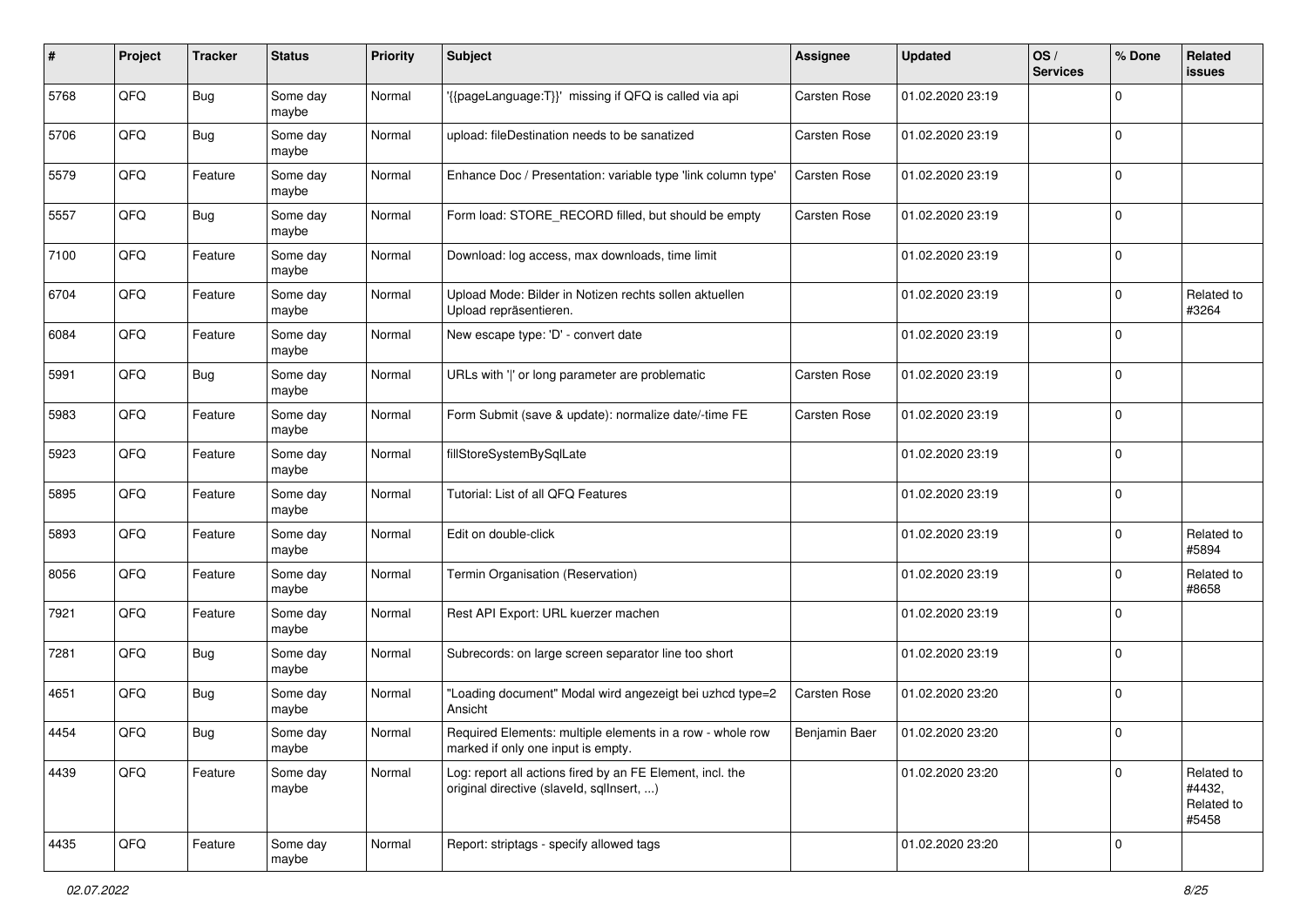| #    | Project | <b>Tracker</b> | <b>Status</b>     | <b>Priority</b> | Subject                                                                                                | <b>Assignee</b>     | <b>Updated</b>   | OS/<br><b>Services</b> | % Done      | Related<br>issues                           |
|------|---------|----------------|-------------------|-----------------|--------------------------------------------------------------------------------------------------------|---------------------|------------------|------------------------|-------------|---------------------------------------------|
| 5768 | QFQ     | <b>Bug</b>     | Some day<br>maybe | Normal          | '{{pageLanguage:T}}' missing if QFQ is called via api                                                  | Carsten Rose        | 01.02.2020 23:19 |                        | $\mathbf 0$ |                                             |
| 5706 | QFQ     | <b>Bug</b>     | Some day<br>maybe | Normal          | upload: fileDestination needs to be sanatized                                                          | Carsten Rose        | 01.02.2020 23:19 |                        | 0           |                                             |
| 5579 | QFQ     | Feature        | Some day<br>maybe | Normal          | Enhance Doc / Presentation: variable type 'link column type'                                           | Carsten Rose        | 01.02.2020 23:19 |                        | 0           |                                             |
| 5557 | QFQ     | <b>Bug</b>     | Some day<br>maybe | Normal          | Form load: STORE_RECORD filled, but should be empty                                                    | <b>Carsten Rose</b> | 01.02.2020 23:19 |                        | 0           |                                             |
| 7100 | QFQ     | Feature        | Some day<br>maybe | Normal          | Download: log access, max downloads, time limit                                                        |                     | 01.02.2020 23:19 |                        | $\mathbf 0$ |                                             |
| 6704 | QFQ     | Feature        | Some day<br>maybe | Normal          | Upload Mode: Bilder in Notizen rechts sollen aktuellen<br>Upload repräsentieren.                       |                     | 01.02.2020 23:19 |                        | $\mathbf 0$ | Related to<br>#3264                         |
| 6084 | QFQ     | Feature        | Some day<br>maybe | Normal          | New escape type: 'D' - convert date                                                                    |                     | 01.02.2020 23:19 |                        | 0           |                                             |
| 5991 | QFQ     | <b>Bug</b>     | Some day<br>maybe | Normal          | URLs with ' ' or long parameter are problematic                                                        | <b>Carsten Rose</b> | 01.02.2020 23:19 |                        | 0           |                                             |
| 5983 | QFQ     | Feature        | Some day<br>maybe | Normal          | Form Submit (save & update): normalize date/-time FE                                                   | <b>Carsten Rose</b> | 01.02.2020 23:19 |                        | $\mathbf 0$ |                                             |
| 5923 | QFQ     | Feature        | Some day<br>maybe | Normal          | fillStoreSystemBySqlLate                                                                               |                     | 01.02.2020 23:19 |                        | $\mathbf 0$ |                                             |
| 5895 | QFQ     | Feature        | Some day<br>maybe | Normal          | Tutorial: List of all QFQ Features                                                                     |                     | 01.02.2020 23:19 |                        | 0           |                                             |
| 5893 | QFQ     | Feature        | Some day<br>maybe | Normal          | Edit on double-click                                                                                   |                     | 01.02.2020 23:19 |                        | $\mathbf 0$ | Related to<br>#5894                         |
| 8056 | QFQ     | Feature        | Some day<br>maybe | Normal          | Termin Organisation (Reservation)                                                                      |                     | 01.02.2020 23:19 |                        | $\mathbf 0$ | Related to<br>#8658                         |
| 7921 | QFQ     | Feature        | Some day<br>maybe | Normal          | Rest API Export: URL kuerzer machen                                                                    |                     | 01.02.2020 23:19 |                        | 0           |                                             |
| 7281 | QFQ     | <b>Bug</b>     | Some day<br>maybe | Normal          | Subrecords: on large screen separator line too short                                                   |                     | 01.02.2020 23:19 |                        | $\mathbf 0$ |                                             |
| 4651 | QFQ     | Bug            | Some day<br>maybe | Normal          | "Loading document" Modal wird angezeigt bei uzhcd type=2<br>Ansicht                                    | <b>Carsten Rose</b> | 01.02.2020 23:20 |                        | $\mathbf 0$ |                                             |
| 4454 | QFQ     | Bug            | Some day<br>maybe | Normal          | Required Elements: multiple elements in a row - whole row<br>marked if only one input is empty.        | Benjamin Baer       | 01.02.2020 23:20 |                        | $\mathbf 0$ |                                             |
| 4439 | QFQ     | Feature        | Some day<br>maybe | Normal          | Log: report all actions fired by an FE Element, incl. the<br>original directive (slaveld, sqllnsert, ) |                     | 01.02.2020 23:20 |                        | 0           | Related to<br>#4432,<br>Related to<br>#5458 |
| 4435 | QFQ     | Feature        | Some day<br>maybe | Normal          | Report: striptags - specify allowed tags                                                               |                     | 01.02.2020 23:20 |                        | $\mathbf 0$ |                                             |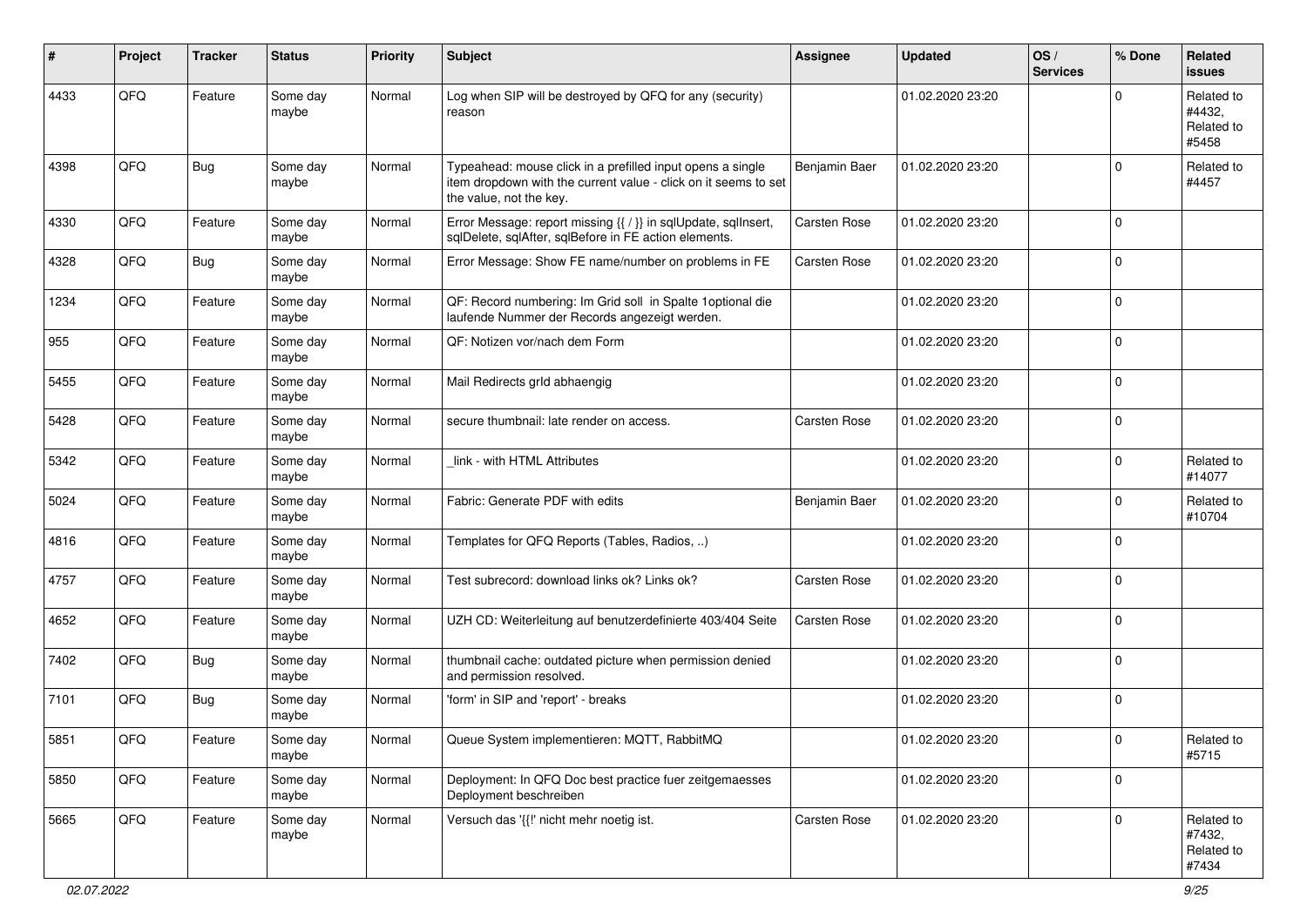| ∦    | Project | <b>Tracker</b> | <b>Status</b>     | <b>Priority</b> | Subject                                                                                                                                                  | <b>Assignee</b>     | <b>Updated</b>   | OS/<br><b>Services</b> | % Done      | Related<br><b>issues</b>                    |
|------|---------|----------------|-------------------|-----------------|----------------------------------------------------------------------------------------------------------------------------------------------------------|---------------------|------------------|------------------------|-------------|---------------------------------------------|
| 4433 | QFQ     | Feature        | Some day<br>maybe | Normal          | Log when SIP will be destroyed by QFQ for any (security)<br>reason                                                                                       |                     | 01.02.2020 23:20 |                        | $\Omega$    | Related to<br>#4432.<br>Related to<br>#5458 |
| 4398 | QFQ     | <b>Bug</b>     | Some day<br>maybe | Normal          | Typeahead: mouse click in a prefilled input opens a single<br>item dropdown with the current value - click on it seems to set<br>the value, not the key. | Benjamin Baer       | 01.02.2020 23:20 |                        | $\Omega$    | Related to<br>#4457                         |
| 4330 | QFQ     | Feature        | Some day<br>maybe | Normal          | Error Message: report missing {{ / }} in sqlUpdate, sqlInsert,<br>sqlDelete, sqlAfter, sqlBefore in FE action elements.                                  | <b>Carsten Rose</b> | 01.02.2020 23:20 |                        | $\Omega$    |                                             |
| 4328 | QFQ     | <b>Bug</b>     | Some day<br>maybe | Normal          | Error Message: Show FE name/number on problems in FE                                                                                                     | <b>Carsten Rose</b> | 01.02.2020 23:20 |                        | $\mathbf 0$ |                                             |
| 1234 | QFQ     | Feature        | Some day<br>maybe | Normal          | QF: Record numbering: Im Grid soll in Spalte 1 optional die<br>laufende Nummer der Records angezeigt werden.                                             |                     | 01.02.2020 23:20 |                        | $\mathbf 0$ |                                             |
| 955  | QFQ     | Feature        | Some day<br>maybe | Normal          | QF: Notizen vor/nach dem Form                                                                                                                            |                     | 01.02.2020 23:20 |                        | $\mathbf 0$ |                                             |
| 5455 | QFQ     | Feature        | Some day<br>maybe | Normal          | Mail Redirects grld abhaengig                                                                                                                            |                     | 01.02.2020 23:20 |                        | $\Omega$    |                                             |
| 5428 | QFQ     | Feature        | Some day<br>maybe | Normal          | secure thumbnail: late render on access.                                                                                                                 | Carsten Rose        | 01.02.2020 23:20 |                        | $\Omega$    |                                             |
| 5342 | QFQ     | Feature        | Some day<br>maybe | Normal          | link - with HTML Attributes                                                                                                                              |                     | 01.02.2020 23:20 |                        | $\Omega$    | Related to<br>#14077                        |
| 5024 | QFQ     | Feature        | Some day<br>maybe | Normal          | Fabric: Generate PDF with edits                                                                                                                          | Benjamin Baer       | 01.02.2020 23:20 |                        | $\Omega$    | Related to<br>#10704                        |
| 4816 | QFQ     | Feature        | Some day<br>maybe | Normal          | Templates for QFQ Reports (Tables, Radios, )                                                                                                             |                     | 01.02.2020 23:20 |                        | $\Omega$    |                                             |
| 4757 | QFQ     | Feature        | Some day<br>maybe | Normal          | Test subrecord: download links ok? Links ok?                                                                                                             | <b>Carsten Rose</b> | 01.02.2020 23:20 |                        | $\mathbf 0$ |                                             |
| 4652 | QFQ     | Feature        | Some day<br>maybe | Normal          | UZH CD: Weiterleitung auf benutzerdefinierte 403/404 Seite                                                                                               | Carsten Rose        | 01.02.2020 23:20 |                        | 0           |                                             |
| 7402 | QFQ     | <b>Bug</b>     | Some day<br>maybe | Normal          | thumbnail cache: outdated picture when permission denied<br>and permission resolved.                                                                     |                     | 01.02.2020 23:20 |                        | $\Omega$    |                                             |
| 7101 | QFQ     | <b>Bug</b>     | Some day<br>maybe | Normal          | 'form' in SIP and 'report' - breaks                                                                                                                      |                     | 01.02.2020 23:20 |                        | $\Omega$    |                                             |
| 5851 | QFQ     | Feature        | Some day<br>maybe | Normal          | Queue System implementieren: MQTT, RabbitMQ                                                                                                              |                     | 01.02.2020 23:20 |                        | 0           | Related to<br>#5715                         |
| 5850 | QFQ     | Feature        | Some day<br>maybe | Normal          | Deployment: In QFQ Doc best practice fuer zeitgemaesses<br>Deployment beschreiben                                                                        |                     | 01.02.2020 23:20 |                        | 0           |                                             |
| 5665 | QFQ     | Feature        | Some day<br>maybe | Normal          | Versuch das '{{!' nicht mehr noetig ist.                                                                                                                 | Carsten Rose        | 01.02.2020 23:20 |                        | $\mathbf 0$ | Related to<br>#7432,<br>Related to<br>#7434 |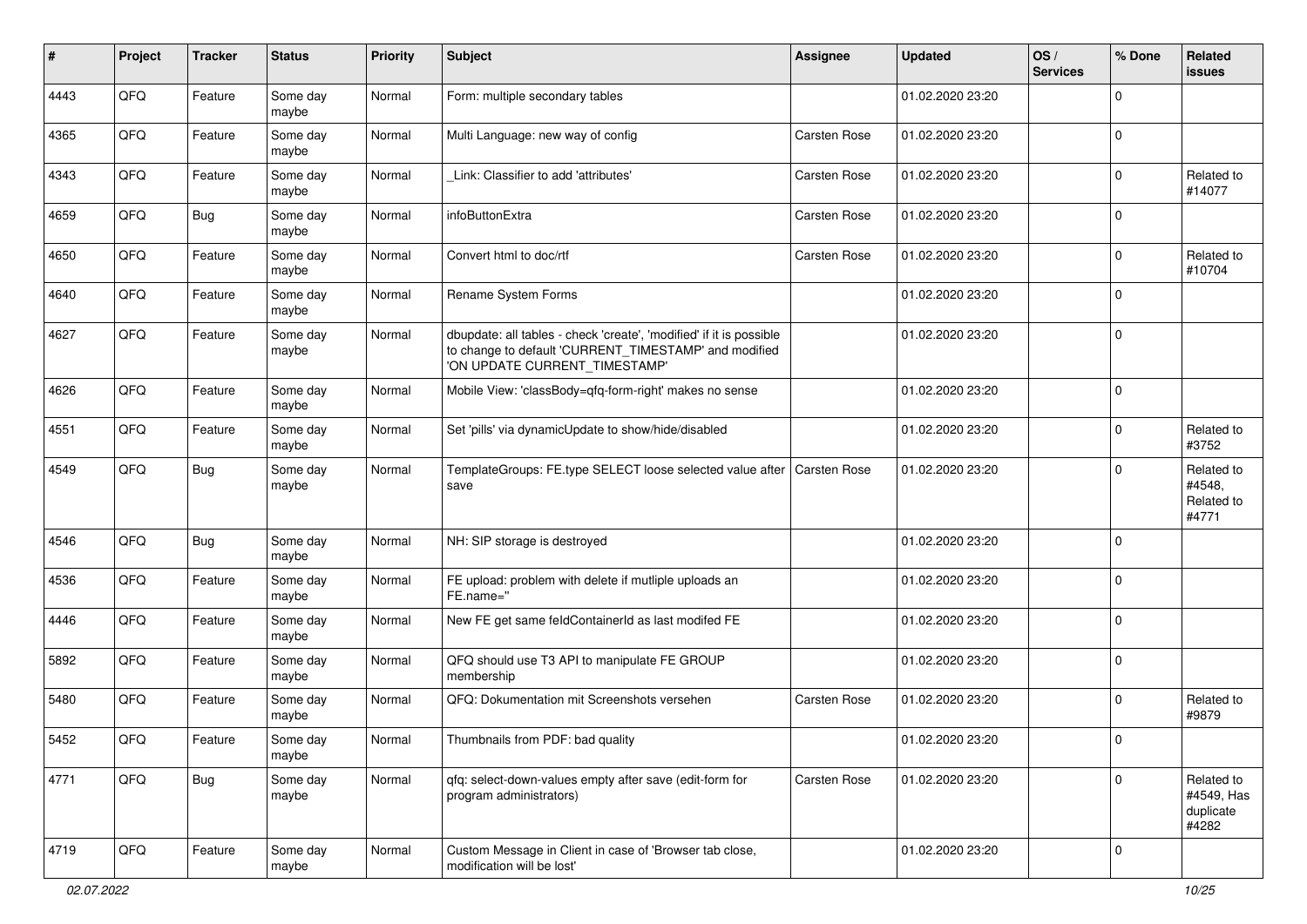| #    | Project | <b>Tracker</b> | <b>Status</b>     | <b>Priority</b> | Subject                                                                                                                                                       | <b>Assignee</b>     | <b>Updated</b>   | OS/<br><b>Services</b> | % Done      | Related<br>issues                              |
|------|---------|----------------|-------------------|-----------------|---------------------------------------------------------------------------------------------------------------------------------------------------------------|---------------------|------------------|------------------------|-------------|------------------------------------------------|
| 4443 | QFQ     | Feature        | Some day<br>maybe | Normal          | Form: multiple secondary tables                                                                                                                               |                     | 01.02.2020 23:20 |                        | $\Omega$    |                                                |
| 4365 | QFQ     | Feature        | Some day<br>maybe | Normal          | Multi Language: new way of config                                                                                                                             | <b>Carsten Rose</b> | 01.02.2020 23:20 |                        | $\Omega$    |                                                |
| 4343 | QFQ     | Feature        | Some day<br>maybe | Normal          | Link: Classifier to add 'attributes'                                                                                                                          | Carsten Rose        | 01.02.2020 23:20 |                        | $\Omega$    | Related to<br>#14077                           |
| 4659 | QFQ     | <b>Bug</b>     | Some day<br>maybe | Normal          | infoButtonExtra                                                                                                                                               | Carsten Rose        | 01.02.2020 23:20 |                        | $\Omega$    |                                                |
| 4650 | QFQ     | Feature        | Some day<br>maybe | Normal          | Convert html to doc/rtf                                                                                                                                       | Carsten Rose        | 01.02.2020 23:20 |                        | $\Omega$    | Related to<br>#10704                           |
| 4640 | QFQ     | Feature        | Some day<br>maybe | Normal          | Rename System Forms                                                                                                                                           |                     | 01.02.2020 23:20 |                        | $\Omega$    |                                                |
| 4627 | QFQ     | Feature        | Some day<br>maybe | Normal          | dbupdate: all tables - check 'create', 'modified' if it is possible<br>to change to default 'CURRENT_TIMESTAMP' and modified<br>'ON UPDATE CURRENT TIMESTAMP' |                     | 01.02.2020 23:20 |                        | $\Omega$    |                                                |
| 4626 | QFQ     | Feature        | Some day<br>maybe | Normal          | Mobile View: 'classBody=qfq-form-right' makes no sense                                                                                                        |                     | 01.02.2020 23:20 |                        | $\Omega$    |                                                |
| 4551 | QFQ     | Feature        | Some day<br>maybe | Normal          | Set 'pills' via dynamicUpdate to show/hide/disabled                                                                                                           |                     | 01.02.2020 23:20 |                        | $\Omega$    | Related to<br>#3752                            |
| 4549 | QFQ     | Bug            | Some day<br>maybe | Normal          | TemplateGroups: FE.type SELECT loose selected value after   Carsten Rose<br>save                                                                              |                     | 01.02.2020 23:20 |                        | $\Omega$    | Related to<br>#4548,<br>Related to<br>#4771    |
| 4546 | QFQ     | <b>Bug</b>     | Some day<br>maybe | Normal          | NH: SIP storage is destroyed                                                                                                                                  |                     | 01.02.2020 23:20 |                        | $\Omega$    |                                                |
| 4536 | QFQ     | Feature        | Some day<br>maybe | Normal          | FE upload: problem with delete if mutliple uploads an<br>FE.name="                                                                                            |                     | 01.02.2020 23:20 |                        | $\Omega$    |                                                |
| 4446 | QFQ     | Feature        | Some day<br>maybe | Normal          | New FE get same feldContainerId as last modifed FE                                                                                                            |                     | 01.02.2020 23:20 |                        | $\Omega$    |                                                |
| 5892 | QFQ     | Feature        | Some day<br>maybe | Normal          | QFQ should use T3 API to manipulate FE GROUP<br>membership                                                                                                    |                     | 01.02.2020 23:20 |                        | $\Omega$    |                                                |
| 5480 | QFQ     | Feature        | Some day<br>maybe | Normal          | QFQ: Dokumentation mit Screenshots versehen                                                                                                                   | Carsten Rose        | 01.02.2020 23:20 |                        | $\Omega$    | Related to<br>#9879                            |
| 5452 | QFG     | Feature        | Some day<br>maybe | Normal          | Thumbnails from PDF: bad quality                                                                                                                              |                     | 01.02.2020 23:20 |                        |             |                                                |
| 4771 | QFQ     | <b>Bug</b>     | Some day<br>maybe | Normal          | qfq: select-down-values empty after save (edit-form for<br>program administrators)                                                                            | Carsten Rose        | 01.02.2020 23:20 |                        | $\mathbf 0$ | Related to<br>#4549, Has<br>duplicate<br>#4282 |
| 4719 | QFQ     | Feature        | Some day<br>maybe | Normal          | Custom Message in Client in case of 'Browser tab close,<br>modification will be lost'                                                                         |                     | 01.02.2020 23:20 |                        | l 0         |                                                |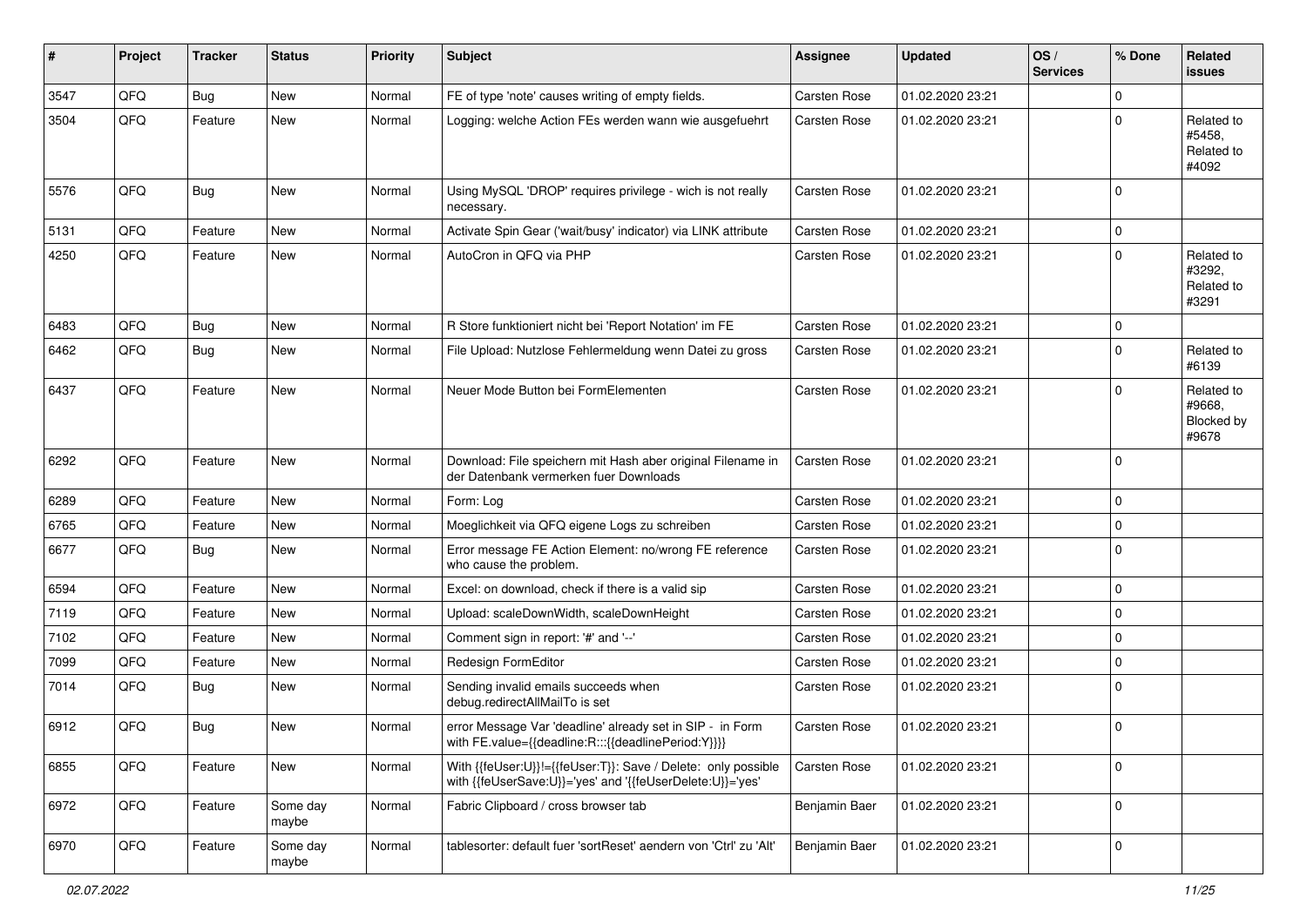| #    | Project | <b>Tracker</b> | <b>Status</b>     | <b>Priority</b> | <b>Subject</b>                                                                                                             | <b>Assignee</b>     | <b>Updated</b>   | OS/<br><b>Services</b> | % Done      | Related<br><b>issues</b>                    |
|------|---------|----------------|-------------------|-----------------|----------------------------------------------------------------------------------------------------------------------------|---------------------|------------------|------------------------|-------------|---------------------------------------------|
| 3547 | QFQ     | Bug            | <b>New</b>        | Normal          | FE of type 'note' causes writing of empty fields.                                                                          | <b>Carsten Rose</b> | 01.02.2020 23:21 |                        | $\Omega$    |                                             |
| 3504 | QFQ     | Feature        | New               | Normal          | Logging: welche Action FEs werden wann wie ausgefuehrt                                                                     | Carsten Rose        | 01.02.2020 23:21 |                        | $\Omega$    | Related to<br>#5458,<br>Related to<br>#4092 |
| 5576 | QFQ     | Bug            | New               | Normal          | Using MySQL 'DROP' requires privilege - wich is not really<br>necessary.                                                   | <b>Carsten Rose</b> | 01.02.2020 23:21 |                        | $\mathbf 0$ |                                             |
| 5131 | QFQ     | Feature        | <b>New</b>        | Normal          | Activate Spin Gear ('wait/busy' indicator) via LINK attribute                                                              | <b>Carsten Rose</b> | 01.02.2020 23:21 |                        | $\mathbf 0$ |                                             |
| 4250 | QFQ     | Feature        | New               | Normal          | AutoCron in QFQ via PHP                                                                                                    | Carsten Rose        | 01.02.2020 23:21 |                        | $\Omega$    | Related to<br>#3292,<br>Related to<br>#3291 |
| 6483 | QFQ     | <b>Bug</b>     | New               | Normal          | R Store funktioniert nicht bei 'Report Notation' im FE                                                                     | <b>Carsten Rose</b> | 01.02.2020 23:21 |                        | $\mathbf 0$ |                                             |
| 6462 | QFQ     | Bug            | New               | Normal          | File Upload: Nutzlose Fehlermeldung wenn Datei zu gross                                                                    | Carsten Rose        | 01.02.2020 23:21 |                        | $\mathbf 0$ | Related to<br>#6139                         |
| 6437 | QFQ     | Feature        | New               | Normal          | Neuer Mode Button bei FormElementen                                                                                        | <b>Carsten Rose</b> | 01.02.2020 23:21 |                        | $\Omega$    | Related to<br>#9668,<br>Blocked by<br>#9678 |
| 6292 | QFQ     | Feature        | New               | Normal          | Download: File speichern mit Hash aber original Filename in<br>der Datenbank vermerken fuer Downloads                      | <b>Carsten Rose</b> | 01.02.2020 23:21 |                        | $\Omega$    |                                             |
| 6289 | QFQ     | Feature        | <b>New</b>        | Normal          | Form: Log                                                                                                                  | Carsten Rose        | 01.02.2020 23:21 |                        | $\Omega$    |                                             |
| 6765 | QFQ     | Feature        | New               | Normal          | Moeglichkeit via QFQ eigene Logs zu schreiben                                                                              | <b>Carsten Rose</b> | 01.02.2020 23:21 |                        | $\mathbf 0$ |                                             |
| 6677 | QFQ     | <b>Bug</b>     | New               | Normal          | Error message FE Action Element: no/wrong FE reference<br>who cause the problem.                                           | Carsten Rose        | 01.02.2020 23:21 |                        | $\Omega$    |                                             |
| 6594 | QFQ     | Feature        | <b>New</b>        | Normal          | Excel: on download, check if there is a valid sip                                                                          | <b>Carsten Rose</b> | 01.02.2020 23:21 |                        | $\mathbf 0$ |                                             |
| 7119 | QFQ     | Feature        | New               | Normal          | Upload: scaleDownWidth, scaleDownHeight                                                                                    | Carsten Rose        | 01.02.2020 23:21 |                        | 0           |                                             |
| 7102 | QFQ     | Feature        | New               | Normal          | Comment sign in report: '#' and '--'                                                                                       | Carsten Rose        | 01.02.2020 23:21 |                        | $\mathbf 0$ |                                             |
| 7099 | QFQ     | Feature        | New               | Normal          | Redesign FormEditor                                                                                                        | <b>Carsten Rose</b> | 01.02.2020 23:21 |                        | $\mathbf 0$ |                                             |
| 7014 | QFQ     | Bug            | New               | Normal          | Sending invalid emails succeeds when<br>debug.redirectAllMailTo is set                                                     | Carsten Rose        | 01.02.2020 23:21 |                        | $\Omega$    |                                             |
| 6912 | QFQ     | Bug            | New               | Normal          | error Message Var 'deadline' already set in SIP - in Form<br>with FE.value={{deadline:R:::{{deadlinePeriod:Y}}}}           | <b>Carsten Rose</b> | 01.02.2020 23:21 |                        | $\mathbf 0$ |                                             |
| 6855 | QFQ     | Feature        | New               | Normal          | With {{feUser:U}}!={{feUser:T}}: Save / Delete: only possible<br>with {{feUserSave:U}}='yes' and '{{feUserDelete:U}}='yes' | <b>Carsten Rose</b> | 01.02.2020 23:21 |                        | 0           |                                             |
| 6972 | QFQ     | Feature        | Some day<br>maybe | Normal          | Fabric Clipboard / cross browser tab                                                                                       | Benjamin Baer       | 01.02.2020 23:21 |                        | 0           |                                             |
| 6970 | QFQ     | Feature        | Some day<br>maybe | Normal          | tablesorter: default fuer 'sortReset' aendern von 'Ctrl' zu 'Alt'                                                          | Benjamin Baer       | 01.02.2020 23:21 |                        | $\mathbf 0$ |                                             |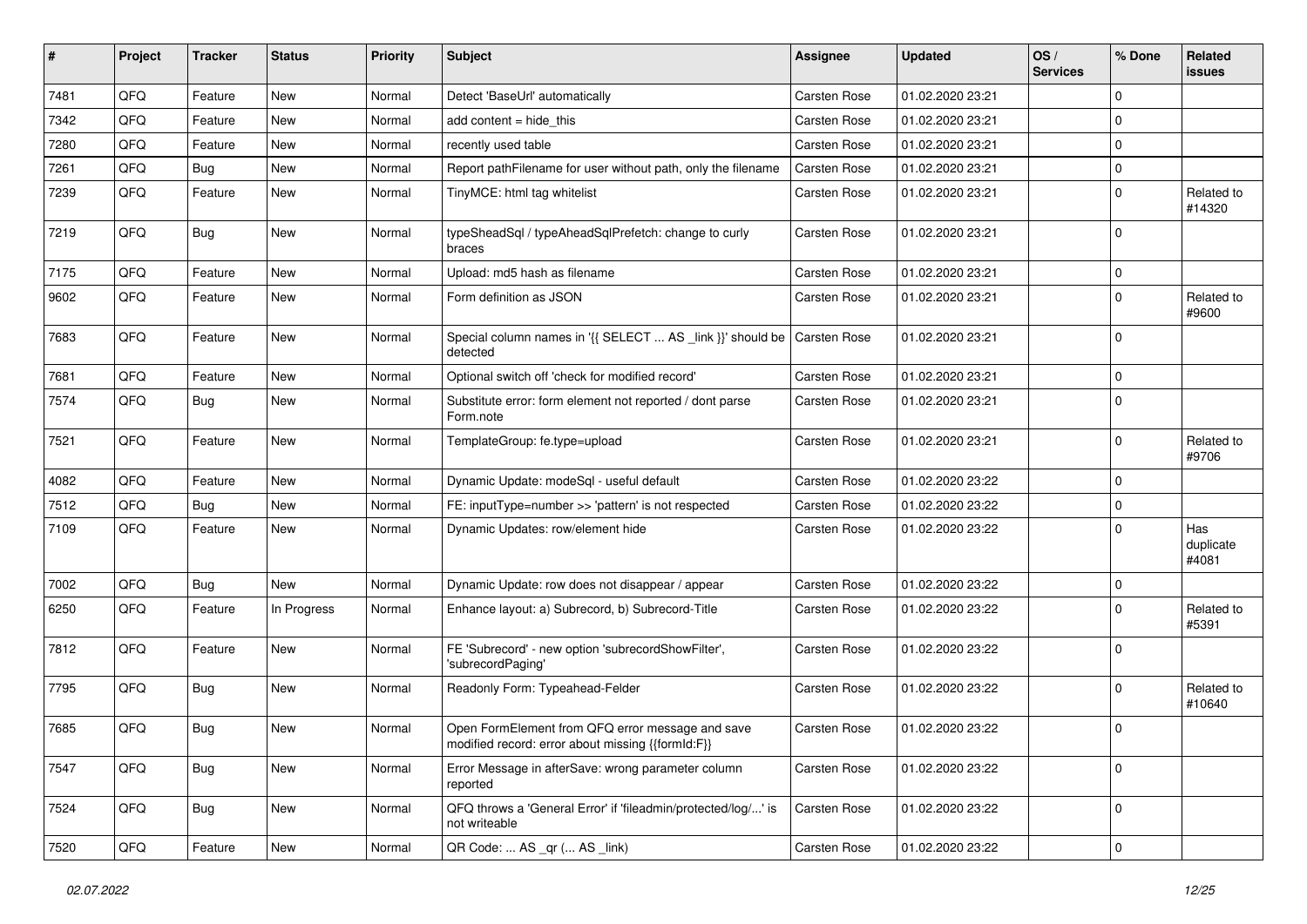| #    | Project        | <b>Tracker</b> | <b>Status</b> | <b>Priority</b> | Subject                                                                                               | <b>Assignee</b>     | <b>Updated</b>   | OS/<br><b>Services</b> | % Done      | Related<br>issues         |
|------|----------------|----------------|---------------|-----------------|-------------------------------------------------------------------------------------------------------|---------------------|------------------|------------------------|-------------|---------------------------|
| 7481 | QFQ            | Feature        | <b>New</b>    | Normal          | Detect 'BaseUrl' automatically                                                                        | <b>Carsten Rose</b> | 01.02.2020 23:21 |                        | 0           |                           |
| 7342 | QFQ            | Feature        | New           | Normal          | add content $=$ hide this                                                                             | <b>Carsten Rose</b> | 01.02.2020 23:21 |                        | 0           |                           |
| 7280 | QFQ            | Feature        | New           | Normal          | recently used table                                                                                   | Carsten Rose        | 01.02.2020 23:21 |                        | $\mathbf 0$ |                           |
| 7261 | QFQ            | <b>Bug</b>     | New           | Normal          | Report pathFilename for user without path, only the filename                                          | <b>Carsten Rose</b> | 01.02.2020 23:21 |                        | $\mathbf 0$ |                           |
| 7239 | QFQ            | Feature        | New           | Normal          | TinyMCE: html tag whitelist                                                                           | <b>Carsten Rose</b> | 01.02.2020 23:21 |                        | 0           | Related to<br>#14320      |
| 7219 | QFQ            | Bug            | New           | Normal          | typeSheadSql / typeAheadSqlPrefetch: change to curly<br>braces                                        | <b>Carsten Rose</b> | 01.02.2020 23:21 |                        | $\Omega$    |                           |
| 7175 | QFQ            | Feature        | <b>New</b>    | Normal          | Upload: md5 hash as filename                                                                          | <b>Carsten Rose</b> | 01.02.2020 23:21 |                        | $\mathbf 0$ |                           |
| 9602 | QFQ            | Feature        | New           | Normal          | Form definition as JSON                                                                               | <b>Carsten Rose</b> | 01.02.2020 23:21 |                        | 0           | Related to<br>#9600       |
| 7683 | QFQ            | Feature        | <b>New</b>    | Normal          | Special column names in '{{ SELECT  AS _link }}' should be<br>detected                                | <b>Carsten Rose</b> | 01.02.2020 23:21 |                        | $\Omega$    |                           |
| 7681 | QFQ            | Feature        | New           | Normal          | Optional switch off 'check for modified record'                                                       | <b>Carsten Rose</b> | 01.02.2020 23:21 |                        | $\mathbf 0$ |                           |
| 7574 | QFQ            | <b>Bug</b>     | New           | Normal          | Substitute error: form element not reported / dont parse<br>Form.note                                 | Carsten Rose        | 01.02.2020 23:21 |                        | $\mathbf 0$ |                           |
| 7521 | QFQ            | Feature        | New           | Normal          | TemplateGroup: fe.type=upload                                                                         | Carsten Rose        | 01.02.2020 23:21 |                        | $\Omega$    | Related to<br>#9706       |
| 4082 | QFQ            | Feature        | New           | Normal          | Dynamic Update: modeSql - useful default                                                              | <b>Carsten Rose</b> | 01.02.2020 23:22 |                        | $\Omega$    |                           |
| 7512 | QFQ            | Bug            | <b>New</b>    | Normal          | FE: inputType=number >> 'pattern' is not respected                                                    | Carsten Rose        | 01.02.2020 23:22 |                        | 0           |                           |
| 7109 | QFQ            | Feature        | New           | Normal          | Dynamic Updates: row/element hide                                                                     | Carsten Rose        | 01.02.2020 23:22 |                        | 0           | Has<br>duplicate<br>#4081 |
| 7002 | QFQ            | <b>Bug</b>     | New           | Normal          | Dynamic Update: row does not disappear / appear                                                       | Carsten Rose        | 01.02.2020 23:22 |                        | 0           |                           |
| 6250 | QFQ            | Feature        | In Progress   | Normal          | Enhance layout: a) Subrecord, b) Subrecord-Title                                                      | Carsten Rose        | 01.02.2020 23:22 |                        | $\Omega$    | Related to<br>#5391       |
| 7812 | QFQ            | Feature        | New           | Normal          | FE 'Subrecord' - new option 'subrecordShowFilter',<br>'subrecordPaging'                               | Carsten Rose        | 01.02.2020 23:22 |                        | 0           |                           |
| 7795 | QFQ            | Bug            | New           | Normal          | Readonly Form: Typeahead-Felder                                                                       | Carsten Rose        | 01.02.2020 23:22 |                        | $\Omega$    | Related to<br>#10640      |
| 7685 | QFQ            | Bug            | New           | Normal          | Open FormElement from QFQ error message and save<br>modified record: error about missing {{formId:F}} | <b>Carsten Rose</b> | 01.02.2020 23:22 |                        | $\Omega$    |                           |
| 7547 | QFQ            | Bug            | New           | Normal          | Error Message in afterSave: wrong parameter column<br>reported                                        | Carsten Rose        | 01.02.2020 23:22 |                        | $\mathbf 0$ |                           |
| 7524 | QFG            | <b>Bug</b>     | New           | Normal          | QFQ throws a 'General Error' if 'fileadmin/protected/log/' is<br>not writeable                        | Carsten Rose        | 01.02.2020 23:22 |                        | $\mathbf 0$ |                           |
| 7520 | $\mathsf{QFQ}$ | Feature        | New           | Normal          | QR Code:  AS _qr ( AS _link)                                                                          | Carsten Rose        | 01.02.2020 23:22 |                        | $\mathbf 0$ |                           |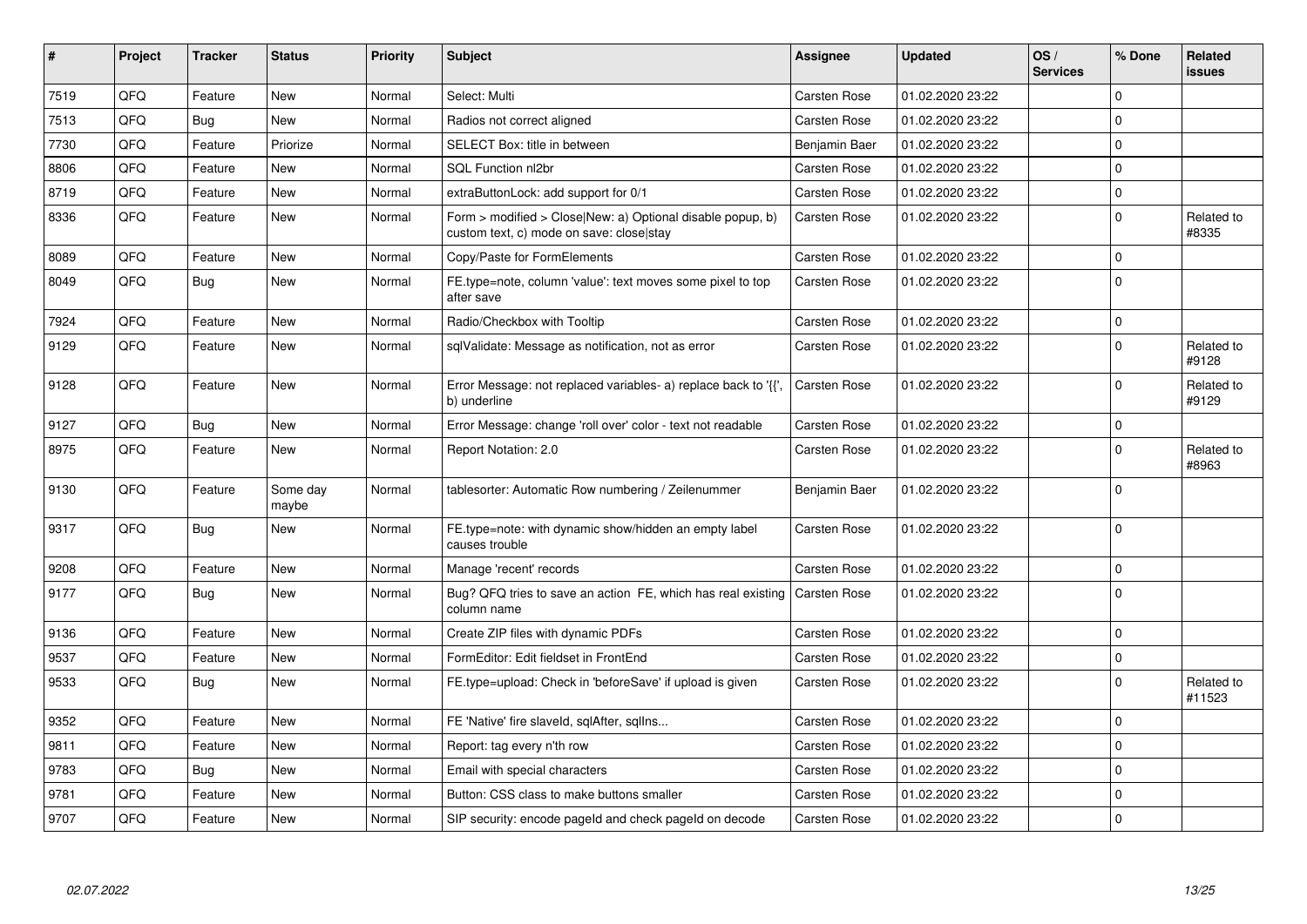| $\sharp$ | Project | <b>Tracker</b> | <b>Status</b>     | <b>Priority</b> | <b>Subject</b>                                                                                         | Assignee            | <b>Updated</b>   | OS/<br><b>Services</b> | % Done      | Related<br>issues    |
|----------|---------|----------------|-------------------|-----------------|--------------------------------------------------------------------------------------------------------|---------------------|------------------|------------------------|-------------|----------------------|
| 7519     | QFQ     | Feature        | New               | Normal          | Select: Multi                                                                                          | Carsten Rose        | 01.02.2020 23:22 |                        | $\Omega$    |                      |
| 7513     | QFQ     | <b>Bug</b>     | <b>New</b>        | Normal          | Radios not correct aligned                                                                             | Carsten Rose        | 01.02.2020 23:22 |                        | $\Omega$    |                      |
| 7730     | QFQ     | Feature        | Priorize          | Normal          | SELECT Box: title in between                                                                           | Benjamin Baer       | 01.02.2020 23:22 |                        | $\Omega$    |                      |
| 8806     | QFQ     | Feature        | <b>New</b>        | Normal          | SQL Function nl2br                                                                                     | <b>Carsten Rose</b> | 01.02.2020 23:22 |                        | $\Omega$    |                      |
| 8719     | QFQ     | Feature        | <b>New</b>        | Normal          | extraButtonLock: add support for 0/1                                                                   | <b>Carsten Rose</b> | 01.02.2020 23:22 |                        | $\mathbf 0$ |                      |
| 8336     | QFQ     | Feature        | <b>New</b>        | Normal          | Form > modified > Close New: a) Optional disable popup, b)<br>custom text, c) mode on save: close stay | <b>Carsten Rose</b> | 01.02.2020 23:22 |                        | $\Omega$    | Related to<br>#8335  |
| 8089     | QFQ     | Feature        | <b>New</b>        | Normal          | Copy/Paste for FormElements                                                                            | <b>Carsten Rose</b> | 01.02.2020 23:22 |                        | $\Omega$    |                      |
| 8049     | QFQ     | Bug            | <b>New</b>        | Normal          | FE.type=note, column 'value': text moves some pixel to top<br>after save                               | Carsten Rose        | 01.02.2020 23:22 |                        | $\Omega$    |                      |
| 7924     | QFQ     | Feature        | New               | Normal          | Radio/Checkbox with Tooltip                                                                            | <b>Carsten Rose</b> | 01.02.2020 23:22 |                        | $\mathbf 0$ |                      |
| 9129     | QFQ     | Feature        | New               | Normal          | sqlValidate: Message as notification, not as error                                                     | Carsten Rose        | 01.02.2020 23:22 |                        | $\Omega$    | Related to<br>#9128  |
| 9128     | QFQ     | Feature        | <b>New</b>        | Normal          | Error Message: not replaced variables- a) replace back to '{',<br>b) underline                         | <b>Carsten Rose</b> | 01.02.2020 23:22 |                        | $\Omega$    | Related to<br>#9129  |
| 9127     | QFQ     | <b>Bug</b>     | <b>New</b>        | Normal          | Error Message: change 'roll over' color - text not readable                                            | <b>Carsten Rose</b> | 01.02.2020 23:22 |                        | $\mathbf 0$ |                      |
| 8975     | QFQ     | Feature        | <b>New</b>        | Normal          | Report Notation: 2.0                                                                                   | <b>Carsten Rose</b> | 01.02.2020 23:22 |                        | $\Omega$    | Related to<br>#8963  |
| 9130     | QFQ     | Feature        | Some day<br>maybe | Normal          | tablesorter: Automatic Row numbering / Zeilenummer                                                     | Benjamin Baer       | 01.02.2020 23:22 |                        | $\Omega$    |                      |
| 9317     | QFQ     | <b>Bug</b>     | New               | Normal          | FE.type=note: with dynamic show/hidden an empty label<br>causes trouble                                | <b>Carsten Rose</b> | 01.02.2020 23:22 |                        | $\Omega$    |                      |
| 9208     | QFQ     | Feature        | <b>New</b>        | Normal          | Manage 'recent' records                                                                                | <b>Carsten Rose</b> | 01.02.2020 23:22 |                        | $\mathbf 0$ |                      |
| 9177     | QFQ     | <b>Bug</b>     | New               | Normal          | Bug? QFQ tries to save an action FE, which has real existing<br>column name                            | <b>Carsten Rose</b> | 01.02.2020 23:22 |                        | $\Omega$    |                      |
| 9136     | QFQ     | Feature        | <b>New</b>        | Normal          | Create ZIP files with dynamic PDFs                                                                     | <b>Carsten Rose</b> | 01.02.2020 23:22 |                        | $\Omega$    |                      |
| 9537     | QFQ     | Feature        | <b>New</b>        | Normal          | FormEditor: Edit fieldset in FrontEnd                                                                  | Carsten Rose        | 01.02.2020 23:22 |                        | $\mathbf 0$ |                      |
| 9533     | QFQ     | Bug            | <b>New</b>        | Normal          | FE.type=upload: Check in 'beforeSave' if upload is given                                               | <b>Carsten Rose</b> | 01.02.2020 23:22 |                        | $\Omega$    | Related to<br>#11523 |
| 9352     | QFQ     | Feature        | New               | Normal          | FE 'Native' fire slaveld, sqlAfter, sqlIns                                                             | <b>Carsten Rose</b> | 01.02.2020 23:22 |                        | $\Omega$    |                      |
| 9811     | QFQ     | Feature        | <b>New</b>        | Normal          | Report: tag every n'th row                                                                             | <b>Carsten Rose</b> | 01.02.2020 23:22 |                        | $\Omega$    |                      |
| 9783     | QFQ     | Bug            | New               | Normal          | Email with special characters                                                                          | <b>Carsten Rose</b> | 01.02.2020 23:22 |                        | $\mathbf 0$ |                      |
| 9781     | QFQ     | Feature        | New               | Normal          | Button: CSS class to make buttons smaller                                                              | <b>Carsten Rose</b> | 01.02.2020 23:22 |                        | $\mathbf 0$ |                      |
| 9707     | QFQ     | Feature        | <b>New</b>        | Normal          | SIP security: encode pageld and check pageld on decode                                                 | <b>Carsten Rose</b> | 01.02.2020 23:22 |                        | $\Omega$    |                      |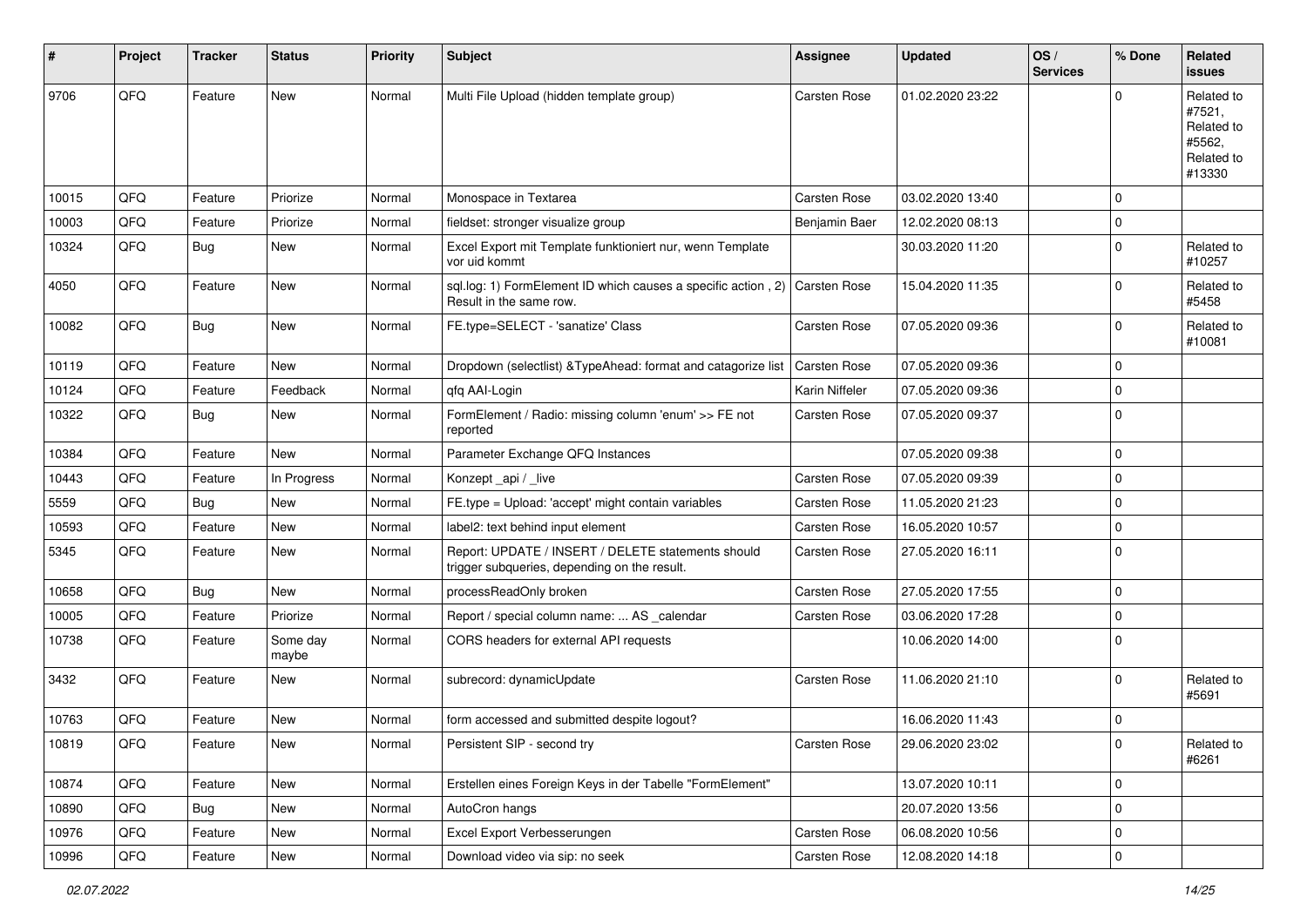| #     | Project | <b>Tracker</b> | <b>Status</b>     | <b>Priority</b> | <b>Subject</b>                                                                                        | Assignee            | <b>Updated</b>   | OS/<br><b>Services</b> | % Done      | Related<br>issues                                                    |
|-------|---------|----------------|-------------------|-----------------|-------------------------------------------------------------------------------------------------------|---------------------|------------------|------------------------|-------------|----------------------------------------------------------------------|
| 9706  | QFQ     | Feature        | New               | Normal          | Multi File Upload (hidden template group)                                                             | <b>Carsten Rose</b> | 01.02.2020 23:22 |                        | U           | Related to<br>#7521,<br>Related to<br>#5562,<br>Related to<br>#13330 |
| 10015 | QFQ     | Feature        | Priorize          | Normal          | Monospace in Textarea                                                                                 | <b>Carsten Rose</b> | 03.02.2020 13:40 |                        | 0           |                                                                      |
| 10003 | QFQ     | Feature        | Priorize          | Normal          | fieldset: stronger visualize group                                                                    | Benjamin Baer       | 12.02.2020 08:13 |                        | 0           |                                                                      |
| 10324 | QFQ     | Bug            | New               | Normal          | Excel Export mit Template funktioniert nur, wenn Template<br>vor uid kommt                            |                     | 30.03.2020 11:20 |                        | $\Omega$    | Related to<br>#10257                                                 |
| 4050  | QFQ     | Feature        | New               | Normal          | sql.log: 1) FormElement ID which causes a specific action, 2) Carsten Rose<br>Result in the same row. |                     | 15.04.2020 11:35 |                        | 0           | Related to<br>#5458                                                  |
| 10082 | QFQ     | <b>Bug</b>     | New               | Normal          | FE.type=SELECT - 'sanatize' Class                                                                     | Carsten Rose        | 07.05.2020 09:36 |                        | $\mathbf 0$ | Related to<br>#10081                                                 |
| 10119 | QFQ     | Feature        | New               | Normal          | Dropdown (selectlist) & TypeAhead: format and catagorize list                                         | <b>Carsten Rose</b> | 07.05.2020 09:36 |                        | $\Omega$    |                                                                      |
| 10124 | QFQ     | Feature        | Feedback          | Normal          | qfq AAI-Login                                                                                         | Karin Niffeler      | 07.05.2020 09:36 |                        | $\Omega$    |                                                                      |
| 10322 | QFQ     | Bug            | New               | Normal          | FormElement / Radio: missing column 'enum' >> FE not<br>reported                                      | Carsten Rose        | 07.05.2020 09:37 |                        | $\mathbf 0$ |                                                                      |
| 10384 | QFQ     | Feature        | <b>New</b>        | Normal          | Parameter Exchange QFQ Instances                                                                      |                     | 07.05.2020 09:38 |                        | $\Omega$    |                                                                      |
| 10443 | QFQ     | Feature        | In Progress       | Normal          | Konzept_api / _live                                                                                   | Carsten Rose        | 07.05.2020 09:39 |                        | $\mathbf 0$ |                                                                      |
| 5559  | QFQ     | Bug            | New               | Normal          | FE.type = Upload: 'accept' might contain variables                                                    | <b>Carsten Rose</b> | 11.05.2020 21:23 |                        | $\mathbf 0$ |                                                                      |
| 10593 | QFQ     | Feature        | New               | Normal          | label2: text behind input element                                                                     | <b>Carsten Rose</b> | 16.05.2020 10:57 |                        | $\Omega$    |                                                                      |
| 5345  | QFQ     | Feature        | New               | Normal          | Report: UPDATE / INSERT / DELETE statements should<br>trigger subqueries, depending on the result.    | Carsten Rose        | 27.05.2020 16:11 |                        | 0           |                                                                      |
| 10658 | QFQ     | <b>Bug</b>     | New               | Normal          | processReadOnly broken                                                                                | <b>Carsten Rose</b> | 27.05.2020 17:55 |                        | $\Omega$    |                                                                      |
| 10005 | QFQ     | Feature        | Priorize          | Normal          | Report / special column name:  AS _calendar                                                           | Carsten Rose        | 03.06.2020 17:28 |                        | $\mathbf 0$ |                                                                      |
| 10738 | QFQ     | Feature        | Some day<br>maybe | Normal          | CORS headers for external API requests                                                                |                     | 10.06.2020 14:00 |                        | $\Omega$    |                                                                      |
| 3432  | QFQ     | Feature        | New               | Normal          | subrecord: dynamicUpdate                                                                              | Carsten Rose        | 11.06.2020 21:10 |                        | $\Omega$    | Related to<br>#5691                                                  |
| 10763 | QFQ     | Feature        | New               | Normal          | form accessed and submitted despite logout?                                                           |                     | 16.06.2020 11:43 |                        | $\Omega$    |                                                                      |
| 10819 | QFQ     | Feature        | New               | Normal          | Persistent SIP - second try                                                                           | Carsten Rose        | 29.06.2020 23:02 |                        | 0           | Related to<br>#6261                                                  |
| 10874 | QFQ     | Feature        | New               | Normal          | Erstellen eines Foreign Keys in der Tabelle "FormElement"                                             |                     | 13.07.2020 10:11 |                        | 0           |                                                                      |
| 10890 | QFQ     | <b>Bug</b>     | New               | Normal          | AutoCron hangs                                                                                        |                     | 20.07.2020 13:56 |                        | 0           |                                                                      |
| 10976 | QFQ     | Feature        | New               | Normal          | Excel Export Verbesserungen                                                                           | Carsten Rose        | 06.08.2020 10:56 |                        | 0           |                                                                      |
| 10996 | QFQ     | Feature        | New               | Normal          | Download video via sip: no seek                                                                       | Carsten Rose        | 12.08.2020 14:18 |                        | $\mathbf 0$ |                                                                      |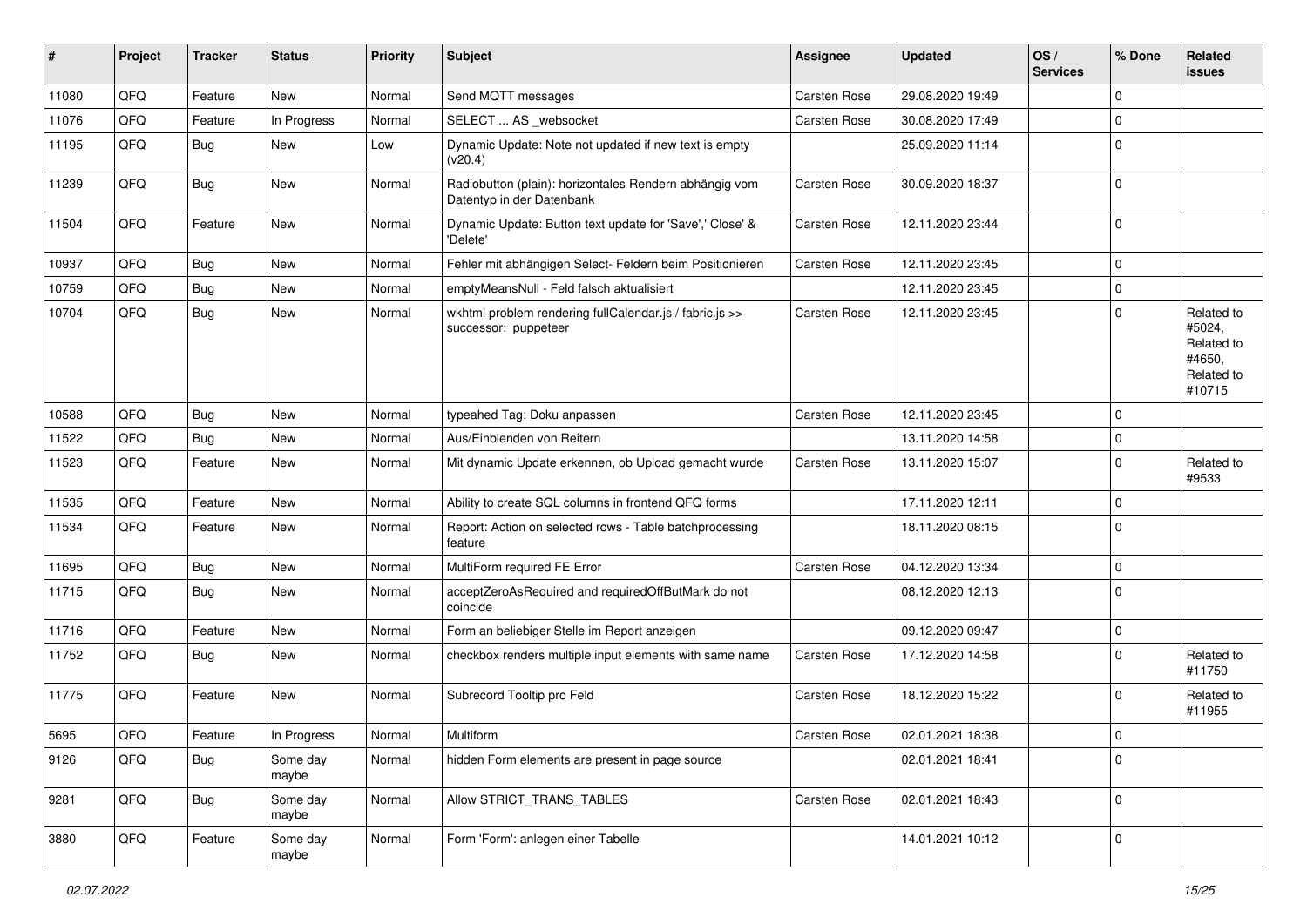| #     | Project | <b>Tracker</b> | <b>Status</b>     | <b>Priority</b> | <b>Subject</b>                                                                      | Assignee            | <b>Updated</b>   | OS/<br><b>Services</b> | % Done      | Related<br>issues                                                    |
|-------|---------|----------------|-------------------|-----------------|-------------------------------------------------------------------------------------|---------------------|------------------|------------------------|-------------|----------------------------------------------------------------------|
| 11080 | QFQ     | Feature        | New               | Normal          | Send MQTT messages                                                                  | Carsten Rose        | 29.08.2020 19:49 |                        | $\mathbf 0$ |                                                                      |
| 11076 | QFQ     | Feature        | In Progress       | Normal          | SELECT  AS _websocket                                                               | Carsten Rose        | 30.08.2020 17:49 |                        | $\mathbf 0$ |                                                                      |
| 11195 | QFQ     | Bug            | New               | Low             | Dynamic Update: Note not updated if new text is empty<br>(v20.4)                    |                     | 25.09.2020 11:14 |                        | $\mathbf 0$ |                                                                      |
| 11239 | QFQ     | <b>Bug</b>     | New               | Normal          | Radiobutton (plain): horizontales Rendern abhängig vom<br>Datentyp in der Datenbank | Carsten Rose        | 30.09.2020 18:37 |                        | $\mathbf 0$ |                                                                      |
| 11504 | QFQ     | Feature        | New               | Normal          | Dynamic Update: Button text update for 'Save',' Close' &<br>'Delete'                | <b>Carsten Rose</b> | 12.11.2020 23:44 |                        | $\mathbf 0$ |                                                                      |
| 10937 | QFQ     | <b>Bug</b>     | <b>New</b>        | Normal          | Fehler mit abhängigen Select- Feldern beim Positionieren                            | Carsten Rose        | 12.11.2020 23:45 |                        | $\mathbf 0$ |                                                                      |
| 10759 | QFQ     | <b>Bug</b>     | New               | Normal          | emptyMeansNull - Feld falsch aktualisiert                                           |                     | 12.11.2020 23:45 |                        | 0           |                                                                      |
| 10704 | QFQ     | Bug            | New               | Normal          | wkhtml problem rendering fullCalendar.js / fabric.js >><br>successor: puppeteer     | Carsten Rose        | 12.11.2020 23:45 |                        | $\mathbf 0$ | Related to<br>#5024,<br>Related to<br>#4650,<br>Related to<br>#10715 |
| 10588 | QFQ     | <b>Bug</b>     | New               | Normal          | typeahed Tag: Doku anpassen                                                         | Carsten Rose        | 12.11.2020 23:45 |                        | 0           |                                                                      |
| 11522 | QFQ     | <b>Bug</b>     | New               | Normal          | Aus/Einblenden von Reitern                                                          |                     | 13.11.2020 14:58 |                        | $\mathbf 0$ |                                                                      |
| 11523 | QFQ     | Feature        | New               | Normal          | Mit dynamic Update erkennen, ob Upload gemacht wurde                                | Carsten Rose        | 13.11.2020 15:07 |                        | 0           | Related to<br>#9533                                                  |
| 11535 | QFQ     | Feature        | New               | Normal          | Ability to create SQL columns in frontend QFQ forms                                 |                     | 17.11.2020 12:11 |                        | $\mathbf 0$ |                                                                      |
| 11534 | QFQ     | Feature        | New               | Normal          | Report: Action on selected rows - Table batchprocessing<br>feature                  |                     | 18.11.2020 08:15 |                        | $\mathbf 0$ |                                                                      |
| 11695 | QFQ     | Bug            | New               | Normal          | MultiForm required FE Error                                                         | <b>Carsten Rose</b> | 04.12.2020 13:34 |                        | 0           |                                                                      |
| 11715 | QFQ     | Bug            | New               | Normal          | acceptZeroAsRequired and requiredOffButMark do not<br>coincide                      |                     | 08.12.2020 12:13 |                        | 0           |                                                                      |
| 11716 | QFQ     | Feature        | New               | Normal          | Form an beliebiger Stelle im Report anzeigen                                        |                     | 09.12.2020 09:47 |                        | 0           |                                                                      |
| 11752 | QFQ     | Bug            | New               | Normal          | checkbox renders multiple input elements with same name                             | Carsten Rose        | 17.12.2020 14:58 |                        | $\mathbf 0$ | Related to<br>#11750                                                 |
| 11775 | QFQ     | Feature        | New               | Normal          | Subrecord Tooltip pro Feld                                                          | Carsten Rose        | 18.12.2020 15:22 |                        | $\mathbf 0$ | Related to<br>#11955                                                 |
| 5695  | QFG     | Feature        | In Progress       | Normal          | Multiform                                                                           | Carsten Rose        | 02.01.2021 18:38 |                        | $\mathbf 0$ |                                                                      |
| 9126  | QFQ     | <b>Bug</b>     | Some day<br>maybe | Normal          | hidden Form elements are present in page source                                     |                     | 02.01.2021 18:41 |                        | $\mathbf 0$ |                                                                      |
| 9281  | QFQ     | Bug            | Some day<br>maybe | Normal          | Allow STRICT TRANS TABLES                                                           | Carsten Rose        | 02.01.2021 18:43 |                        | $\mathbf 0$ |                                                                      |
| 3880  | QFQ     | Feature        | Some day<br>maybe | Normal          | Form 'Form': anlegen einer Tabelle                                                  |                     | 14.01.2021 10:12 |                        | 0           |                                                                      |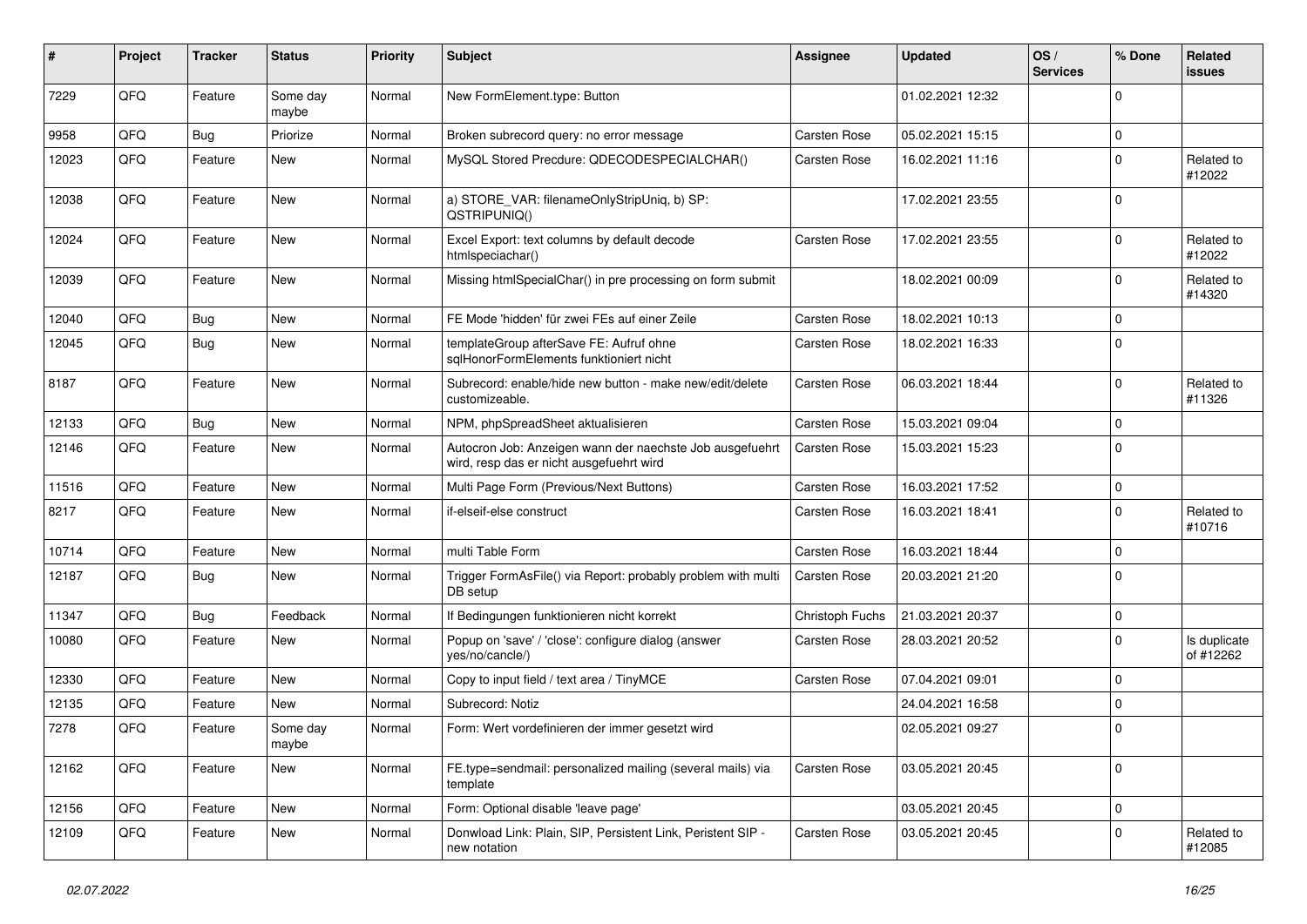| #     | Project | <b>Tracker</b> | <b>Status</b>     | <b>Priority</b> | <b>Subject</b>                                                                                       | <b>Assignee</b>     | <b>Updated</b>   | OS/<br><b>Services</b> | % Done      | Related<br>issues         |
|-------|---------|----------------|-------------------|-----------------|------------------------------------------------------------------------------------------------------|---------------------|------------------|------------------------|-------------|---------------------------|
| 7229  | QFQ     | Feature        | Some day<br>maybe | Normal          | New FormElement.type: Button                                                                         |                     | 01.02.2021 12:32 |                        | U           |                           |
| 9958  | QFQ     | Bug            | Priorize          | Normal          | Broken subrecord query: no error message                                                             | <b>Carsten Rose</b> | 05.02.2021 15:15 |                        | $\mathbf 0$ |                           |
| 12023 | QFQ     | Feature        | New               | Normal          | MySQL Stored Precdure: QDECODESPECIALCHAR()                                                          | Carsten Rose        | 16.02.2021 11:16 |                        | $\Omega$    | Related to<br>#12022      |
| 12038 | QFQ     | Feature        | New               | Normal          | a) STORE_VAR: filenameOnlyStripUniq, b) SP:<br>QSTRIPUNIQ()                                          |                     | 17.02.2021 23:55 |                        | $\Omega$    |                           |
| 12024 | QFQ     | Feature        | New               | Normal          | Excel Export: text columns by default decode<br>htmlspeciachar()                                     | <b>Carsten Rose</b> | 17.02.2021 23:55 |                        | U           | Related to<br>#12022      |
| 12039 | QFQ     | Feature        | New               | Normal          | Missing htmlSpecialChar() in pre processing on form submit                                           |                     | 18.02.2021 00:09 |                        | $\Omega$    | Related to<br>#14320      |
| 12040 | QFQ     | Bug            | New               | Normal          | FE Mode 'hidden' für zwei FEs auf einer Zeile                                                        | <b>Carsten Rose</b> | 18.02.2021 10:13 |                        | 0           |                           |
| 12045 | QFQ     | Bug            | New               | Normal          | templateGroup afterSave FE: Aufruf ohne<br>sqlHonorFormElements funktioniert nicht                   | Carsten Rose        | 18.02.2021 16:33 |                        | 0           |                           |
| 8187  | QFQ     | Feature        | New               | Normal          | Subrecord: enable/hide new button - make new/edit/delete<br>customizeable.                           | Carsten Rose        | 06.03.2021 18:44 |                        | $\Omega$    | Related to<br>#11326      |
| 12133 | QFQ     | <b>Bug</b>     | <b>New</b>        | Normal          | NPM, phpSpreadSheet aktualisieren                                                                    | <b>Carsten Rose</b> | 15.03.2021 09:04 |                        | $\Omega$    |                           |
| 12146 | QFQ     | Feature        | New               | Normal          | Autocron Job: Anzeigen wann der naechste Job ausgefuehrt<br>wird, resp das er nicht ausgefuehrt wird | <b>Carsten Rose</b> | 15.03.2021 15:23 |                        | $\Omega$    |                           |
| 11516 | QFQ     | Feature        | New               | Normal          | Multi Page Form (Previous/Next Buttons)                                                              | <b>Carsten Rose</b> | 16.03.2021 17:52 |                        | 0           |                           |
| 8217  | QFQ     | Feature        | New               | Normal          | if-elseif-else construct                                                                             | Carsten Rose        | 16.03.2021 18:41 |                        | $\Omega$    | Related to<br>#10716      |
| 10714 | QFQ     | Feature        | New               | Normal          | multi Table Form                                                                                     | <b>Carsten Rose</b> | 16.03.2021 18:44 |                        | 0           |                           |
| 12187 | QFQ     | Bug            | <b>New</b>        | Normal          | Trigger FormAsFile() via Report: probably problem with multi<br>DB setup                             | <b>Carsten Rose</b> | 20.03.2021 21:20 |                        | $\Omega$    |                           |
| 11347 | QFQ     | Bug            | Feedback          | Normal          | If Bedingungen funktionieren nicht korrekt                                                           | Christoph Fuchs     | 21.03.2021 20:37 |                        | $\mathbf 0$ |                           |
| 10080 | QFQ     | Feature        | New               | Normal          | Popup on 'save' / 'close': configure dialog (answer<br>yes/no/cancle/)                               | Carsten Rose        | 28.03.2021 20:52 |                        | 0           | Is duplicate<br>of #12262 |
| 12330 | QFQ     | Feature        | New               | Normal          | Copy to input field / text area / TinyMCE                                                            | Carsten Rose        | 07.04.2021 09:01 |                        | $\mathbf 0$ |                           |
| 12135 | QFQ     | Feature        | New               | Normal          | Subrecord: Notiz                                                                                     |                     | 24.04.2021 16:58 |                        | $\Omega$    |                           |
| 7278  | QFQ     | Feature        | Some day<br>maybe | Normal          | Form: Wert vordefinieren der immer gesetzt wird                                                      |                     | 02.05.2021 09:27 |                        | $\Omega$    |                           |
| 12162 | QFQ     | Feature        | New               | Normal          | FE.type=sendmail: personalized mailing (several mails) via<br>template                               | Carsten Rose        | 03.05.2021 20:45 |                        | 0           |                           |
| 12156 | QFQ     | Feature        | New               | Normal          | Form: Optional disable 'leave page'                                                                  |                     | 03.05.2021 20:45 |                        | 0           |                           |
| 12109 | QFQ     | Feature        | New               | Normal          | Donwload Link: Plain, SIP, Persistent Link, Peristent SIP -<br>new notation                          | Carsten Rose        | 03.05.2021 20:45 |                        | $\Omega$    | Related to<br>#12085      |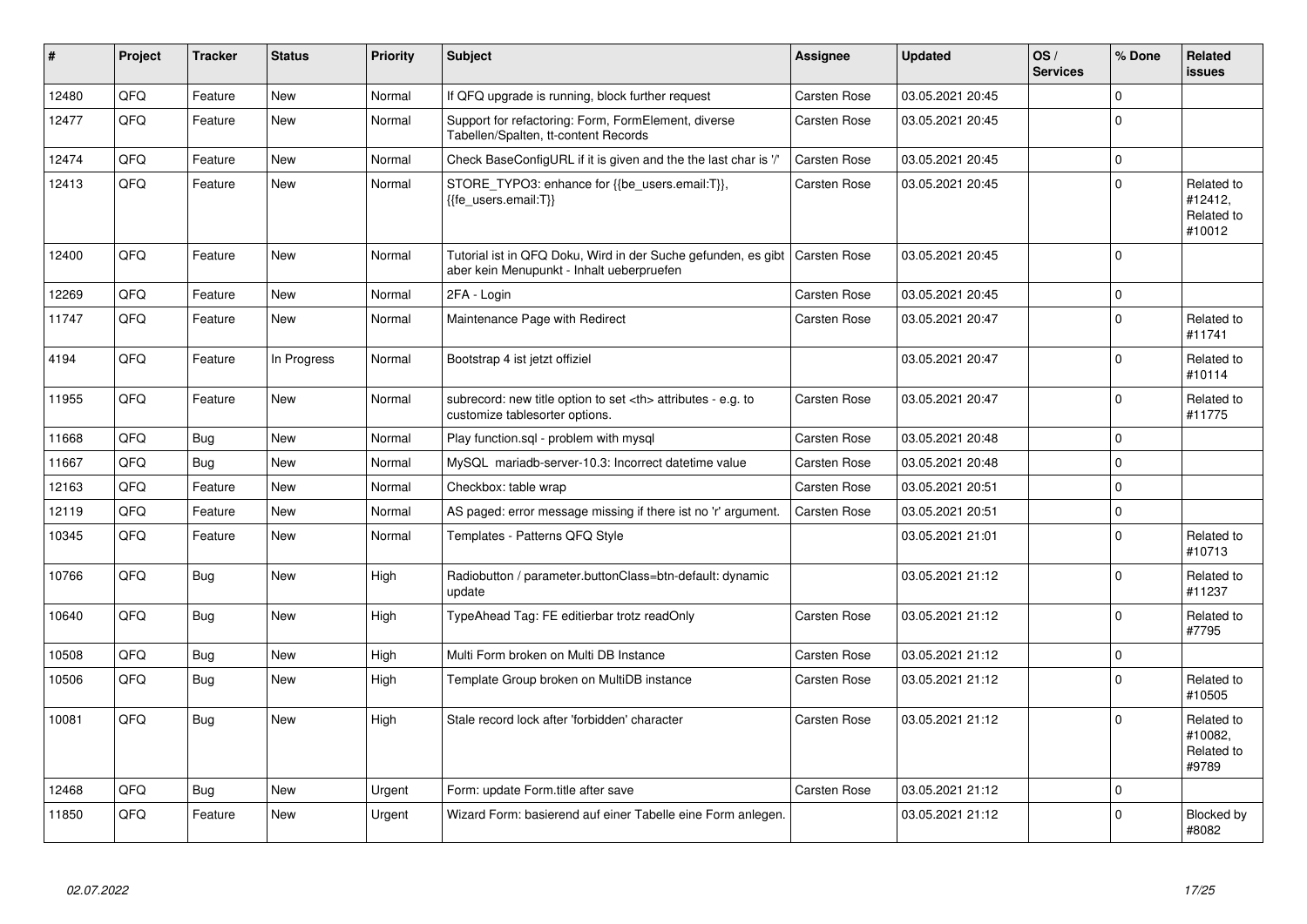| #     | Project | <b>Tracker</b> | <b>Status</b> | <b>Priority</b> | <b>Subject</b>                                                                                                            | Assignee                                               | <b>Updated</b>   | OS/<br><b>Services</b> | % Done      | Related<br><b>issues</b>                      |                      |
|-------|---------|----------------|---------------|-----------------|---------------------------------------------------------------------------------------------------------------------------|--------------------------------------------------------|------------------|------------------------|-------------|-----------------------------------------------|----------------------|
| 12480 | QFQ     | Feature        | <b>New</b>    | Normal          | If QFQ upgrade is running, block further request                                                                          | <b>Carsten Rose</b>                                    | 03.05.2021 20:45 |                        | $\Omega$    |                                               |                      |
| 12477 | QFQ     | Feature        | New           | Normal          | Support for refactoring: Form, FormElement, diverse<br>Tabellen/Spalten, tt-content Records                               | <b>Carsten Rose</b>                                    | 03.05.2021 20:45 |                        | $\Omega$    |                                               |                      |
| 12474 | QFQ     | Feature        | <b>New</b>    | Normal          | Check BaseConfigURL if it is given and the the last char is '/'                                                           | <b>Carsten Rose</b>                                    | 03.05.2021 20:45 |                        | $\Omega$    |                                               |                      |
| 12413 | QFQ     | Feature        | New           | Normal          | STORE_TYPO3: enhance for {{be_users.email:T}},<br>{{fe users.email:T}}                                                    | Carsten Rose                                           | 03.05.2021 20:45 |                        | $\Omega$    | Related to<br>#12412,<br>Related to<br>#10012 |                      |
| 12400 | QFQ     | Feature        | <b>New</b>    | Normal          | Tutorial ist in QFQ Doku, Wird in der Suche gefunden, es gibt   Carsten Rose<br>aber kein Menupunkt - Inhalt ueberpruefen |                                                        | 03.05.2021 20:45 |                        | $\Omega$    |                                               |                      |
| 12269 | QFQ     | Feature        | <b>New</b>    | Normal          | 2FA - Login                                                                                                               | Carsten Rose                                           | 03.05.2021 20:45 |                        | $\Omega$    |                                               |                      |
| 11747 | QFQ     | Feature        | New           | Normal          | Maintenance Page with Redirect                                                                                            | <b>Carsten Rose</b>                                    | 03.05.2021 20:47 |                        | $\Omega$    | Related to<br>#11741                          |                      |
| 4194  | QFQ     | Feature        | In Progress   | Normal          | Bootstrap 4 ist jetzt offiziel                                                                                            |                                                        | 03.05.2021 20:47 |                        | 0           | Related to<br>#10114                          |                      |
| 11955 | QFQ     | Feature        | New           | Normal          | subrecord: new title option to set <th> attributes - e.g. to<br/>customize tablesorter options.</th>                      | attributes - e.g. to<br>customize tablesorter options. | Carsten Rose     | 03.05.2021 20:47       |             | $\Omega$                                      | Related to<br>#11775 |
| 11668 | QFQ     | <b>Bug</b>     | New           | Normal          | Play function.sql - problem with mysql                                                                                    | Carsten Rose                                           | 03.05.2021 20:48 |                        | 0           |                                               |                      |
| 11667 | QFQ     | Bug            | New           | Normal          | MySQL mariadb-server-10.3: Incorrect datetime value                                                                       | Carsten Rose                                           | 03.05.2021 20:48 |                        | $\Omega$    |                                               |                      |
| 12163 | QFQ     | Feature        | New           | Normal          | Checkbox: table wrap                                                                                                      | <b>Carsten Rose</b>                                    | 03.05.2021 20:51 |                        | $\Omega$    |                                               |                      |
| 12119 | QFQ     | Feature        | <b>New</b>    | Normal          | AS paged: error message missing if there ist no 'r' argument.                                                             | <b>Carsten Rose</b>                                    | 03.05.2021 20:51 |                        | $\Omega$    |                                               |                      |
| 10345 | QFQ     | Feature        | <b>New</b>    | Normal          | Templates - Patterns QFQ Style                                                                                            |                                                        | 03.05.2021 21:01 |                        | $\Omega$    | Related to<br>#10713                          |                      |
| 10766 | QFQ     | <b>Bug</b>     | <b>New</b>    | High            | Radiobutton / parameter.buttonClass=btn-default: dynamic<br>update                                                        |                                                        | 03.05.2021 21:12 |                        | $\Omega$    | Related to<br>#11237                          |                      |
| 10640 | QFQ     | <b>Bug</b>     | New           | High            | TypeAhead Tag: FE editierbar trotz readOnly                                                                               | <b>Carsten Rose</b>                                    | 03.05.2021 21:12 |                        | $\Omega$    | Related to<br>#7795                           |                      |
| 10508 | QFQ     | Bug            | <b>New</b>    | High            | Multi Form broken on Multi DB Instance                                                                                    | <b>Carsten Rose</b>                                    | 03.05.2021 21:12 |                        | $\mathbf 0$ |                                               |                      |
| 10506 | QFQ     | <b>Bug</b>     | New           | High            | Template Group broken on MultiDB instance                                                                                 | Carsten Rose                                           | 03.05.2021 21:12 |                        | 0           | Related to<br>#10505                          |                      |
| 10081 | QFQ     | Bug            | New           | High            | Stale record lock after 'forbidden' character                                                                             | Carsten Rose                                           | 03.05.2021 21:12 |                        | $\Omega$    | Related to<br>#10082,<br>Related to<br>#9789  |                      |
| 12468 | QFQ     | Bug            | <b>New</b>    | Urgent          | Form: update Form.title after save                                                                                        | <b>Carsten Rose</b>                                    | 03.05.2021 21:12 |                        | $\Omega$    |                                               |                      |
| 11850 | QFQ     | Feature        | New           | Urgent          | Wizard Form: basierend auf einer Tabelle eine Form anlegen.                                                               |                                                        | 03.05.2021 21:12 |                        | $\Omega$    | Blocked by<br>#8082                           |                      |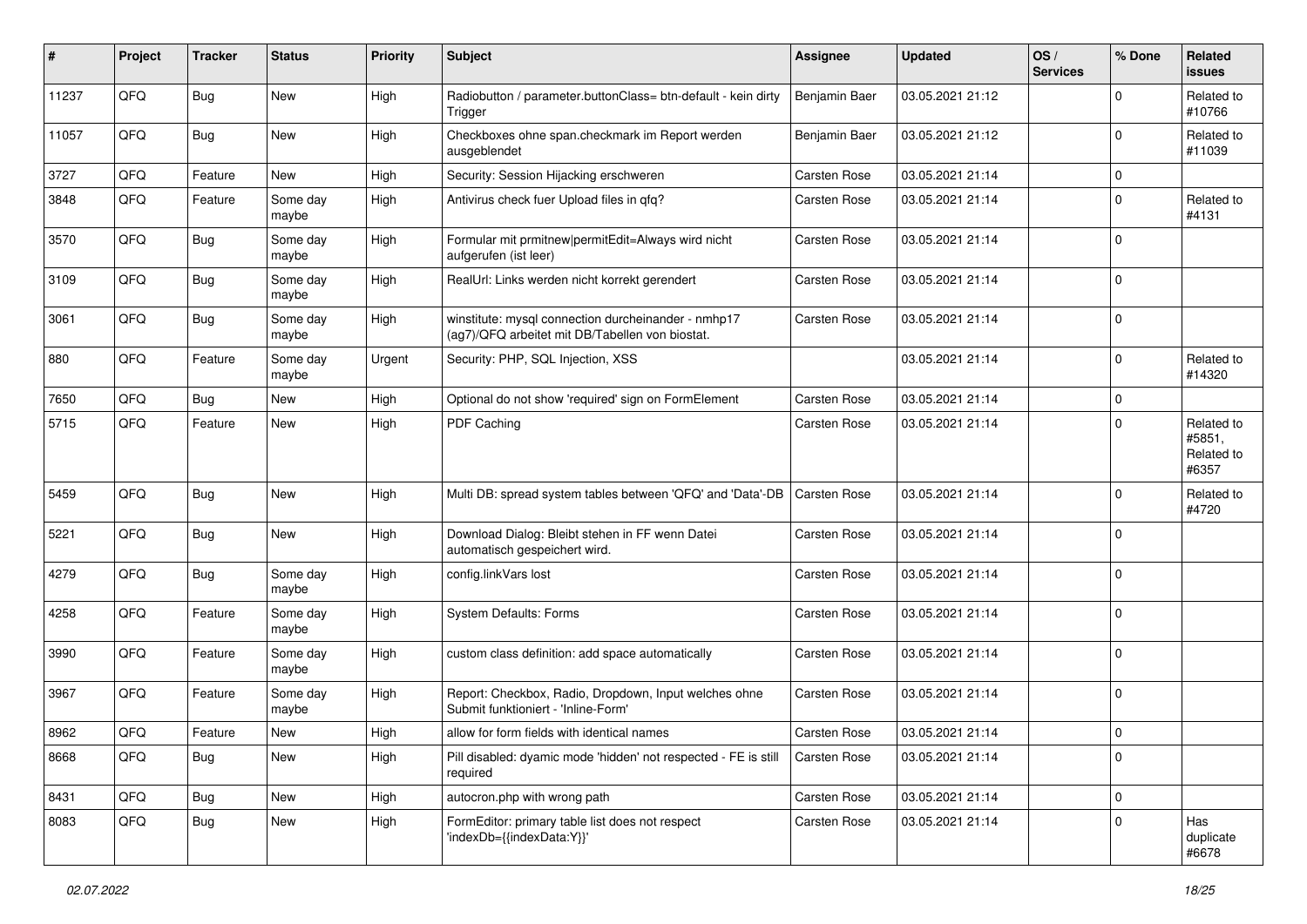| #     | Project | <b>Tracker</b> | <b>Status</b>     | <b>Priority</b> | Subject                                                                                                | Assignee            | <b>Updated</b>   | OS/<br><b>Services</b> | % Done      | Related<br>issues                           |
|-------|---------|----------------|-------------------|-----------------|--------------------------------------------------------------------------------------------------------|---------------------|------------------|------------------------|-------------|---------------------------------------------|
| 11237 | QFQ     | <b>Bug</b>     | New               | High            | Radiobutton / parameter.buttonClass= btn-default - kein dirty<br>Trigger                               | Benjamin Baer       | 03.05.2021 21:12 |                        | $\Omega$    | Related to<br>#10766                        |
| 11057 | QFQ     | Bug            | New               | High            | Checkboxes ohne span.checkmark im Report werden<br>ausgeblendet                                        | Benjamin Baer       | 03.05.2021 21:12 |                        | $\Omega$    | Related to<br>#11039                        |
| 3727  | QFQ     | Feature        | New               | High            | Security: Session Hijacking erschweren                                                                 | Carsten Rose        | 03.05.2021 21:14 |                        | $\Omega$    |                                             |
| 3848  | QFQ     | Feature        | Some day<br>maybe | High            | Antivirus check fuer Upload files in qfq?                                                              | Carsten Rose        | 03.05.2021 21:14 |                        | $\Omega$    | Related to<br>#4131                         |
| 3570  | QFQ     | <b>Bug</b>     | Some day<br>maybe | High            | Formular mit prmitnew   permitEdit=Always wird nicht<br>aufgerufen (ist leer)                          | Carsten Rose        | 03.05.2021 21:14 |                        | $\Omega$    |                                             |
| 3109  | QFQ     | <b>Bug</b>     | Some day<br>maybe | High            | RealUrl: Links werden nicht korrekt gerendert                                                          | <b>Carsten Rose</b> | 03.05.2021 21:14 |                        | $\Omega$    |                                             |
| 3061  | QFQ     | <b>Bug</b>     | Some day<br>maybe | High            | winstitute: mysql connection durcheinander - nmhp17<br>(ag7)/QFQ arbeitet mit DB/Tabellen von biostat. | <b>Carsten Rose</b> | 03.05.2021 21:14 |                        | $\mathbf 0$ |                                             |
| 880   | QFQ     | Feature        | Some day<br>maybe | Urgent          | Security: PHP, SQL Injection, XSS                                                                      |                     | 03.05.2021 21:14 |                        | $\Omega$    | Related to<br>#14320                        |
| 7650  | QFQ     | <b>Bug</b>     | New               | High            | Optional do not show 'required' sign on FormElement                                                    | <b>Carsten Rose</b> | 03.05.2021 21:14 |                        | 0           |                                             |
| 5715  | QFQ     | Feature        | New               | High            | PDF Caching                                                                                            | Carsten Rose        | 03.05.2021 21:14 |                        | $\Omega$    | Related to<br>#5851,<br>Related to<br>#6357 |
| 5459  | QFQ     | <b>Bug</b>     | New               | High            | Multi DB: spread system tables between 'QFQ' and 'Data'-DB                                             | <b>Carsten Rose</b> | 03.05.2021 21:14 |                        | $\Omega$    | Related to<br>#4720                         |
| 5221  | QFQ     | <b>Bug</b>     | New               | High            | Download Dialog: Bleibt stehen in FF wenn Datei<br>automatisch gespeichert wird.                       | <b>Carsten Rose</b> | 03.05.2021 21:14 |                        | $\Omega$    |                                             |
| 4279  | QFQ     | <b>Bug</b>     | Some day<br>maybe | High            | config.linkVars lost                                                                                   | <b>Carsten Rose</b> | 03.05.2021 21:14 |                        | $\Omega$    |                                             |
| 4258  | QFQ     | Feature        | Some day<br>maybe | High            | <b>System Defaults: Forms</b>                                                                          | <b>Carsten Rose</b> | 03.05.2021 21:14 |                        | $\Omega$    |                                             |
| 3990  | QFQ     | Feature        | Some day<br>maybe | High            | custom class definition: add space automatically                                                       | Carsten Rose        | 03.05.2021 21:14 |                        | $\mathbf 0$ |                                             |
| 3967  | QFQ     | Feature        | Some day<br>maybe | High            | Report: Checkbox, Radio, Dropdown, Input welches ohne<br>Submit funktioniert - 'Inline-Form'           | Carsten Rose        | 03.05.2021 21:14 |                        | 0           |                                             |
| 8962  | QFQ     | Feature        | <b>New</b>        | High            | allow for form fields with identical names                                                             | <b>Carsten Rose</b> | 03.05.2021 21:14 |                        | 0           |                                             |
| 8668  | QFQ     | <b>Bug</b>     | New               | High            | Pill disabled: dyamic mode 'hidden' not respected - FE is still<br>required                            | <b>Carsten Rose</b> | 03.05.2021 21:14 |                        | 0           |                                             |
| 8431  | QFQ     | <b>Bug</b>     | New               | High            | autocron.php with wrong path                                                                           | Carsten Rose        | 03.05.2021 21:14 |                        | $\mathbf 0$ |                                             |
| 8083  | QFQ     | <b>Bug</b>     | New               | High            | FormEditor: primary table list does not respect<br>'indexDb={{indexData:Y}}'                           | Carsten Rose        | 03.05.2021 21:14 |                        | $\mathbf 0$ | Has<br>duplicate<br>#6678                   |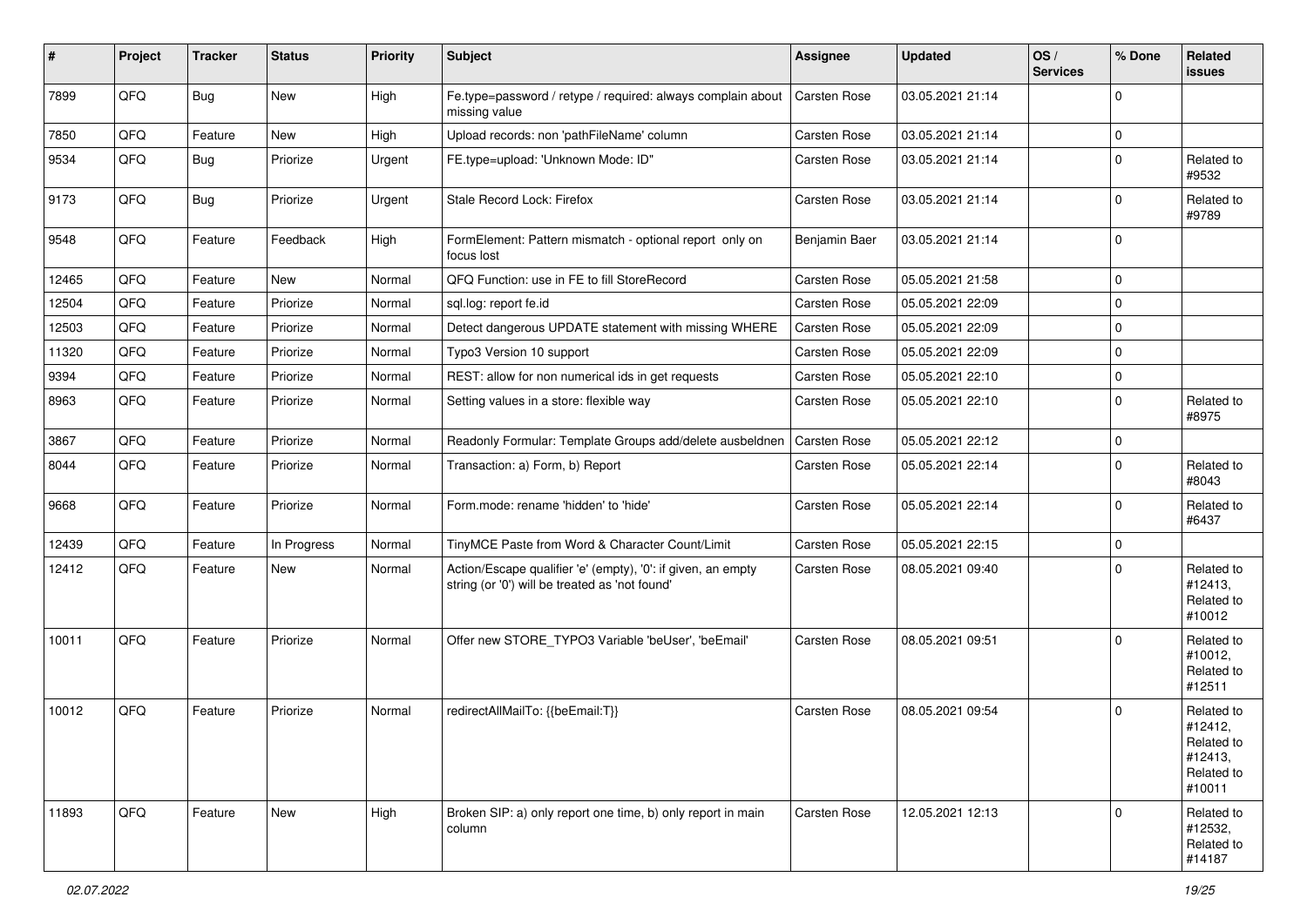| #     | Project | <b>Tracker</b> | <b>Status</b> | <b>Priority</b> | Subject                                                                                                        | Assignee            | <b>Updated</b>   | OS/<br><b>Services</b> | % Done      | Related<br>issues                                                      |
|-------|---------|----------------|---------------|-----------------|----------------------------------------------------------------------------------------------------------------|---------------------|------------------|------------------------|-------------|------------------------------------------------------------------------|
| 7899  | QFQ     | Bug            | New           | High            | Fe.type=password / retype / required: always complain about<br>missing value                                   | <b>Carsten Rose</b> | 03.05.2021 21:14 |                        | $\Omega$    |                                                                        |
| 7850  | QFQ     | Feature        | New           | High            | Upload records: non 'pathFileName' column                                                                      | Carsten Rose        | 03.05.2021 21:14 |                        | $\mathbf 0$ |                                                                        |
| 9534  | QFQ     | <b>Bug</b>     | Priorize      | Urgent          | FE.type=upload: 'Unknown Mode: ID"                                                                             | Carsten Rose        | 03.05.2021 21:14 |                        | $\Omega$    | Related to<br>#9532                                                    |
| 9173  | QFQ     | Bug            | Priorize      | Urgent          | Stale Record Lock: Firefox                                                                                     | <b>Carsten Rose</b> | 03.05.2021 21:14 |                        | $\Omega$    | Related to<br>#9789                                                    |
| 9548  | QFQ     | Feature        | Feedback      | High            | FormElement: Pattern mismatch - optional report only on<br>focus lost                                          | Benjamin Baer       | 03.05.2021 21:14 |                        | $\Omega$    |                                                                        |
| 12465 | QFQ     | Feature        | New           | Normal          | QFQ Function: use in FE to fill StoreRecord                                                                    | Carsten Rose        | 05.05.2021 21:58 |                        | l 0         |                                                                        |
| 12504 | QFQ     | Feature        | Priorize      | Normal          | sql.log: report fe.id                                                                                          | Carsten Rose        | 05.05.2021 22:09 |                        | $\mathbf 0$ |                                                                        |
| 12503 | QFQ     | Feature        | Priorize      | Normal          | Detect dangerous UPDATE statement with missing WHERE                                                           | <b>Carsten Rose</b> | 05.05.2021 22:09 |                        | $\mathbf 0$ |                                                                        |
| 11320 | QFQ     | Feature        | Priorize      | Normal          | Typo3 Version 10 support                                                                                       | <b>Carsten Rose</b> | 05.05.2021 22:09 |                        | $\mathbf 0$ |                                                                        |
| 9394  | QFQ     | Feature        | Priorize      | Normal          | REST: allow for non numerical ids in get requests                                                              | Carsten Rose        | 05.05.2021 22:10 |                        | $\mathbf 0$ |                                                                        |
| 8963  | QFQ     | Feature        | Priorize      | Normal          | Setting values in a store: flexible way                                                                        | Carsten Rose        | 05.05.2021 22:10 |                        | $\mathbf 0$ | Related to<br>#8975                                                    |
| 3867  | QFQ     | Feature        | Priorize      | Normal          | Readonly Formular: Template Groups add/delete ausbeldnen                                                       | <b>Carsten Rose</b> | 05.05.2021 22:12 |                        | $\mathbf 0$ |                                                                        |
| 8044  | QFQ     | Feature        | Priorize      | Normal          | Transaction: a) Form, b) Report                                                                                | Carsten Rose        | 05.05.2021 22:14 |                        | $\Omega$    | Related to<br>#8043                                                    |
| 9668  | QFQ     | Feature        | Priorize      | Normal          | Form.mode: rename 'hidden' to 'hide'                                                                           | Carsten Rose        | 05.05.2021 22:14 |                        | $\mathbf 0$ | Related to<br>#6437                                                    |
| 12439 | QFQ     | Feature        | In Progress   | Normal          | TinyMCE Paste from Word & Character Count/Limit                                                                | Carsten Rose        | 05.05.2021 22:15 |                        | 0           |                                                                        |
| 12412 | QFQ     | Feature        | New           | Normal          | Action/Escape qualifier 'e' (empty), '0': if given, an empty<br>string (or '0') will be treated as 'not found' | Carsten Rose        | 08.05.2021 09:40 |                        | $\Omega$    | Related to<br>#12413,<br>Related to<br>#10012                          |
| 10011 | QFQ     | Feature        | Priorize      | Normal          | Offer new STORE_TYPO3 Variable 'beUser', 'beEmail'                                                             | <b>Carsten Rose</b> | 08.05.2021 09:51 |                        | $\Omega$    | Related to<br>#10012,<br>Related to<br>#12511                          |
| 10012 | QFQ     | Feature        | Priorize      | Normal          | redirectAllMailTo: {{beEmail:T}}                                                                               | Carsten Rose        | 08.05.2021 09:54 |                        | $\Omega$    | Related to<br>#12412,<br>Related to<br>#12413,<br>Related to<br>#10011 |
| 11893 | QFQ     | Feature        | New           | High            | Broken SIP: a) only report one time, b) only report in main<br>column                                          | Carsten Rose        | 12.05.2021 12:13 |                        | $\mathbf 0$ | Related to<br>#12532,<br>Related to<br>#14187                          |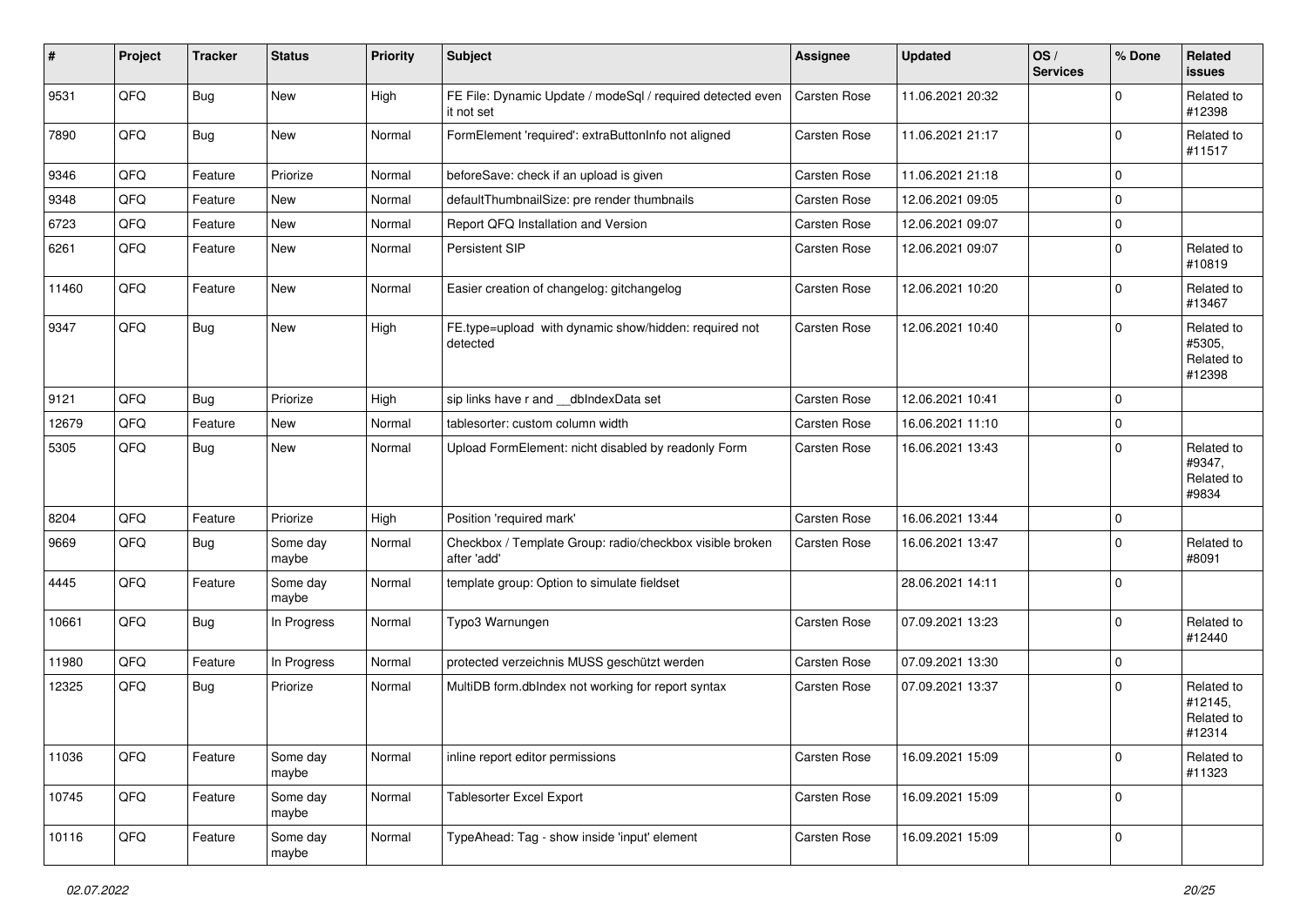| $\sharp$ | Project | <b>Tracker</b> | <b>Status</b>     | <b>Priority</b> | Subject                                                                  | Assignee     | <b>Updated</b>   | OS/<br><b>Services</b> | % Done      | Related<br>issues                             |
|----------|---------|----------------|-------------------|-----------------|--------------------------------------------------------------------------|--------------|------------------|------------------------|-------------|-----------------------------------------------|
| 9531     | QFQ     | <b>Bug</b>     | <b>New</b>        | High            | FE File: Dynamic Update / modeSql / required detected even<br>it not set | Carsten Rose | 11.06.2021 20:32 |                        | 0           | Related to<br>#12398                          |
| 7890     | QFQ     | <b>Bug</b>     | <b>New</b>        | Normal          | FormElement 'required': extraButtonInfo not aligned                      | Carsten Rose | 11.06.2021 21:17 |                        | $\mathbf 0$ | Related to<br>#11517                          |
| 9346     | QFQ     | Feature        | Priorize          | Normal          | beforeSave: check if an upload is given                                  | Carsten Rose | 11.06.2021 21:18 |                        | $\mathbf 0$ |                                               |
| 9348     | QFQ     | Feature        | New               | Normal          | defaultThumbnailSize: pre render thumbnails                              | Carsten Rose | 12.06.2021 09:05 |                        | $\mathbf 0$ |                                               |
| 6723     | QFQ     | Feature        | New               | Normal          | Report QFQ Installation and Version                                      | Carsten Rose | 12.06.2021 09:07 |                        | $\mathbf 0$ |                                               |
| 6261     | QFQ     | Feature        | New               | Normal          | Persistent SIP                                                           | Carsten Rose | 12.06.2021 09:07 |                        | $\mathbf 0$ | Related to<br>#10819                          |
| 11460    | QFQ     | Feature        | New               | Normal          | Easier creation of changelog: gitchangelog                               | Carsten Rose | 12.06.2021 10:20 |                        | $\mathbf 0$ | Related to<br>#13467                          |
| 9347     | QFQ     | Bug            | <b>New</b>        | High            | FE.type=upload with dynamic show/hidden: required not<br>detected        | Carsten Rose | 12.06.2021 10:40 |                        | $\mathbf 0$ | Related to<br>#5305,<br>Related to<br>#12398  |
| 9121     | QFQ     | Bug            | Priorize          | High            | sip links have r and dblndexData set                                     | Carsten Rose | 12.06.2021 10:41 |                        | $\mathbf 0$ |                                               |
| 12679    | QFQ     | Feature        | New               | Normal          | tablesorter: custom column width                                         | Carsten Rose | 16.06.2021 11:10 |                        | $\mathbf 0$ |                                               |
| 5305     | QFQ     | Bug            | <b>New</b>        | Normal          | Upload FormElement: nicht disabled by readonly Form                      | Carsten Rose | 16.06.2021 13:43 |                        | $\Omega$    | Related to<br>#9347,<br>Related to<br>#9834   |
| 8204     | QFQ     | Feature        | Priorize          | High            | Position 'required mark'                                                 | Carsten Rose | 16.06.2021 13:44 |                        | $\mathbf 0$ |                                               |
| 9669     | QFQ     | <b>Bug</b>     | Some day<br>maybe | Normal          | Checkbox / Template Group: radio/checkbox visible broken<br>after 'add'  | Carsten Rose | 16.06.2021 13:47 |                        | $\mathbf 0$ | Related to<br>#8091                           |
| 4445     | QFQ     | Feature        | Some day<br>maybe | Normal          | template group: Option to simulate fieldset                              |              | 28.06.2021 14:11 |                        | $\mathbf 0$ |                                               |
| 10661    | QFQ     | Bug            | In Progress       | Normal          | Typo3 Warnungen                                                          | Carsten Rose | 07.09.2021 13:23 |                        | $\mathbf 0$ | Related to<br>#12440                          |
| 11980    | QFQ     | Feature        | In Progress       | Normal          | protected verzeichnis MUSS geschützt werden                              | Carsten Rose | 07.09.2021 13:30 |                        | $\mathbf 0$ |                                               |
| 12325    | QFQ     | <b>Bug</b>     | Priorize          | Normal          | MultiDB form.dblndex not working for report syntax                       | Carsten Rose | 07.09.2021 13:37 |                        | $\Omega$    | Related to<br>#12145,<br>Related to<br>#12314 |
| 11036    | QFQ     | Feature        | Some day<br>maybe | Normal          | inline report editor permissions                                         | Carsten Rose | 16.09.2021 15:09 |                        | 0           | Related to<br>#11323                          |
| 10745    | QFQ     | Feature        | Some day<br>maybe | Normal          | Tablesorter Excel Export                                                 | Carsten Rose | 16.09.2021 15:09 |                        | $\mathbf 0$ |                                               |
| 10116    | QFQ     | Feature        | Some day<br>maybe | Normal          | TypeAhead: Tag - show inside 'input' element                             | Carsten Rose | 16.09.2021 15:09 |                        | $\mathbf 0$ |                                               |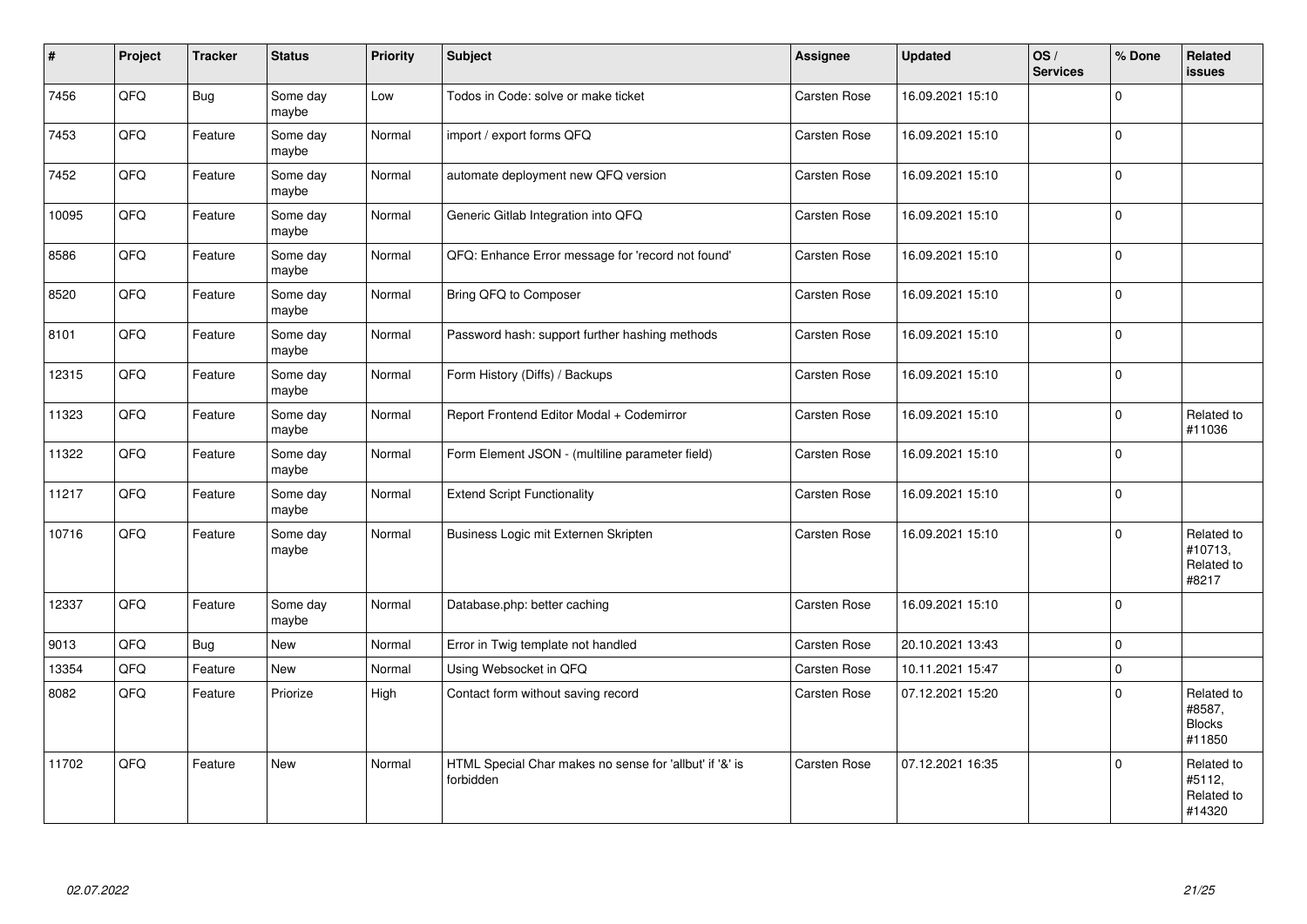| #     | Project | <b>Tracker</b> | <b>Status</b>     | <b>Priority</b> | Subject                                                              | <b>Assignee</b>     | <b>Updated</b>   | OS/<br><b>Services</b> | % Done         | Related<br><b>issues</b>                        |
|-------|---------|----------------|-------------------|-----------------|----------------------------------------------------------------------|---------------------|------------------|------------------------|----------------|-------------------------------------------------|
| 7456  | QFQ     | <b>Bug</b>     | Some day<br>maybe | Low             | Todos in Code: solve or make ticket                                  | Carsten Rose        | 16.09.2021 15:10 |                        | $\Omega$       |                                                 |
| 7453  | QFQ     | Feature        | Some day<br>maybe | Normal          | import / export forms QFQ                                            | Carsten Rose        | 16.09.2021 15:10 |                        | $\overline{0}$ |                                                 |
| 7452  | QFQ     | Feature        | Some day<br>maybe | Normal          | automate deployment new QFQ version                                  | Carsten Rose        | 16.09.2021 15:10 |                        | $\Omega$       |                                                 |
| 10095 | QFQ     | Feature        | Some day<br>maybe | Normal          | Generic Gitlab Integration into QFQ                                  | Carsten Rose        | 16.09.2021 15:10 |                        | $\Omega$       |                                                 |
| 8586  | QFQ     | Feature        | Some day<br>maybe | Normal          | QFQ: Enhance Error message for 'record not found'                    | Carsten Rose        | 16.09.2021 15:10 |                        | 0              |                                                 |
| 8520  | QFQ     | Feature        | Some day<br>maybe | Normal          | Bring QFQ to Composer                                                | Carsten Rose        | 16.09.2021 15:10 |                        | $\Omega$       |                                                 |
| 8101  | QFQ     | Feature        | Some day<br>maybe | Normal          | Password hash: support further hashing methods                       | Carsten Rose        | 16.09.2021 15:10 |                        | $\Omega$       |                                                 |
| 12315 | QFQ     | Feature        | Some day<br>maybe | Normal          | Form History (Diffs) / Backups                                       | Carsten Rose        | 16.09.2021 15:10 |                        | 0              |                                                 |
| 11323 | QFQ     | Feature        | Some day<br>maybe | Normal          | Report Frontend Editor Modal + Codemirror                            | Carsten Rose        | 16.09.2021 15:10 |                        | $\Omega$       | Related to<br>#11036                            |
| 11322 | QFQ     | Feature        | Some day<br>maybe | Normal          | Form Element JSON - (multiline parameter field)                      | Carsten Rose        | 16.09.2021 15:10 |                        | $\Omega$       |                                                 |
| 11217 | QFQ     | Feature        | Some day<br>maybe | Normal          | <b>Extend Script Functionality</b>                                   | Carsten Rose        | 16.09.2021 15:10 |                        | $\Omega$       |                                                 |
| 10716 | QFQ     | Feature        | Some day<br>maybe | Normal          | Business Logic mit Externen Skripten                                 | <b>Carsten Rose</b> | 16.09.2021 15:10 |                        | $\Omega$       | Related to<br>#10713,<br>Related to<br>#8217    |
| 12337 | QFQ     | Feature        | Some day<br>maybe | Normal          | Database.php: better caching                                         | Carsten Rose        | 16.09.2021 15:10 |                        | 0              |                                                 |
| 9013  | QFQ     | <b>Bug</b>     | New               | Normal          | Error in Twig template not handled                                   | <b>Carsten Rose</b> | 20.10.2021 13:43 |                        | 0              |                                                 |
| 13354 | QFQ     | Feature        | <b>New</b>        | Normal          | Using Websocket in QFQ                                               | Carsten Rose        | 10.11.2021 15:47 |                        | $\Omega$       |                                                 |
| 8082  | QFQ     | Feature        | Priorize          | High            | Contact form without saving record                                   | Carsten Rose        | 07.12.2021 15:20 |                        | $\Omega$       | Related to<br>#8587,<br><b>Blocks</b><br>#11850 |
| 11702 | QFQ     | Feature        | New               | Normal          | HTML Special Char makes no sense for 'allbut' if '&' is<br>forbidden | <b>Carsten Rose</b> | 07.12.2021 16:35 |                        | $\Omega$       | Related to<br>#5112,<br>Related to<br>#14320    |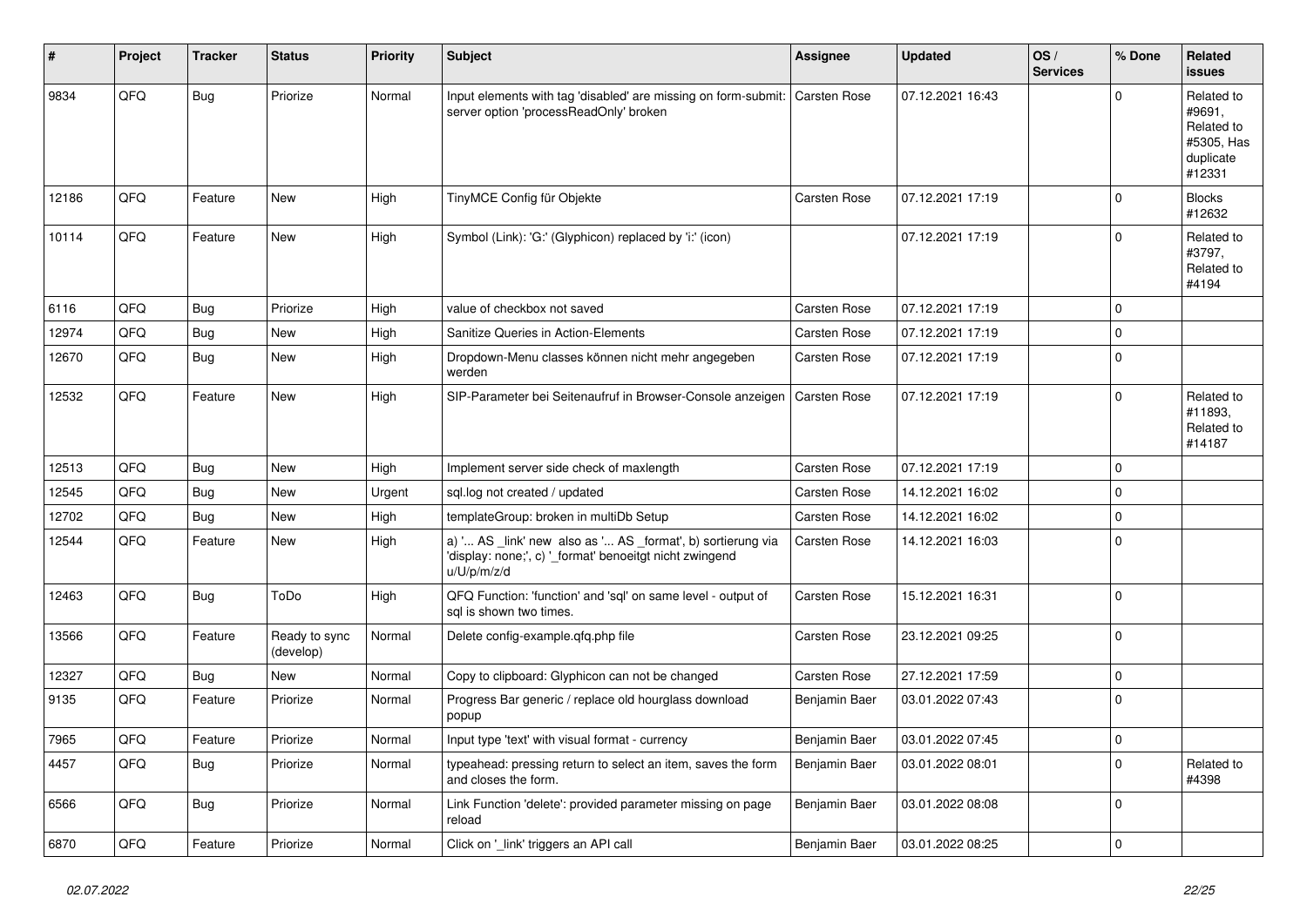| #     | Project | <b>Tracker</b> | <b>Status</b>              | <b>Priority</b> | <b>Subject</b>                                                                                                                        | Assignee            | <b>Updated</b>   | OS/<br><b>Services</b> | % Done      | Related<br><b>issues</b>                                                |
|-------|---------|----------------|----------------------------|-----------------|---------------------------------------------------------------------------------------------------------------------------------------|---------------------|------------------|------------------------|-------------|-------------------------------------------------------------------------|
| 9834  | QFQ     | <b>Bug</b>     | Priorize                   | Normal          | Input elements with tag 'disabled' are missing on form-submit:<br>server option 'processReadOnly' broken                              | <b>Carsten Rose</b> | 07.12.2021 16:43 |                        | $\Omega$    | Related to<br>#9691,<br>Related to<br>#5305, Has<br>duplicate<br>#12331 |
| 12186 | QFQ     | Feature        | New                        | High            | TinyMCE Config für Objekte                                                                                                            | Carsten Rose        | 07.12.2021 17:19 |                        | $\Omega$    | <b>Blocks</b><br>#12632                                                 |
| 10114 | QFQ     | Feature        | <b>New</b>                 | High            | Symbol (Link): 'G:' (Glyphicon) replaced by 'i:' (icon)                                                                               |                     | 07.12.2021 17:19 |                        | $\Omega$    | Related to<br>#3797,<br>Related to<br>#4194                             |
| 6116  | QFQ     | Bug            | Priorize                   | High            | value of checkbox not saved                                                                                                           | <b>Carsten Rose</b> | 07.12.2021 17:19 |                        | $\Omega$    |                                                                         |
| 12974 | QFQ     | Bug            | New                        | High            | Sanitize Queries in Action-Elements                                                                                                   | Carsten Rose        | 07.12.2021 17:19 |                        | $\Omega$    |                                                                         |
| 12670 | QFQ     | <b>Bug</b>     | <b>New</b>                 | High            | Dropdown-Menu classes können nicht mehr angegeben<br>werden                                                                           | <b>Carsten Rose</b> | 07.12.2021 17:19 |                        | $\Omega$    |                                                                         |
| 12532 | QFQ     | Feature        | New                        | High            | SIP-Parameter bei Seitenaufruf in Browser-Console anzeigen                                                                            | Carsten Rose        | 07.12.2021 17:19 |                        | $\Omega$    | Related to<br>#11893,<br>Related to<br>#14187                           |
| 12513 | QFQ     | Bug            | <b>New</b>                 | High            | Implement server side check of maxlength                                                                                              | Carsten Rose        | 07.12.2021 17:19 |                        | $\Omega$    |                                                                         |
| 12545 | QFQ     | <b>Bug</b>     | <b>New</b>                 | Urgent          | sgl.log not created / updated                                                                                                         | Carsten Rose        | 14.12.2021 16:02 |                        | $\Omega$    |                                                                         |
| 12702 | QFQ     | Bug            | New                        | High            | templateGroup: broken in multiDb Setup                                                                                                | <b>Carsten Rose</b> | 14.12.2021 16:02 |                        | $\Omega$    |                                                                         |
| 12544 | QFQ     | Feature        | New                        | High            | a) ' AS _link' new also as ' AS _format', b) sortierung via<br>'display: none;', c) '_format' benoeitgt nicht zwingend<br>u/U/p/m/z/d | Carsten Rose        | 14.12.2021 16:03 |                        | $\mathbf 0$ |                                                                         |
| 12463 | QFQ     | <b>Bug</b>     | ToDo                       | High            | QFQ Function: 'function' and 'sql' on same level - output of<br>sql is shown two times.                                               | <b>Carsten Rose</b> | 15.12.2021 16:31 |                        | I۵          |                                                                         |
| 13566 | QFQ     | Feature        | Ready to sync<br>(develop) | Normal          | Delete config-example.gfg.php file                                                                                                    | Carsten Rose        | 23.12.2021 09:25 |                        | $\Omega$    |                                                                         |
| 12327 | QFQ     | <b>Bug</b>     | New                        | Normal          | Copy to clipboard: Glyphicon can not be changed                                                                                       | Carsten Rose        | 27.12.2021 17:59 |                        | $\mathbf 0$ |                                                                         |
| 9135  | QFQ     | Feature        | Priorize                   | Normal          | Progress Bar generic / replace old hourglass download<br>popup                                                                        | Benjamin Baer       | 03.01.2022 07:43 |                        | $\Omega$    |                                                                         |
| 7965  | QFQ     | Feature        | Priorize                   | Normal          | Input type 'text' with visual format - currency                                                                                       | Benjamin Baer       | 03.01.2022 07:45 |                        | $\Omega$    |                                                                         |
| 4457  | QFQ     | Bug            | Priorize                   | Normal          | typeahead: pressing return to select an item, saves the form<br>and closes the form.                                                  | Benjamin Baer       | 03.01.2022 08:01 |                        | $\Omega$    | Related to<br>#4398                                                     |
| 6566  | QFQ     | <b>Bug</b>     | Priorize                   | Normal          | Link Function 'delete': provided parameter missing on page<br>reload                                                                  | Benjamin Baer       | 03.01.2022 08:08 |                        | $\Omega$    |                                                                         |
| 6870  | QFQ     | Feature        | Priorize                   | Normal          | Click on '_link' triggers an API call                                                                                                 | Benjamin Baer       | 03.01.2022 08:25 |                        | $\Omega$    |                                                                         |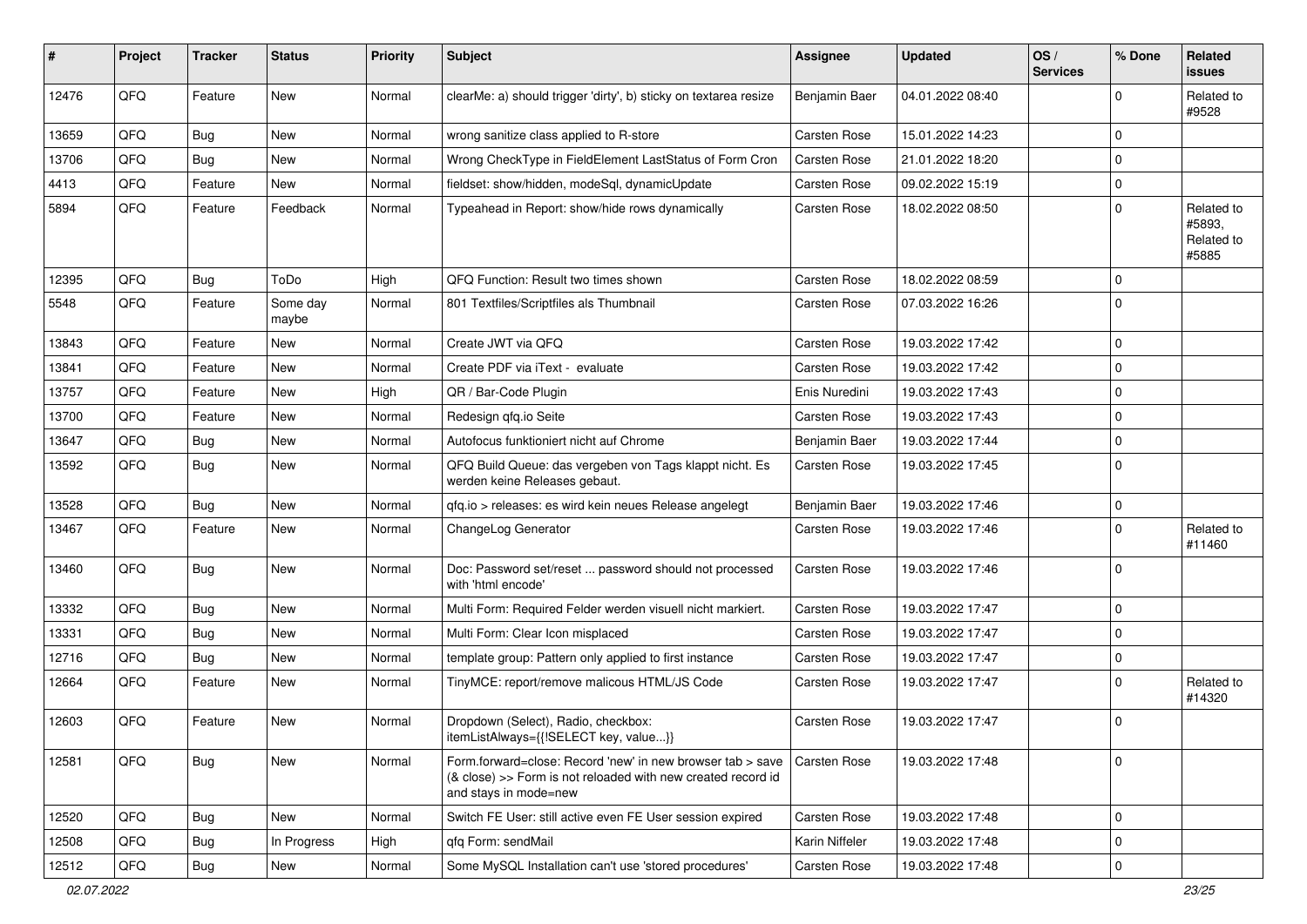| #     | Project | <b>Tracker</b> | <b>Status</b>     | <b>Priority</b> | <b>Subject</b>                                                                                                                                      | <b>Assignee</b>     | <b>Updated</b>   | OS/<br><b>Services</b> | % Done      | Related<br><b>issues</b>                    |
|-------|---------|----------------|-------------------|-----------------|-----------------------------------------------------------------------------------------------------------------------------------------------------|---------------------|------------------|------------------------|-------------|---------------------------------------------|
| 12476 | QFQ     | Feature        | New               | Normal          | clearMe: a) should trigger 'dirty', b) sticky on textarea resize                                                                                    | Benjamin Baer       | 04.01.2022 08:40 |                        | 0           | Related to<br>#9528                         |
| 13659 | QFQ     | <b>Bug</b>     | New               | Normal          | wrong sanitize class applied to R-store                                                                                                             | Carsten Rose        | 15.01.2022 14:23 |                        | $\mathbf 0$ |                                             |
| 13706 | QFQ     | <b>Bug</b>     | <b>New</b>        | Normal          | Wrong CheckType in FieldElement LastStatus of Form Cron                                                                                             | <b>Carsten Rose</b> | 21.01.2022 18:20 |                        | $\mathbf 0$ |                                             |
| 4413  | QFQ     | Feature        | New               | Normal          | fieldset: show/hidden, modeSql, dynamicUpdate                                                                                                       | <b>Carsten Rose</b> | 09.02.2022 15:19 |                        | $\mathbf 0$ |                                             |
| 5894  | QFQ     | Feature        | Feedback          | Normal          | Typeahead in Report: show/hide rows dynamically                                                                                                     | Carsten Rose        | 18.02.2022 08:50 |                        | $\Omega$    | Related to<br>#5893,<br>Related to<br>#5885 |
| 12395 | QFQ     | Bug            | ToDo              | High            | QFQ Function: Result two times shown                                                                                                                | <b>Carsten Rose</b> | 18.02.2022 08:59 |                        | $\Omega$    |                                             |
| 5548  | QFQ     | Feature        | Some day<br>maybe | Normal          | 801 Textfiles/Scriptfiles als Thumbnail                                                                                                             | Carsten Rose        | 07.03.2022 16:26 |                        | $\Omega$    |                                             |
| 13843 | QFQ     | Feature        | New               | Normal          | Create JWT via QFQ                                                                                                                                  | <b>Carsten Rose</b> | 19.03.2022 17:42 |                        | $\mathbf 0$ |                                             |
| 13841 | QFQ     | Feature        | New               | Normal          | Create PDF via iText - evaluate                                                                                                                     | <b>Carsten Rose</b> | 19.03.2022 17:42 |                        | $\mathbf 0$ |                                             |
| 13757 | QFQ     | Feature        | <b>New</b>        | High            | QR / Bar-Code Plugin                                                                                                                                | Enis Nuredini       | 19.03.2022 17:43 |                        | $\mathbf 0$ |                                             |
| 13700 | QFQ     | Feature        | New               | Normal          | Redesign gfg.io Seite                                                                                                                               | <b>Carsten Rose</b> | 19.03.2022 17:43 |                        | $\mathbf 0$ |                                             |
| 13647 | QFQ     | Bug            | <b>New</b>        | Normal          | Autofocus funktioniert nicht auf Chrome                                                                                                             | Benjamin Baer       | 19.03.2022 17:44 |                        | $\mathbf 0$ |                                             |
| 13592 | QFQ     | Bug            | <b>New</b>        | Normal          | QFQ Build Queue: das vergeben von Tags klappt nicht. Es<br>werden keine Releases gebaut.                                                            | Carsten Rose        | 19.03.2022 17:45 |                        | $\Omega$    |                                             |
| 13528 | QFQ     | Bug            | <b>New</b>        | Normal          | qfq.io > releases: es wird kein neues Release angelegt                                                                                              | Benjamin Baer       | 19.03.2022 17:46 |                        | $\mathbf 0$ |                                             |
| 13467 | QFQ     | Feature        | <b>New</b>        | Normal          | ChangeLog Generator                                                                                                                                 | <b>Carsten Rose</b> | 19.03.2022 17:46 |                        | $\Omega$    | Related to<br>#11460                        |
| 13460 | QFQ     | Bug            | New               | Normal          | Doc: Password set/reset  password should not processed<br>with 'html encode'                                                                        | <b>Carsten Rose</b> | 19.03.2022 17:46 |                        | $\Omega$    |                                             |
| 13332 | QFQ     | Bug            | <b>New</b>        | Normal          | Multi Form: Required Felder werden visuell nicht markiert.                                                                                          | Carsten Rose        | 19.03.2022 17:47 |                        | $\mathbf 0$ |                                             |
| 13331 | QFQ     | <b>Bug</b>     | <b>New</b>        | Normal          | Multi Form: Clear Icon misplaced                                                                                                                    | <b>Carsten Rose</b> | 19.03.2022 17:47 |                        | $\mathbf 0$ |                                             |
| 12716 | QFQ     | Bug            | <b>New</b>        | Normal          | template group: Pattern only applied to first instance                                                                                              | Carsten Rose        | 19.03.2022 17:47 |                        | $\mathbf 0$ |                                             |
| 12664 | QFQ     | Feature        | New               | Normal          | TinyMCE: report/remove malicous HTML/JS Code                                                                                                        | Carsten Rose        | 19.03.2022 17:47 |                        | $\Omega$    | Related to<br>#14320                        |
| 12603 | QFQ     | Feature        | New               | Normal          | Dropdown (Select), Radio, checkbox:<br>itemListAlways={{!SELECT key, value}}                                                                        | Carsten Rose        | 19.03.2022 17:47 |                        | $\mathbf 0$ |                                             |
| 12581 | QFQ     | Bug            | New               | Normal          | Form.forward=close: Record 'new' in new browser tab > save<br>(& close) >> Form is not reloaded with new created record id<br>and stays in mode=new | Carsten Rose        | 19.03.2022 17:48 |                        | l 0         |                                             |
| 12520 | QFQ     | Bug            | New               | Normal          | Switch FE User: still active even FE User session expired                                                                                           | Carsten Rose        | 19.03.2022 17:48 |                        | $\mathbf 0$ |                                             |
| 12508 | QFQ     | <b>Bug</b>     | In Progress       | High            | qfq Form: sendMail                                                                                                                                  | Karin Niffeler      | 19.03.2022 17:48 |                        | $\mathbf 0$ |                                             |
| 12512 | QFQ     | Bug            | New               | Normal          | Some MySQL Installation can't use 'stored procedures'                                                                                               | Carsten Rose        | 19.03.2022 17:48 |                        | $\mathbf 0$ |                                             |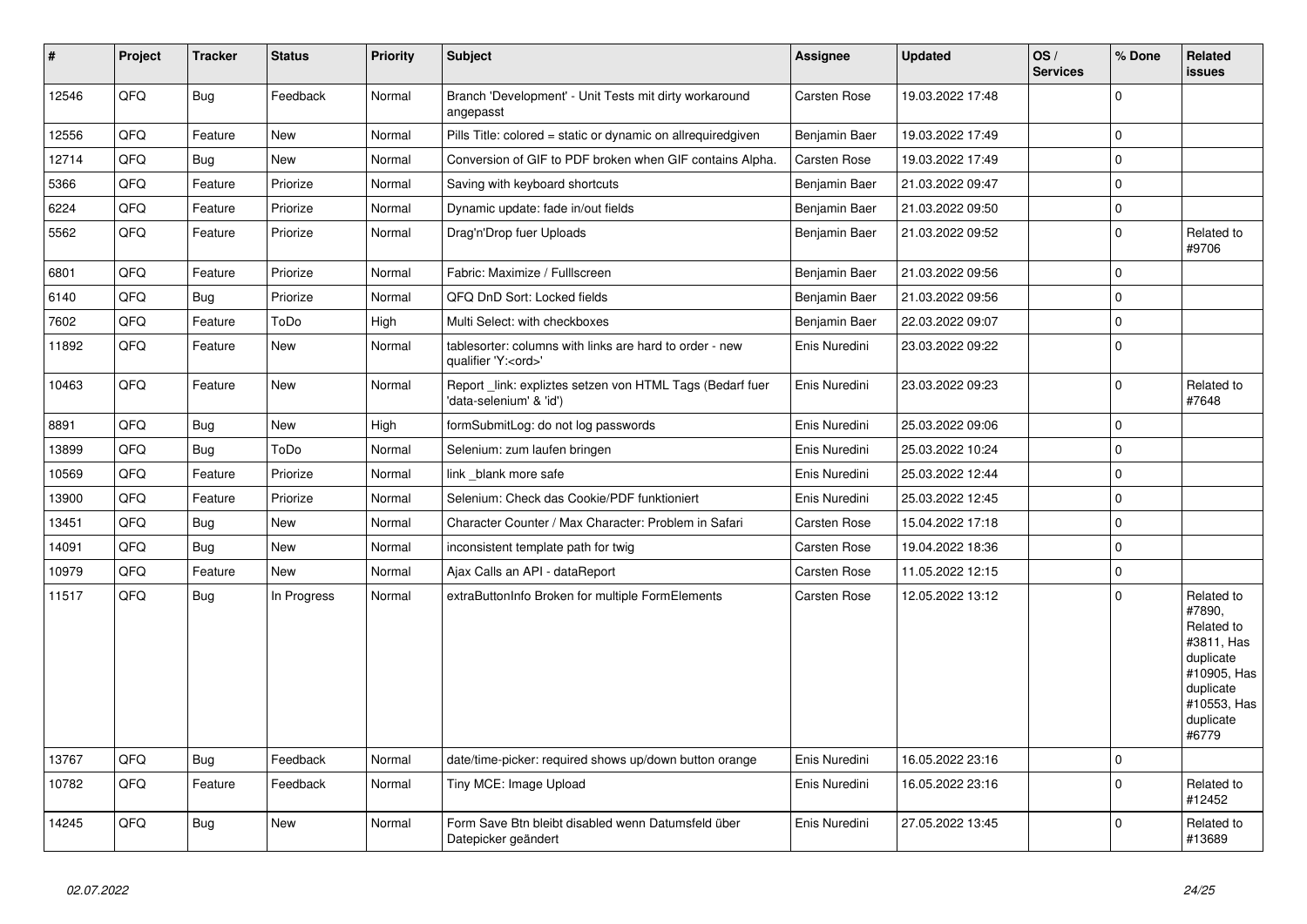| #     | Project | <b>Tracker</b> | <b>Status</b> | <b>Priority</b> | Subject                                                                               | Assignee            | <b>Updated</b>   | OS/<br><b>Services</b> | % Done       | Related<br>issues                                                                                                              |
|-------|---------|----------------|---------------|-----------------|---------------------------------------------------------------------------------------|---------------------|------------------|------------------------|--------------|--------------------------------------------------------------------------------------------------------------------------------|
| 12546 | QFQ     | <b>Bug</b>     | Feedback      | Normal          | Branch 'Development' - Unit Tests mit dirty workaround<br>angepasst                   | Carsten Rose        | 19.03.2022 17:48 |                        | $\Omega$     |                                                                                                                                |
| 12556 | QFQ     | Feature        | <b>New</b>    | Normal          | Pills Title: colored = static or dynamic on allrequiredgiven                          | Benjamin Baer       | 19.03.2022 17:49 |                        | $\mathbf 0$  |                                                                                                                                |
| 12714 | QFQ     | <b>Bug</b>     | <b>New</b>    | Normal          | Conversion of GIF to PDF broken when GIF contains Alpha.                              | <b>Carsten Rose</b> | 19.03.2022 17:49 |                        | $\mathbf 0$  |                                                                                                                                |
| 5366  | QFQ     | Feature        | Priorize      | Normal          | Saving with keyboard shortcuts                                                        | Benjamin Baer       | 21.03.2022 09:47 |                        | $\pmb{0}$    |                                                                                                                                |
| 6224  | QFQ     | Feature        | Priorize      | Normal          | Dynamic update: fade in/out fields                                                    | Benjamin Baer       | 21.03.2022 09:50 |                        | $\mathsf{O}$ |                                                                                                                                |
| 5562  | QFQ     | Feature        | Priorize      | Normal          | Drag'n'Drop fuer Uploads                                                              | Benjamin Baer       | 21.03.2022 09:52 |                        | $\mathbf 0$  | Related to<br>#9706                                                                                                            |
| 6801  | QFQ     | Feature        | Priorize      | Normal          | Fabric: Maximize / FullIscreen                                                        | Benjamin Baer       | 21.03.2022 09:56 |                        | $\mathbf 0$  |                                                                                                                                |
| 6140  | QFQ     | <b>Bug</b>     | Priorize      | Normal          | QFQ DnD Sort: Locked fields                                                           | Benjamin Baer       | 21.03.2022 09:56 |                        | $\Omega$     |                                                                                                                                |
| 7602  | QFQ     | Feature        | ToDo          | High            | Multi Select: with checkboxes                                                         | Benjamin Baer       | 22.03.2022 09:07 |                        | $\Omega$     |                                                                                                                                |
| 11892 | QFQ     | Feature        | New           | Normal          | tablesorter: columns with links are hard to order - new<br>qualifier 'Y: <ord>'</ord> | Enis Nuredini       | 23.03.2022 09:22 |                        | $\Omega$     |                                                                                                                                |
| 10463 | QFQ     | Feature        | New           | Normal          | Report link: expliztes setzen von HTML Tags (Bedarf fuer<br>'data-selenium' & 'id')   | Enis Nuredini       | 23.03.2022 09:23 |                        | $\mathbf 0$  | Related to<br>#7648                                                                                                            |
| 8891  | QFQ     | Bug            | New           | High            | formSubmitLog: do not log passwords                                                   | Enis Nuredini       | 25.03.2022 09:06 |                        | $\mathbf 0$  |                                                                                                                                |
| 13899 | QFQ     | <b>Bug</b>     | ToDo          | Normal          | Selenium: zum laufen bringen                                                          | Enis Nuredini       | 25.03.2022 10:24 |                        | $\mathbf 0$  |                                                                                                                                |
| 10569 | QFQ     | Feature        | Priorize      | Normal          | link_blank more safe                                                                  | Enis Nuredini       | 25.03.2022 12:44 |                        | $\mathbf 0$  |                                                                                                                                |
| 13900 | QFQ     | Feature        | Priorize      | Normal          | Selenium: Check das Cookie/PDF funktioniert                                           | Enis Nuredini       | 25.03.2022 12:45 |                        | $\Omega$     |                                                                                                                                |
| 13451 | QFQ     | <b>Bug</b>     | New           | Normal          | Character Counter / Max Character: Problem in Safari                                  | Carsten Rose        | 15.04.2022 17:18 |                        | $\Omega$     |                                                                                                                                |
| 14091 | QFQ     | Bug            | New           | Normal          | inconsistent template path for twig                                                   | <b>Carsten Rose</b> | 19.04.2022 18:36 |                        | $\mathbf 0$  |                                                                                                                                |
| 10979 | QFQ     | Feature        | New           | Normal          | Ajax Calls an API - dataReport                                                        | Carsten Rose        | 11.05.2022 12:15 |                        | $\mathbf 0$  |                                                                                                                                |
| 11517 | QFQ     | <b>Bug</b>     | In Progress   | Normal          | extraButtonInfo Broken for multiple FormElements                                      | Carsten Rose        | 12.05.2022 13:12 |                        | $\mathbf 0$  | Related to<br>#7890,<br>Related to<br>#3811, Has<br>duplicate<br>#10905, Has<br>duplicate<br>#10553, Has<br>duplicate<br>#6779 |
| 13767 | QFQ     | <b>Bug</b>     | Feedback      | Normal          | date/time-picker: required shows up/down button orange                                | Enis Nuredini       | 16.05.2022 23:16 |                        | $\mathbf 0$  |                                                                                                                                |
| 10782 | QFQ     | Feature        | Feedback      | Normal          | Tiny MCE: Image Upload                                                                | Enis Nuredini       | 16.05.2022 23:16 |                        | $\Omega$     | Related to<br>#12452                                                                                                           |
| 14245 | QFQ     | Bug            | New           | Normal          | Form Save Btn bleibt disabled wenn Datumsfeld über<br>Datepicker geändert             | Enis Nuredini       | 27.05.2022 13:45 |                        | $\Omega$     | Related to<br>#13689                                                                                                           |